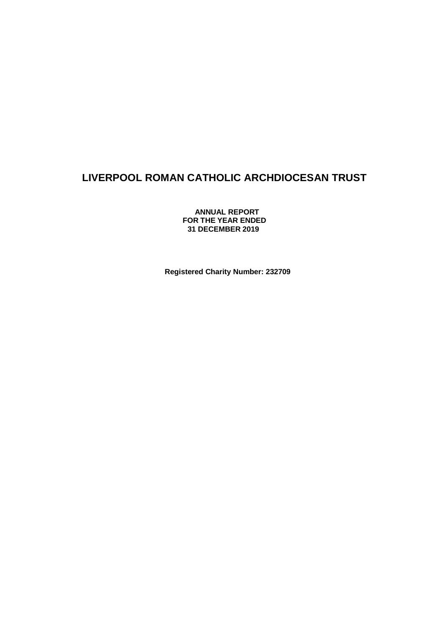**ANNUAL REPORT FOR THE YEAR ENDED 31 DECEMBER 2019**

**Registered Charity Number: 232709**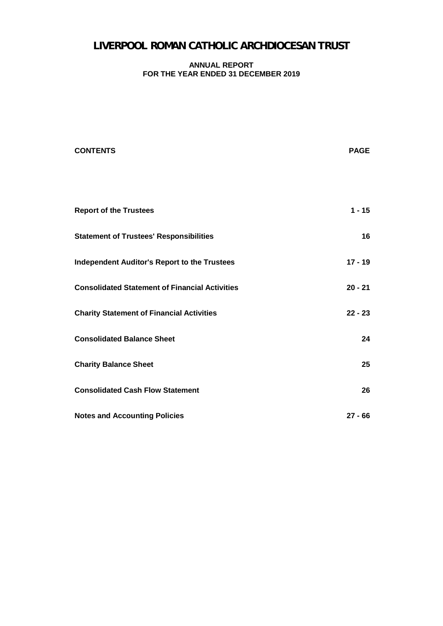#### **ANNUAL REPORT FOR THE YEAR ENDED 31 DECEMBER 2019**

| <b>CONTENTS</b>                                       | <b>PAGE</b> |
|-------------------------------------------------------|-------------|
|                                                       |             |
| <b>Report of the Trustees</b>                         | $1 - 15$    |
| <b>Statement of Trustees' Responsibilities</b>        | 16          |
| <b>Independent Auditor's Report to the Trustees</b>   | $17 - 19$   |
| <b>Consolidated Statement of Financial Activities</b> | $20 - 21$   |
| <b>Charity Statement of Financial Activities</b>      | $22 - 23$   |
| <b>Consolidated Balance Sheet</b>                     | 24          |
| <b>Charity Balance Sheet</b>                          | 25          |
| <b>Consolidated Cash Flow Statement</b>               | 26          |
| <b>Notes and Accounting Policies</b>                  | $27 - 66$   |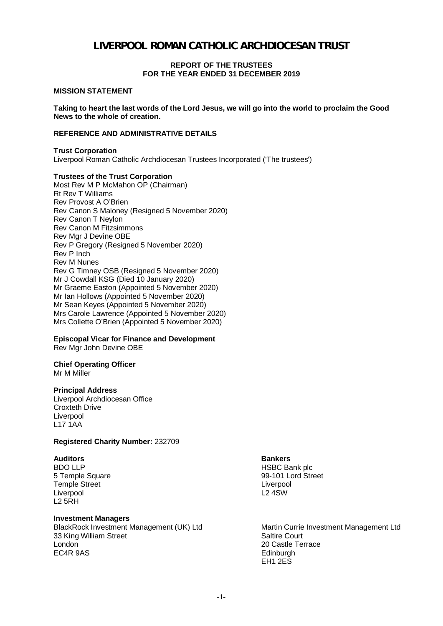#### **REPORT OF THE TRUSTEES FOR THE YEAR ENDED 31 DECEMBER 2019**

#### **MISSION STATEMENT**

**Taking to heart the last words of the Lord Jesus, we will go into the world to proclaim the Good News to the whole of creation.**

#### **REFERENCE AND ADMINISTRATIVE DETAILS**

#### **Trust Corporation**

Liverpool Roman Catholic Archdiocesan Trustees Incorporated ('The trustees')

#### **Trustees of the Trust Corporation**

Most Rev M P McMahon OP (Chairman) Rt Rev T Williams Rev Provost A O'Brien Rev Canon S Maloney (Resigned 5 November 2020) Rev Canon T Neylon Rev Canon M Fitzsimmons Rev Mgr J Devine OBE Rev P Gregory (Resigned 5 November 2020) Rev P Inch Rev M Nunes Rev G Timney OSB (Resigned 5 November 2020) Mr J Cowdall KSG (Died 10 January 2020) Mr Graeme Easton (Appointed 5 November 2020) Mr Ian Hollows (Appointed 5 November 2020) Mr Sean Keyes (Appointed 5 November 2020) Mrs Carole Lawrence (Appointed 5 November 2020) Mrs Collette O'Brien (Appointed 5 November 2020)

### **Episcopal Vicar for Finance and Development**

Rev Mgr John Devine OBE

# **Chief Operating Officer**

Mr M Miller

#### **Principal Address**

Liverpool Archdiocesan Office Croxteth Drive Liverpool  $L$ 17 1AA

#### **Registered Charity Number:** 232709

**Auditors Bankers** Temple Street Liverpool<br>
Liverpool Liverpool Liverpool Liverpool Liverpool  $L2$  5RH

#### **Investment Managers**

BlackRock Investment Management (UK) Ltd Martin Currie Investment Management Ltd Martin Currie Investment Management Ltd S3 King William Street 33 King William Street London 20 Castle Terrace EC4R 9AS Edinburgh

HSBC Bank plc 5 Temple Square 99-101 Lord Street

EH1 2ES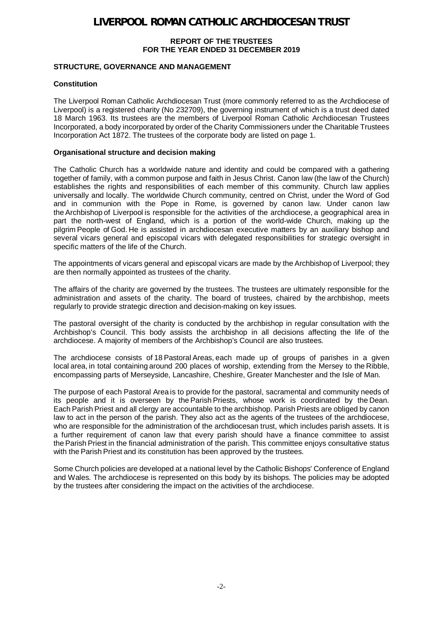#### **REPORT OF THE TRUSTEES FOR THE YEAR ENDED 31 DECEMBER 2019**

### **STRUCTURE, GOVERNANCE AND MANAGEMENT**

### **Constitution**

The Liverpool Roman Catholic Archdiocesan Trust (more commonly referred to as the Archdiocese of Liverpool) is a registered charity (No 232709), the governing instrument of which is a trust deed dated 18 March 1963. Its trustees are the members of Liverpool Roman Catholic Archdiocesan Trustees Incorporated, a body incorporated by order of the Charity Commissioners under the Charitable Trustees Incorporation Act 1872. The trustees of the corporate body are listed on page 1.

#### **Organisational structure and decision making**

The Catholic Church has a worldwide nature and identity and could be compared with a gathering together of family, with a common purpose and faith in Jesus Christ. Canon law (the law of the Church) establishes the rights and responsibilities of each member of this community. Church law applies universally and locally. The worldwide Church community, centred on Christ, under the Word of God and in communion with the Pope in Rome, is governed by canon law. Under canon law the Archbishop of Liverpool is responsible for the activities of the archdiocese, a geographical area in part the north-west of England, which is a portion of the world-wide Church, making up the pilgrim People of God. He is assisted in archdiocesan executive matters by an auxiliary bishop and several vicars general and episcopal vicars with delegated responsibilities for strategic oversight in specific matters of the life of the Church.   

The appointments of vicars general and episcopal vicars are made by the Archbishop of Liverpool; they are then normally appointed as trustees of the charity.   

The affairs of the charity are governed by the trustees. The trustees are ultimately responsible for the administration and assets of the charity. The board of trustees, chaired by the archbishop, meets regularly to provide strategic direction and decision-making on key issues.

The pastoral oversight of the charity is conducted by the archbishop in regular consultation with the Archbishop's Council. This body assists the archbishop in all decisions affecting the life of the archdiocese. A majority of members of the Archbishop's Council are also trustees.

The archdiocese consists of 18 Pastoral Areas, each made up of groups of parishes in a given local area, in total containing around 200 places of worship, extending from the Mersey to the Ribble, encompassing parts of Merseyside, Lancashire, Cheshire, Greater Manchester and the Isle of Man.

The purpose of each Pastoral Area is to provide for the pastoral, sacramental and community needs of its people and it is overseen by the Parish Priests, whose work is coordinated by the Dean. Each Parish Priest and all clergy are accountable to the archbishop. Parish Priests are obliged by canon law to act in the person of the parish. They also act as the agents of the trustees of the archdiocese, who are responsible for the administration of the archdiocesan trust, which includes parish assets. It is a further requirement of canon law that every parish should have a finance committee to assist the Parish Priest in the financial administration of the parish. This committee enjoys consultative status with the Parish Priest and its constitution has been approved by the trustees.

Some Church policies are developed at a national level by the Catholic Bishops' Conference of England and Wales. The archdiocese is represented on this body by its bishops. The policies may be adopted by the trustees after considering the impact on the activities of the archdiocese.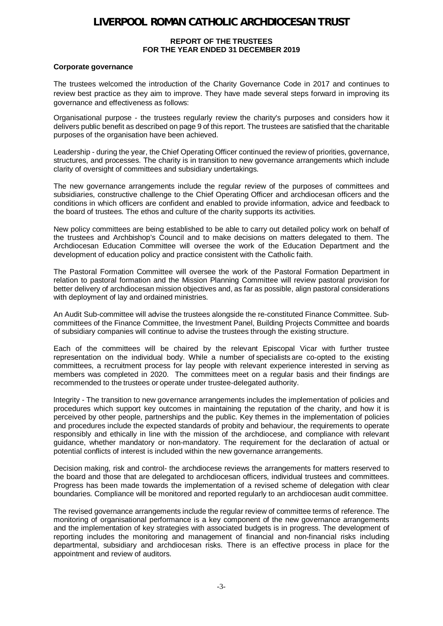#### **REPORT OF THE TRUSTEES FOR THE YEAR ENDED 31 DECEMBER 2019**

#### **Corporate governance**

The trustees welcomed the introduction of the Charity Governance Code in 2017 and continues to review best practice as they aim to improve. They have made several steps forward in improving its governance and effectiveness as follows:

Organisational purpose - the trustees regularly review the charity's purposes and considers how it delivers public benefit as described on page 9 of this report. The trustees are satisfied that the charitable purposes of the organisation have been achieved.

Leadership - during the year, the Chief Operating Officer continued the review of priorities, governance, structures, and processes. The charity is in transition to new governance arrangements which include clarity of oversight of committees and subsidiary undertakings.

The new governance arrangements include the regular review of the purposes of committees and subsidiaries, constructive challenge to the Chief Operating Officer and archdiocesan officers and the conditions in which officers are confident and enabled to provide information, advice and feedback to the board of trustees. The ethos and culture of the charity supports its activities.

New policy committees are being established to be able to carry out detailed policy work on behalf of the trustees and Archbishop's Council and to make decisions on matters delegated to them. The Archdiocesan Education Committee will oversee the work of the Education Department and the development of education policy and practice consistent with the Catholic faith.

The Pastoral Formation Committee will oversee the work of the Pastoral Formation Department in relation to pastoral formation and the Mission Planning Committee will review pastoral provision for better delivery of archdiocesan mission objectives and, as far as possible, align pastoral considerations with deployment of lay and ordained ministries.

An Audit Sub-committee will advise the trustees alongside the re-constituted Finance Committee. Subcommittees of the Finance Committee, the Investment Panel, Building Projects Committee and boards of subsidiary companies will continue to advise the trustees through the existing structure.

Each of the committees will be chaired by the relevant Episcopal Vicar with further trustee representation on the individual body. While a number of specialists are co-opted to the existing committees, a recruitment process for lay people with relevant experience interested in serving as members was completed in 2020. The committees meet on a regular basis and their findings are recommended to the trustees or operate under trustee-delegated authority.

lntegrity - The transition to new governance arrangements includes the implementation of policies and procedures which support key outcomes in maintaining the reputation of the charity, and how it is perceived by other people, partnerships and the public. Key themes in the implementation of policies and procedures include the expected standards of probity and behaviour, the requirements to operate responsibly and ethically in line with the mission of the archdiocese, and compliance with relevant guidance, whether mandatory or non-mandatory. The requirement for the declaration of actual or potential conflicts of interest is included within the new governance arrangements.

Decision making, risk and control- the archdiocese reviews the arrangements for matters reserved to the board and those that are delegated to archdiocesan officers, individual trustees and committees. Progress has been made towards the implementation of a revised scheme of delegation with clear boundaries. Compliance will be monitored and reported regularly to an archdiocesan audit committee.

The revised governance arrangements include the regular review of committee terms of reference. The monitoring of organisational performance is a key component of the new governance arrangements and the implementation of key strategies with associated budgets is in progress. The development of reporting includes the monitoring and management of financial and non-financial risks including departmental, subsidiary and archdiocesan risks. There is an effective process in place for the appointment and review of auditors.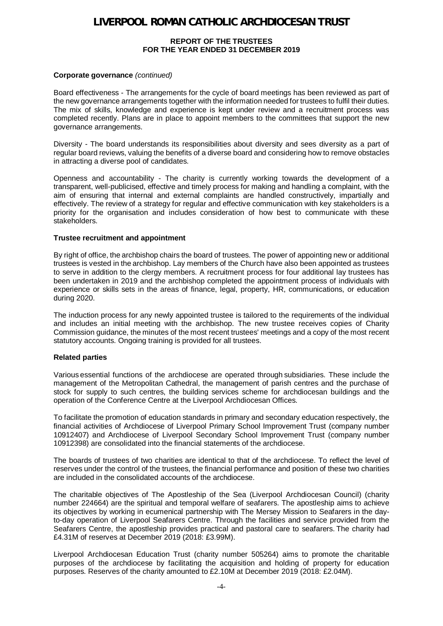#### **REPORT OF THE TRUSTEES FOR THE YEAR ENDED 31 DECEMBER 2019**

#### **Corporate governance** *(continued)*

Board effectiveness - The arrangements for the cycle of board meetings has been reviewed as part of the new governance arrangements together with the information needed for trustees to fulfil their duties. The mix of skills, knowledge and experience is kept under review and a recruitment process was completed recently. Plans are in place to appoint members to the committees that support the new governance arrangements.

Diversity - The board understands its responsibilities about diversity and sees diversity as a part of regular board reviews, valuing the benefits of a diverse board and considering how to remove obstacles in attracting a diverse pool of candidates.

Openness and accountability - The charity is currently working towards the development of a transparent, well-publicised, effective and timely process for making and handling a complaint, with the aim of ensuring that internal and external complaints are handled constructively, impartially and effectively. The review of a strategy for regular and effective communication with key stakeholders is a priority for the organisation and includes consideration of how best to communicate with these stakeholders.

#### **Trustee recruitment and appointment**

By right of office, the archbishop chairs the board of trustees. The power of appointing new or additional trustees is vested in the archbishop. Lay members of the Church have also been appointed as trustees to serve in addition to the clergy members. A recruitment process for four additional lay trustees has been undertaken in 2019 and the archbishop completed the appointment process of individuals with experience or skills sets in the areas of finance, legal, property, HR, communications, or education during 2020.

The induction process for any newly appointed trustee is tailored to the requirements of the individual and includes an initial meeting with the archbishop. The new trustee receives copies of Charity Commission guidance, the minutes of the most recent trustees' meetings and a copy of the most recent statutory accounts. Ongoing training is provided for all trustees.

### **Related parties**

Various essential functions of the archdiocese are operated through subsidiaries. These include the management of the Metropolitan Cathedral, the management of parish centres and the purchase of stock for supply to such centres, the building services scheme for archdiocesan buildings and the operation of the Conference Centre at the Liverpool Archdiocesan Offices.

To facilitate the promotion of education standards in primary and secondary education respectively, the financial activities of Archdiocese of Liverpool Primary School Improvement Trust (company number 10912407) and Archdiocese of Liverpool Secondary School Improvement Trust (company number 10912398) are consolidated into the financial statements of the archdiocese.

The boards of trustees of two charities are identical to that of the archdiocese. To reflect the level of reserves under the control of the trustees, the financial performance and position of these two charities are included in the consolidated accounts of the archdiocese.  

The charitable objectives of The Apostleship of the Sea (Liverpool Archdiocesan Council) (charity number 224664) are the spiritual and temporal welfare of seafarers. The apostleship aims to achieve its objectives by working in ecumenical partnership with The Mersey Mission to Seafarers in the dayto-day operation of Liverpool Seafarers Centre. Through the facilities and service provided from the Seafarers Centre, the apostleship provides practical and pastoral care to seafarers. The charity had £4.31M of reserves at December 2019 (2018: £3.99M).  

Liverpool Archdiocesan Education Trust (charity number 505264) aims to promote the charitable purposes of the archdiocese by facilitating the acquisition and holding of property for education purposes. Reserves of the charity amounted to £2.10M at December 2019 (2018: £2.04M).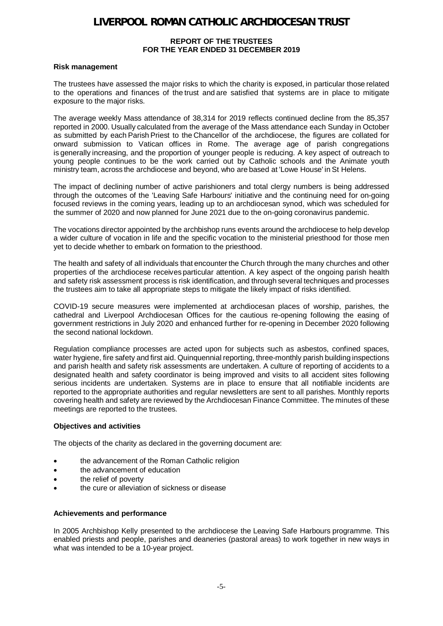#### **REPORT OF THE TRUSTEES FOR THE YEAR ENDED 31 DECEMBER 2019**

#### **Risk management**

The trustees have assessed the major risks to which the charity is exposed, in particular those related to the operations and finances of the trust and are satisfied that systems are in place to mitigate exposure to the major risks.  

The average weekly Mass attendance of 38,314 for 2019 reflects continued decline from the 85,357 reported in 2000. Usually calculated from the average of the Mass attendance each Sunday in October as submitted by each Parish Priest to the Chancellor of the archdiocese, the figures are collated for onward submission to Vatican offices in Rome. The average age of parish congregations is generally increasing, and the proportion of younger people is reducing. A key aspect of outreach to young people continues to be the work carried out by Catholic schools and the Animate youth ministry team, across the archdiocese and beyond, who are based at 'Lowe House' in St Helens.

The impact of declining number of active parishioners and total clergy numbers is being addressed through the outcomes of the 'Leaving Safe Harbours' initiative and the continuing need for on-going focused reviews in the coming years, leading up to an archdiocesan synod, which was scheduled for the summer of 2020 and now planned for June 2021 due to the on-going coronavirus pandemic.

The vocations director appointed by the archbishop runs events around the archdiocese to help develop a wider culture of vocation in life and the specific vocation to the ministerial priesthood for those men yet to decide whether to embark on formation to the priesthood.

The health and safety of all individuals that encounter the Church through the many churches and other properties of the archdiocese receives particular attention. A key aspect of the ongoing parish health and safety risk assessment process is risk identification, and through several techniques and processes the trustees aim to take all appropriate steps to mitigate the likely impact of risks identified.

COVID-19 secure measures were implemented at archdiocesan places of worship, parishes, the cathedral and Liverpool Archdiocesan Offices for the cautious re-opening following the easing of government restrictions in July 2020 and enhanced further for re-opening in December 2020 following the second national lockdown.

Regulation compliance processes are acted upon for subjects such as asbestos, confined spaces, water hygiene, fire safety and first aid. Quinquennial reporting, three-monthly parish building inspections and parish health and safety risk assessments are undertaken. A culture of reporting of accidents to a designated health and safety coordinator is being improved and visits to all accident sites following serious incidents are undertaken. Systems are in place to ensure that all notifiable incidents are reported to the appropriate authorities and regular newsletters are sent to all parishes. Monthly reports covering health and safety are reviewed by the Archdiocesan Finance Committee. The minutes of these meetings are reported to the trustees.

### **Objectives and activities**

The objects of the charity as declared in the governing document are:

- the advancement of the Roman Catholic religion
- the advancement of education
- the relief of poverty
- the cure or alleviation of sickness or disease

#### **Achievements and performance**

In 2005 Archbishop Kelly presented to the archdiocese the Leaving Safe Harbours programme. This enabled priests and people, parishes and deaneries (pastoral areas) to work together in new ways in what was intended to be a 10-year project.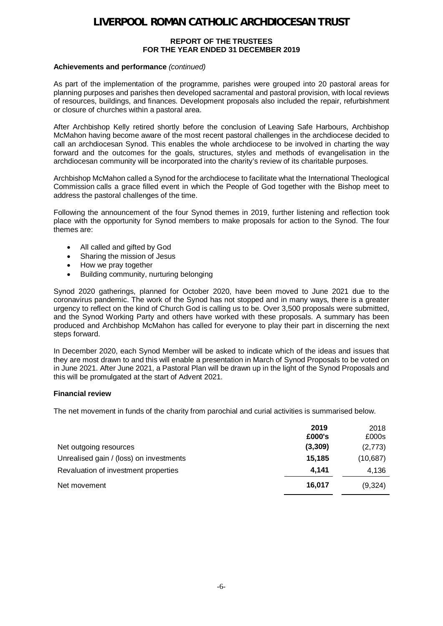#### **REPORT OF THE TRUSTEES FOR THE YEAR ENDED 31 DECEMBER 2019**

#### **Achievements and performance** *(continued)*

As part of the implementation of the programme, parishes were grouped into 20 pastoral areas for planning purposes and parishes then developed sacramental and pastoral provision, with local reviews of resources, buildings, and finances. Development proposals also included the repair, refurbishment or closure of churches within a pastoral area.

After Archbishop Kelly retired shortly before the conclusion of Leaving Safe Harbours, Archbishop McMahon having become aware of the most recent pastoral challenges in the archdiocese decided to call an archdiocesan Synod. This enables the whole archdiocese to be involved in charting the way forward and the outcomes for the goals, structures, styles and methods of evangelisation in the archdiocesan community will be incorporated into the charity's review of its charitable purposes.

Archbishop McMahon called a Synod for the archdiocese to facilitate what the International Theological Commission calls a grace filled event in which the People of God together with the Bishop meet to address the pastoral challenges of the time.

Following the announcement of the four Synod themes in 2019, further listening and reflection took place with the opportunity for Synod members to make proposals for action to the Synod. The four themes are:

- · All called and gifted by God
- · Sharing the mission of Jesus
- · How we pray together
- Building community, nurturing belonging

Synod 2020 gatherings, planned for October 2020, have been moved to June 2021 due to the coronavirus pandemic. The work of the Synod has not stopped and in many ways, there is a greater urgency to reflect on the kind of Church God is calling us to be. Over 3,500 proposals were submitted, and the Synod Working Party and others have worked with these proposals. A summary has been produced and Archbishop McMahon has called for everyone to play their part in discerning the next steps forward.

In December 2020, each Synod Member will be asked to indicate which of the ideas and issues that they are most drawn to and this will enable a presentation in March of Synod Proposals to be voted on in June 2021. After June 2021, a Pastoral Plan will be drawn up in the light of the Synod Proposals and this will be promulgated at the start of Advent 2021.

### **Financial review**

The net movement in funds of the charity from parochial and curial activities is summarised below.

|                                         | 2019<br>£000's | 2018<br>£000s |
|-----------------------------------------|----------------|---------------|
| Net outgoing resources                  | (3,309)        | (2,773)       |
| Unrealised gain / (loss) on investments | 15,185         | (10,687)      |
| Revaluation of investment properties    | 4.141          | 4,136         |
| Net movement                            | 16.017         | (9,324)       |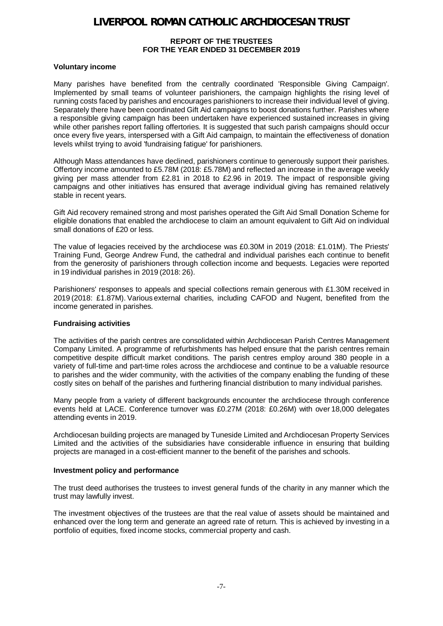#### **REPORT OF THE TRUSTEES FOR THE YEAR ENDED 31 DECEMBER 2019**

#### **Voluntary income**

Many parishes have benefited from the centrally coordinated 'Responsible Giving Campaign'. Implemented by small teams of volunteer parishioners, the campaign highlights the rising level of running costs faced by parishes and encourages parishioners to increase their individual level of giving. Separately there have been coordinated Gift Aid campaigns to boost donations further. Parishes where a responsible giving campaign has been undertaken have experienced sustained increases in giving while other parishes report falling offertories. It is suggested that such parish campaigns should occur once every five years, interspersed with a Gift Aid campaign, to maintain the effectiveness of donation levels whilst trying to avoid 'fundraising fatigue' for parishioners.  

Although Mass attendances have declined, parishioners continue to generously support their parishes. Offertory income amounted to £5.78M (2018: £5.78M) and reflected an increase in the average weekly giving per mass attender from £2.81 in 2018 to £2.96 in 2019. The impact of responsible giving campaigns and other initiatives has ensured that average individual giving has remained relatively stable in recent years.   

Gift Aid recovery remained strong and most parishes operated the Gift Aid Small Donation Scheme for eligible donations that enabled the archdiocese to claim an amount equivalent to Gift Aid on individual small donations of £20 or less.  

The value of legacies received by the archdiocese was £0.30M in 2019 (2018: £1.01M). The Priests' Training Fund, George Andrew Fund, the cathedral and individual parishes each continue to benefit from the generosity of parishioners through collection income and bequests. Legacies were reported in 19 individual parishes in 2019 (2018: 26).

Parishioners' responses to appeals and special collections remain generous with £1.30M received in 2019 (2018: £1.87M). Various external charities, including CAFOD and Nugent, benefited from the income generated in parishes.  

#### **Fundraising activities**

The activities of the parish centres are consolidated within Archdiocesan Parish Centres Management Company Limited. A programme of refurbishments has helped ensure that the parish centres remain competitive despite difficult market conditions. The parish centres employ around 380 people in a variety of full-time and part-time roles across the archdiocese and continue to be a valuable resource to parishes and the wider community, with the activities of the company enabling the funding of these costly sites on behalf of the parishes and furthering financial distribution to many individual parishes.

Many people from a variety of different backgrounds encounter the archdiocese through conference events held at LACE. Conference turnover was £0.27M (2018: £0.26M) with over 18,000 delegates attending events in 2019.  

Archdiocesan building projects are managed by Tuneside Limited and Archdiocesan Property Services Limited and the activities of the subsidiaries have considerable influence in ensuring that building projects are managed in a cost-efficient manner to the benefit of the parishes and schools.

#### **Investment policy and performance**

The trust deed authorises the trustees to invest general funds of the charity in any manner which the trust may lawfully invest.  

The investment objectives of the trustees are that the real value of assets should be maintained and enhanced over the long term and generate an agreed rate of return. This is achieved by investing in a portfolio of equities, fixed income stocks, commercial property and cash.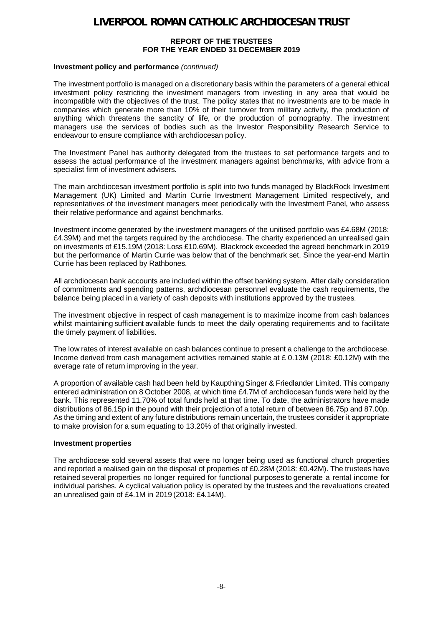#### **REPORT OF THE TRUSTEES FOR THE YEAR ENDED 31 DECEMBER 2019**

#### **Investment policy and performance** *(continued)*

The investment portfolio is managed on a discretionary basis within the parameters of a general ethical investment policy restricting the investment managers from investing in any area that would be incompatible with the objectives of the trust. The policy states that no investments are to be made in companies which generate more than 10% of their turnover from military activity, the production of anything which threatens the sanctity of life, or the production of pornography. The investment managers use the services of bodies such as the Investor Responsibility Research Service to endeavour to ensure compliance with archdiocesan policy.  

The Investment Panel has authority delegated from the trustees to set performance targets and to assess the actual performance of the investment managers against benchmarks, with advice from a specialist firm of investment advisers.  

The main archdiocesan investment portfolio is split into two funds managed by BlackRock Investment Management (UK) Limited and Martin Currie Investment Management Limited respectively, and representatives of the investment managers meet periodically with the Investment Panel, who assess their relative performance and against benchmarks.  

Investment income generated by the investment managers of the unitised portfolio was £4.68M (2018: £4.39M) and met the targets required by the archdiocese. The charity experienced an unrealised gain on investments of £15.19M (2018: Loss £10.69M).  Blackrock exceeded the agreed benchmark in 2019 but the performance of Martin Currie was below that of the benchmark set. Since the year-end Martin Currie has been replaced by Rathbones.

All archdiocesan bank accounts are included within the offset banking system. After daily consideration of commitments and spending patterns, archdiocesan personnel evaluate the cash requirements, the balance being placed in a variety of cash deposits with institutions approved by the trustees.

The investment objective in respect of cash management is to maximize income from cash balances whilst maintaining sufficient available funds to meet the daily operating requirements and to facilitate the timely payment of liabilities.   

The low rates of interest available on cash balances continue to present a challenge to the archdiocese. Income derived from cash management activities remained stable at £ 0.13M (2018: £0.12M) with the average rate of return improving in the year.   

A proportion of available cash had been held by Kaupthing Singer & Friedlander Limited. This company entered administration on 8 October 2008, at which time £4.7M of archdiocesan funds were held by the bank. This represented 11.70% of total funds held at that time. To date, the administrators have made distributions of 86.15p in the pound with their projection of a total return of between 86.75p and 87.00p. As the timing and extent of any future distributions remain uncertain, the trustees consider it appropriate to make provision for a sum equating to 13.20% of that originally invested.

#### **Investment properties**

The archdiocese sold several assets that were no longer being used as functional church properties and reported a realised gain on the disposal of properties of £0.28M (2018: £0.42M). The trustees have retained several properties no longer required for functional purposes to generate a rental income for individual parishes. A cyclical valuation policy is operated by the trustees and the revaluations created an unrealised gain of £4.1M in 2019 (2018: £4.14M).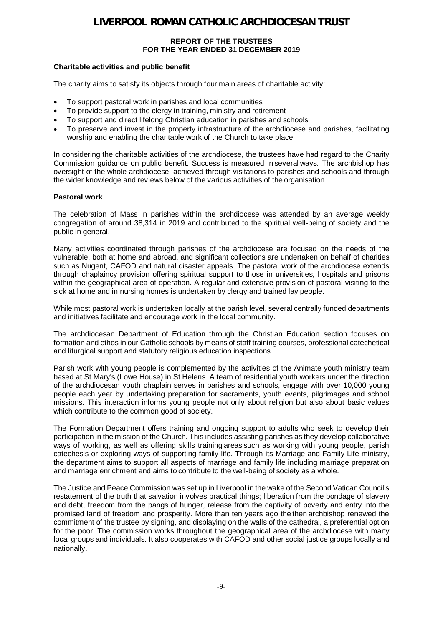#### **REPORT OF THE TRUSTEES FOR THE YEAR ENDED 31 DECEMBER 2019**

### **Charitable activities and public benefit**

The charity aims to satisfy its objects through four main areas of charitable activity:

- To support pastoral work in parishes and local communities
- To provide support to the clergy in training, ministry and retirement
- To support and direct lifelong Christian education in parishes and schools
- · To preserve and invest in the property infrastructure of the archdiocese and parishes, facilitating worship and enabling the charitable work of the Church to take place

In considering the charitable activities of the archdiocese, the trustees have had regard to the Charity Commission guidance on public benefit. Success is measured in several ways. The archbishop has oversight of the whole archdiocese, achieved through visitations to parishes and schools and through the wider knowledge and reviews below of the various activities of the organisation.

### **Pastoral work**

The celebration of Mass in parishes within the archdiocese was attended by an average weekly congregation of around 38,314 in 2019 and contributed to the spiritual well-being of society and the public in general.  

Many activities coordinated through parishes of the archdiocese are focused on the needs of the vulnerable, both at home and abroad, and significant collections are undertaken on behalf of charities such as Nugent, CAFOD and natural disaster appeals. The pastoral work of the archdiocese extends through chaplaincy provision offering spiritual support to those in universities, hospitals and prisons within the geographical area of operation. A regular and extensive provision of pastoral visiting to the sick at home and in nursing homes is undertaken by clergy and trained lay people.  

While most pastoral work is undertaken locally at the parish level, several centrally funded departments and initiatives facilitate and encourage work in the local community.  

The archdiocesan Department of Education through the Christian Education section focuses on formation and ethos in our Catholic schools by means of staff training courses, professional catechetical and liturgical support and statutory religious education inspections.  

Parish work with young people is complemented by the activities of the Animate youth ministry team based at St Mary's (Lowe House) in St Helens. A team of residential youth workers under the direction of the archdiocesan youth chaplain serves in parishes and schools, engage with over 10,000 young people each year by undertaking preparation for sacraments, youth events, pilgrimages and school missions. This interaction informs young people not only about religion but also about basic values which contribute to the common good of society.  

The Formation Department offers training and ongoing support to adults who seek to develop their participation in the mission of the Church. This includes assisting parishes as they develop collaborative ways of working, as well as offering skills training areas such as working with young people, parish catechesis or exploring ways of supporting family life. Through its Marriage and Family Life ministry, the department aims to support all aspects of marriage and family life including marriage preparation and marriage enrichment and aims to contribute to the well-being of society as a whole.  

The Justice and Peace Commission was set up in Liverpool in the wake of the Second Vatican Council's restatement of the truth that salvation involves practical things; liberation from the bondage of slavery and debt, freedom from the pangs of hunger, release from the captivity of poverty and entry into the promised land of freedom and prosperity. More than ten years ago the then archbishop renewed the commitment of the trustee by signing, and displaying on the walls of the cathedral, a preferential option for the poor. The commission works throughout the geographical area of the archdiocese with many local groups and individuals. It also cooperates with CAFOD and other social justice groups locally and nationally.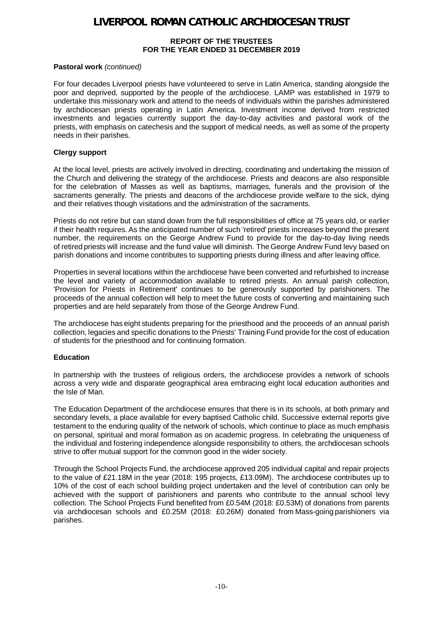#### **REPORT OF THE TRUSTEES FOR THE YEAR ENDED 31 DECEMBER 2019**

### **Pastoral work** *(continued)*

For four decades Liverpool priests have volunteered to serve in Latin America, standing alongside the poor and deprived, supported by the people of the archdiocese. LAMP was established in 1979 to undertake this missionary work and attend to the needs of individuals within the parishes administered by archdiocesan priests operating in Latin America. Investment income derived from restricted investments and legacies currently support the day-to-day activities and pastoral work of the priests, with emphasis on catechesis and the support of medical needs, as well as some of the property needs in their parishes.

### **Clergy support**

At the local level, priests are actively involved in directing, coordinating and undertaking the mission of the Church and delivering the strategy of the archdiocese. Priests and deacons are also responsible for the celebration of Masses as well as baptisms, marriages, funerals and the provision of the sacraments generally. The priests and deacons of the archdiocese provide welfare to the sick, dying and their relatives though visitations and the administration of the sacraments.

Priests do not retire but can stand down from the full responsibilities of office at 75 years old, or earlier if their health requires. As the anticipated number of such 'retired' priests increases beyond the present number, the requirements on the George Andrew Fund to provide for the day-to-day living needs of retired priests will increase and the fund value will diminish. The George Andrew Fund levy based on parish donations and income contributes to supporting priests during illness and after leaving office.

Properties in several locations within the archdiocese have been converted and refurbished to increase the level and variety of accommodation available to retired priests. An annual parish collection, 'Provision for Priests in Retirement' continues to be generously supported by parishioners. The proceeds of the annual collection will help to meet the future costs of converting and maintaining such properties and are held separately from those of the George Andrew Fund.   

The archdiocese has eight students preparing for the priesthood and the proceeds of an annual parish collection, legacies and specific donations to the Priests' Training Fund provide for the cost of education of students for the priesthood and for continuing formation.

### **Education**

In partnership with the trustees of religious orders, the archdiocese provides a network of schools across a very wide and disparate geographical area embracing eight local education authorities and the Isle of Man.

The Education Department of the archdiocese ensures that there is in its schools, at both primary and secondary levels, a place available for every baptised Catholic child. Successive external reports give testament to the enduring quality of the network of schools, which continue to place as much emphasis on personal, spiritual and moral formation as on academic progress. In celebrating the uniqueness of the individual and fostering independence alongside responsibility to others, the archdiocesan schools strive to offer mutual support for the common good in the wider society.

Through the School Projects Fund, the archdiocese approved 205 individual capital and repair projects to the value of £21.18M in the year (2018: 195 projects, £13.09M).  The archdiocese contributes up to 10% of the cost of each school building project undertaken and the level of contribution can only be achieved with the support of parishioners and parents who contribute to the annual school levy collection. The School Projects Fund benefited from £0.54M (2018: £0.53M) of donations from parents via archdiocesan schools and £0.25M (2018: £0.26M) donated from Mass-going parishioners via parishes.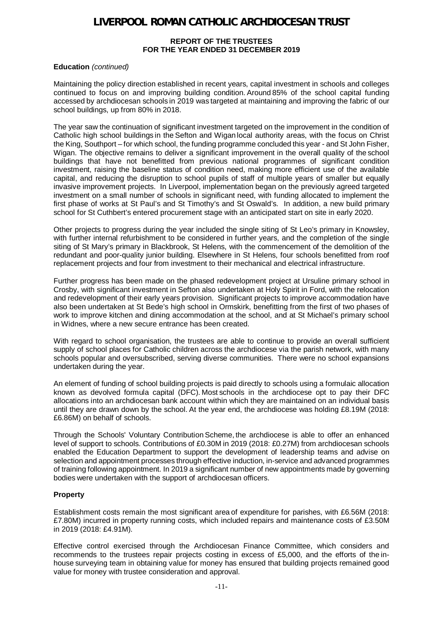#### **REPORT OF THE TRUSTEES FOR THE YEAR ENDED 31 DECEMBER 2019**

#### **Education** *(continued)*

Maintaining the policy direction established in recent years, capital investment in schools and colleges continued to focus on and improving building condition. Around 85% of the school capital funding accessed by archdiocesan schools in 2019 was targeted at maintaining and improving the fabric of our school buildings, up from 80% in 2018.

The year saw the continuation of significant investment targeted on the improvement in the condition of Catholic high school buildings in the Sefton and Wigan local authority areas, with the focus on Christ the King, Southport – for which school, the funding programme concluded this year - and St John Fisher, Wigan. The objective remains to deliver a significant improvement in the overall quality of the school buildings that have not benefitted from previous national programmes of significant condition investment, raising the baseline status of condition need, making more efficient use of the available capital, and reducing the disruption to school pupils of staff of multiple years of smaller but equally invasive improvement projects. In Liverpool, implementation began on the previously agreed targeted investment on a small number of schools in significant need, with funding allocated to implement the first phase of works at St Paul's and St Timothy's and St Oswald's. In addition, a new build primary school for St Cuthbert's entered procurement stage with an anticipated start on site in early 2020.

Other projects to progress during the year included the single siting of St Leo's primary in Knowsley, with further internal refurbishment to be considered in further years, and the completion of the single siting of St Mary's primary in Blackbrook, St Helens, with the commencement of the demolition of the redundant and poor-quality junior building. Elsewhere in St Helens, four schools benefitted from roof replacement projects and four from investment to their mechanical and electrical infrastructure.

Further progress has been made on the phased redevelopment project at Ursuline primary school in Crosby, with significant investment in Sefton also undertaken at Holy Spirit in Ford, with the relocation and redevelopment of their early years provision. Significant projects to improve accommodation have also been undertaken at St Bede's high school in Ormskirk, benefitting from the first of two phases of work to improve kitchen and dining accommodation at the school, and at St Michael's primary school in Widnes, where a new secure entrance has been created.

With regard to school organisation, the trustees are able to continue to provide an overall sufficient supply of school places for Catholic children across the archdiocese via the parish network, with many schools popular and oversubscribed, serving diverse communities. There were no school expansions undertaken during the year.

An element of funding of school building projects is paid directly to schools using a formulaic allocation known as devolved formula capital (DFC). Most schools in the archdiocese opt to pay their DFC allocations into an archdiocesan bank account within which they are maintained on an individual basis until they are drawn down by the school. At the year end, the archdiocese was holding £8.19M (2018: £6.86M) on behalf of schools.  

Through the Schools' Voluntary Contribution Scheme, the archdiocese is able to offer an enhanced level of support to schools. Contributions of £0.30M in 2019 (2018: £0.27M) from archdiocesan schools enabled the Education Department to support the development of leadership teams and advise on selection and appointment processes through effective induction, in-service and advanced programmes of training following appointment. In 2019 a significant number of new appointments made by governing bodies were undertaken with the support of archdiocesan officers.

### **Property**

Establishment costs remain the most significant area of expenditure for parishes, with £6.56M (2018: £7.80M) incurred in property running costs, which included repairs and maintenance costs of £3.50M in 2019 (2018: £4.91M).  

Effective control exercised through the Archdiocesan Finance Committee, which considers and recommends to the trustees repair projects costing in excess of £5,000, and the efforts of the inhouse surveying team in obtaining value for money has ensured that building projects remained good value for money with trustee consideration and approval.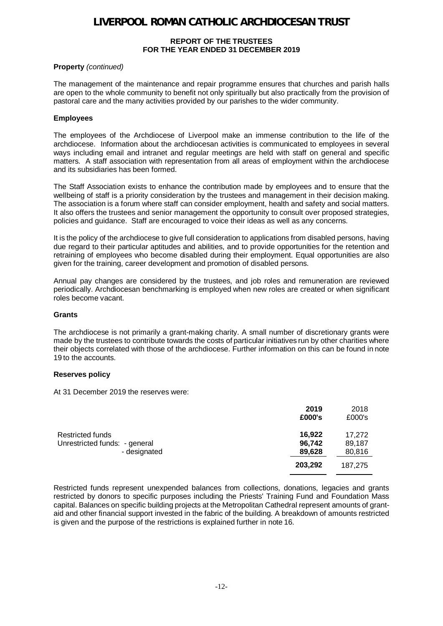#### **REPORT OF THE TRUSTEES FOR THE YEAR ENDED 31 DECEMBER 2019**

### **Property** *(continued)*

The management of the maintenance and repair programme ensures that churches and parish halls are open to the whole community to benefit not only spiritually but also practically from the provision of pastoral care and the many activities provided by our parishes to the wider community.

#### **Employees**

The employees of the Archdiocese of Liverpool make an immense contribution to the life of the archdiocese. Information about the archdiocesan activities is communicated to employees in several ways including email and intranet and regular meetings are held with staff on general and specific matters. A staff association with representation from all areas of employment within the archdiocese and its subsidiaries has been formed.

The Staff Association exists to enhance the contribution made by employees and to ensure that the wellbeing of staff is a priority consideration by the trustees and management in their decision making. The association is a forum where staff can consider employment, health and safety and social matters. It also offers the trustees and senior management the opportunity to consult over proposed strategies, policies and guidance. Staff are encouraged to voice their ideas as well as any concerns.

It is the policy of the archdiocese to give full consideration to applications from disabled persons, having due regard to their particular aptitudes and abilities, and to provide opportunities for the retention and retraining of employees who become disabled during their employment. Equal opportunities are also given for the training, career development and promotion of disabled persons.

Annual pay changes are considered by the trustees, and job roles and remuneration are reviewed periodically. Archdiocesan benchmarking is employed when new roles are created or when significant roles become vacant.

#### **Grants**

The archdiocese is not primarily a grant-making charity. A small number of discretionary grants were made by the trustees to contribute towards the costs of particular initiatives run by other charities where their objects correlated with those of the archdiocese. Further information on this can be found in note 19 to the accounts.

### **Reserves policy**

At 31 December 2019 the reserves were:

|                                                                   | 2019<br>£000's             | 2018<br>£000's             |
|-------------------------------------------------------------------|----------------------------|----------------------------|
| Restricted funds<br>Unrestricted funds: - general<br>- designated | 16,922<br>96,742<br>89,628 | 17,272<br>89,187<br>80,816 |
|                                                                   | 203,292                    | 187.275                    |

Restricted funds represent unexpended balances from collections, donations, legacies and grants restricted by donors to specific purposes including the Priests' Training Fund and Foundation Mass capital. Balances on specific building projects at the Metropolitan Cathedral represent amounts of grantaid and other financial support invested in the fabric of the building. A breakdown of amounts restricted is given and the purpose of the restrictions is explained further in note 16.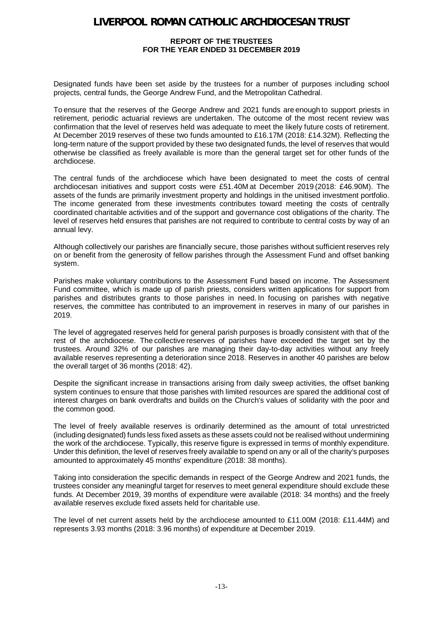#### **REPORT OF THE TRUSTEES FOR THE YEAR ENDED 31 DECEMBER 2019**

Designated funds have been set aside by the trustees for a number of purposes including school projects, central funds, the George Andrew Fund, and the Metropolitan Cathedral.   

To ensure that the reserves of the George Andrew and 2021 funds are enough to support priests in retirement, periodic actuarial reviews are undertaken. The outcome of the most recent review was confirmation that the level of reserves held was adequate to meet the likely future costs of retirement. At December 2019 reserves of these two funds amounted to £16.17M (2018: £14.32M). Reflecting the long-term nature of the support provided by these two designated funds, the level of reserves that would otherwise be classified as freely available is more than the general target set for other funds of the archdiocese.

The central funds of the archdiocese which have been designated to meet the costs of central archdiocesan initiatives and support costs were £51.40M at December 2019 (2018: £46.90M). The assets of the funds are primarily investment property and holdings in the unitised investment portfolio. The income generated from these investments contributes toward meeting the costs of centrally coordinated charitable activities and of the support and governance cost obligations of the charity. The level of reserves held ensures that parishes are not required to contribute to central costs by way of an annual levy.   

Although collectively our parishes are financially secure, those parishes without sufficient reserves rely on or benefit from the generosity of fellow parishes through the Assessment Fund and offset banking system.  

Parishes make voluntary contributions to the Assessment Fund based on income. The Assessment Fund committee, which is made up of parish priests, considers written applications for support from parishes and distributes grants to those parishes in need. In focusing on parishes with negative reserves, the committee has contributed to an improvement in reserves in many of our parishes in 2019.  

The level of aggregated reserves held for general parish purposes is broadly consistent with that of the rest of the archdiocese. The collective reserves of parishes have exceeded the target set by the trustees. Around 32% of our parishes are managing their day-to-day activities without any freely available reserves representing a deterioration since 2018. Reserves in another 40 parishes are below the overall target of 36 months (2018: 42).

Despite the significant increase in transactions arising from daily sweep activities, the offset banking system continues to ensure that those parishes with limited resources are spared the additional cost of interest charges on bank overdrafts and builds on the Church's values of solidarity with the poor and the common good.

The level of freely available reserves is ordinarily determined as the amount of total unrestricted (including designated) funds less fixed assets as these assets could not be realised without undermining the work of the archdiocese. Typically, this reserve figure is expressed in terms of monthly expenditure. Under this definition, the level of reserves freely available to spend on any or all of the charity's purposes amounted to approximately 45 months' expenditure (2018: 38 months).

Taking into consideration the specific demands in respect of the George Andrew and 2021 funds, the trustees consider any meaningful target for reserves to meet general expenditure should exclude these funds. At December 2019, 39 months of expenditure were available (2018: 34 months) and the freely available reserves exclude fixed assets held for charitable use.

The level of net current assets held by the archdiocese amounted to £11.00M (2018: £11.44M) and represents 3.93 months (2018: 3.96 months) of expenditure at December 2019.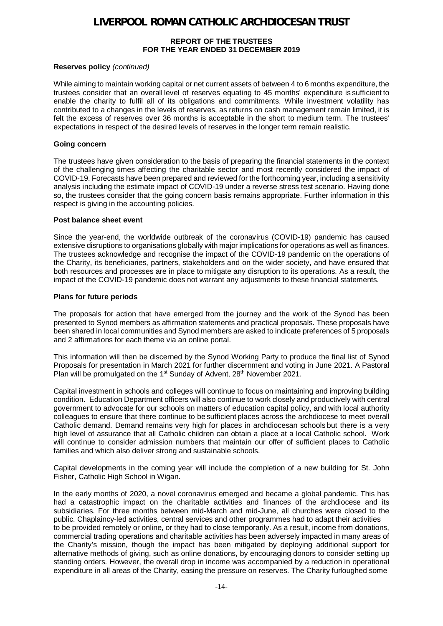#### **REPORT OF THE TRUSTEES FOR THE YEAR ENDED 31 DECEMBER 2019**

### **Reserves policy** *(continued)*

While aiming to maintain working capital or net current assets of between 4 to 6 months expenditure, the trustees consider that an overall level of reserves equating to 45 months' expenditure is sufficient to enable the charity to fulfil all of its obligations and commitments. While investment volatility has contributed to a changes in the levels of reserves, as returns on cash management remain limited, it is felt the excess of reserves over 36 months is acceptable in the short to medium term. The trustees' expectations in respect of the desired levels of reserves in the longer term remain realistic.  

#### **Going concern**

The trustees have given consideration to the basis of preparing the financial statements in the context of the challenging times affecting the charitable sector and most recently considered the impact of COVID-19. Forecasts have been prepared and reviewed for the forthcoming year, including a sensitivity analysis including the estimate impact of COVID-19 under a reverse stress test scenario. Having done so, the trustees consider that the going concern basis remains appropriate. Further information in this respect is giving in the accounting policies.

#### **Post balance sheet event**

Since the year-end, the worldwide outbreak of the coronavirus (COVID-19) pandemic has caused extensive disruptions to organisations globally with major implications for operations as well as finances. The trustees acknowledge and recognise the impact of the COVID-19 pandemic on the operations of the Charity, its beneficiaries, partners, stakeholders and on the wider society, and have ensured that both resources and processes are in place to mitigate any disruption to its operations. As a result, the impact of the COVID-19 pandemic does not warrant any adjustments to these financial statements.

#### **Plans for future periods**

The proposals for action that have emerged from the journey and the work of the Synod has been presented to Synod members as affirmation statements and practical proposals. These proposals have been shared in local communities and Synod members are asked to indicate preferences of 5 proposals and 2 affirmations for each theme via an online portal.

This information will then be discerned by the Synod Working Party to produce the final list of Synod Proposals for presentation in March 2021 for further discernment and voting in June 2021. A Pastoral Plan will be promulgated on the 1<sup>st</sup> Sunday of Advent, 28<sup>th</sup> November 2021.

Capital investment in schools and colleges will continue to focus on maintaining and improving building condition. Education Department officers will also continue to work closely and productively with central government to advocate for our schools on matters of education capital policy, and with local authority colleagues to ensure that there continue to be sufficient places across the archdiocese to meet overall Catholic demand. Demand remains very high for places in archdiocesan schools but there is a very high level of assurance that all Catholic children can obtain a place at a local Catholic school. Work will continue to consider admission numbers that maintain our offer of sufficient places to Catholic families and which also deliver strong and sustainable schools.

Capital developments in the coming year will include the completion of a new building for St. John Fisher, Catholic High School in Wigan.

In the early months of 2020, a novel coronavirus emerged and became a global pandemic. This has had a catastrophic impact on the charitable activities and finances of the archdiocese and its subsidiaries. For three months between mid-March and mid-June, all churches were closed to the public. Chaplaincy-led activities, central services and other programmes had to adapt their activities to be provided remotely or online, or they had to close temporarily. As a result, income from donations, commercial trading operations and charitable activities has been adversely impacted in many areas of the Charity's mission, though the impact has been mitigated by deploying additional support for alternative methods of giving, such as online donations, by encouraging donors to consider setting up standing orders. However, the overall drop in income was accompanied by a reduction in operational expenditure in all areas of the Charity, easing the pressure on reserves. The Charity furloughed some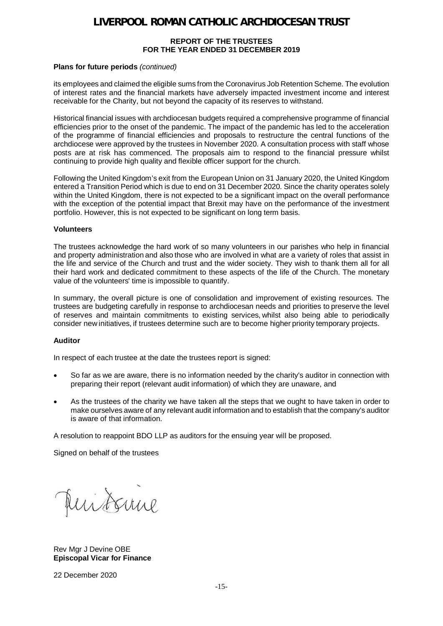#### **REPORT OF THE TRUSTEES FOR THE YEAR ENDED 31 DECEMBER 2019**

#### **Plans for future periods** *(continued)*

its employees and claimed the eligible sums from the Coronavirus Job Retention Scheme. The evolution of interest rates and the financial markets have adversely impacted investment income and interest receivable for the Charity, but not beyond the capacity of its reserves to withstand.

Historical financial issues with archdiocesan budgets required a comprehensive programme of financial efficiencies prior to the onset of the pandemic. The impact of the pandemic has led to the acceleration of the programme of financial efficiencies and proposals to restructure the central functions of the archdiocese were approved by the trustees in November 2020. A consultation process with staff whose posts are at risk has commenced. The proposals aim to respond to the financial pressure whilst continuing to provide high quality and flexible officer support for the church.

Following the United Kingdom's exit from the European Union on 31 January 2020, the United Kingdom entered a Transition Period which is due to end on 31 December 2020. Since the charity operates solely within the United Kingdom, there is not expected to be a significant impact on the overall performance with the exception of the potential impact that Brexit may have on the performance of the investment portfolio. However, this is not expected to be significant on long term basis.

#### **Volunteers**

The trustees acknowledge the hard work of so many volunteers in our parishes who help in financial and property administration and also those who are involved in what are a variety of roles that assist in the life and service of the Church and trust and the wider society. They wish to thank them all for all their hard work and dedicated commitment to these aspects of the life of the Church. The monetary value of the volunteers' time is impossible to quantify.  

In summary, the overall picture is one of consolidation and improvement of existing resources. The trustees are budgeting carefully in response to archdiocesan needs and priorities to preserve the level of reserves and maintain commitments to existing services, whilst also being able to periodically consider new initiatives, if trustees determine such are to become higher priority temporary projects.

#### **Auditor**

In respect of each trustee at the date the trustees report is signed:

- So far as we are aware, there is no information needed by the charity's auditor in connection with preparing their report (relevant audit information) of which they are unaware, and
- As the trustees of the charity we have taken all the steps that we ought to have taken in order to make ourselves aware of any relevant audit information and to establish that the company's auditor is aware of that information.

A resolution to reappoint BDO LLP as auditors for the ensuing year will be proposed.

Signed on behalf of the trustees

uitsure

Rev Mgr J Devine OBE **Episcopal Vicar for Finance**

22 December 2020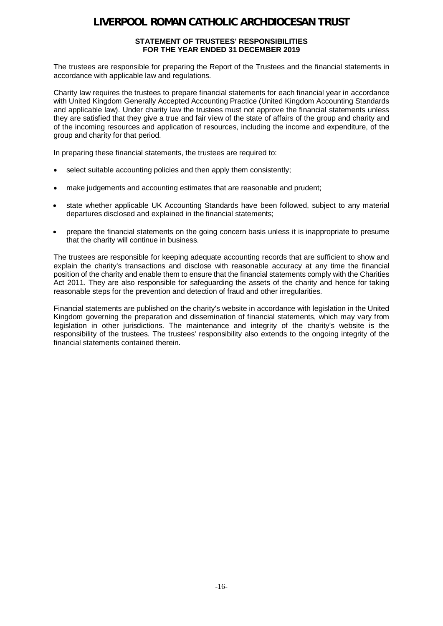#### **STATEMENT OF TRUSTEES' RESPONSIBILITIES FOR THE YEAR ENDED 31 DECEMBER 2019**

The trustees are responsible for preparing the Report of the Trustees and the financial statements in accordance with applicable law and regulations.

Charity law requires the trustees to prepare financial statements for each financial year in accordance with United Kingdom Generally Accepted Accounting Practice (United Kingdom Accounting Standards and applicable law). Under charity law the trustees must not approve the financial statements unless they are satisfied that they give a true and fair view of the state of affairs of the group and charity and of the incoming resources and application of resources, including the income and expenditure, of the group and charity for that period.

In preparing these financial statements, the trustees are required to:

- select suitable accounting policies and then apply them consistently;
- make judgements and accounting estimates that are reasonable and prudent;
- state whether applicable UK Accounting Standards have been followed, subject to any material departures disclosed and explained in the financial statements;
- · prepare the financial statements on the going concern basis unless it is inappropriate to presume that the charity will continue in business.

The trustees are responsible for keeping adequate accounting records that are sufficient to show and explain the charity's transactions and disclose with reasonable accuracy at any time the financial position of the charity and enable them to ensure that the financial statements comply with the Charities Act 2011. They are also responsible for safeguarding the assets of the charity and hence for taking reasonable steps for the prevention and detection of fraud and other irregularities.

Financial statements are published on the charity's website in accordance with legislation in the United Kingdom governing the preparation and dissemination of financial statements, which may vary from legislation in other jurisdictions. The maintenance and integrity of the charity's website is the responsibility of the trustees. The trustees' responsibility also extends to the ongoing integrity of the financial statements contained therein.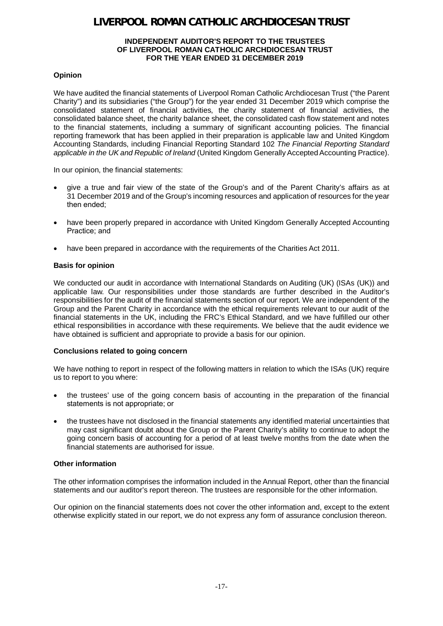#### **INDEPENDENT AUDITOR'S REPORT TO THE TRUSTEES OF LIVERPOOL ROMAN CATHOLIC ARCHDIOCESAN TRUST FOR THE YEAR ENDED 31 DECEMBER 2019**

### **Opinion**

We have audited the financial statements of Liverpool Roman Catholic Archdiocesan Trust ("the Parent Charity") and its subsidiaries ("the Group") for the year ended 31 December 2019 which comprise the consolidated statement of financial activities, the charity statement of financial activities, the consolidated balance sheet, the charity balance sheet, the consolidated cash flow statement and notes to the financial statements, including a summary of significant accounting policies. The financial reporting framework that has been applied in their preparation is applicable law and United Kingdom Accounting Standards, including Financial Reporting Standard 102 *The Financial Reporting Standard applicable in the UK and Republic of Ireland* (United Kingdom Generally Accepted Accounting Practice).

In our opinion, the financial statements:

- · give a true and fair view of the state of the Group's and of the Parent Charity's affairs as at 31 December 2019 and of the Group's incoming resources and application of resources for the year then ended;
- have been properly prepared in accordance with United Kingdom Generally Accepted Accounting Practice; and
- have been prepared in accordance with the requirements of the Charities Act 2011.

### **Basis for opinion**

We conducted our audit in accordance with International Standards on Auditing (UK) (ISAs (UK)) and applicable law. Our responsibilities under those standards are further described in the Auditor's responsibilities for the audit of the financial statements section of our report. We are independent of the Group and the Parent Charity in accordance with the ethical requirements relevant to our audit of the financial statements in the UK, including the FRC's Ethical Standard, and we have fulfilled our other ethical responsibilities in accordance with these requirements. We believe that the audit evidence we have obtained is sufficient and appropriate to provide a basis for our opinion.

#### **Conclusions related to going concern**

We have nothing to report in respect of the following matters in relation to which the ISAs (UK) require us to report to you where:

- · the trustees' use of the going concern basis of accounting in the preparation of the financial statements is not appropriate; or
- · the trustees have not disclosed in the financial statements any identified material uncertainties that may cast significant doubt about the Group or the Parent Charity's ability to continue to adopt the going concern basis of accounting for a period of at least twelve months from the date when the financial statements are authorised for issue.

#### **Other information**

The other information comprises the information included in the Annual Report, other than the financial statements and our auditor's report thereon. The trustees are responsible for the other information.

Our opinion on the financial statements does not cover the other information and, except to the extent otherwise explicitly stated in our report, we do not express any form of assurance conclusion thereon.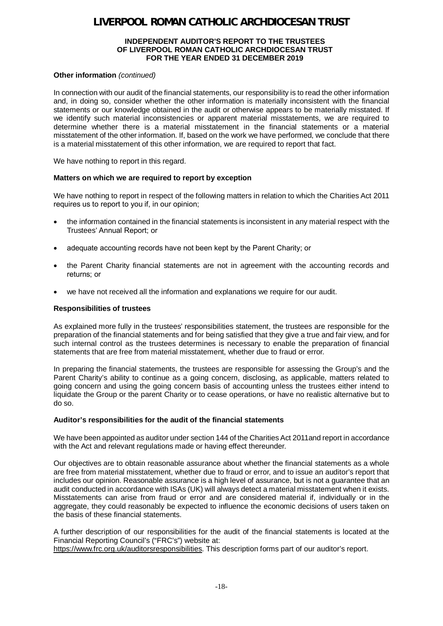#### **INDEPENDENT AUDITOR'S REPORT TO THE TRUSTEES OF LIVERPOOL ROMAN CATHOLIC ARCHDIOCESAN TRUST FOR THE YEAR ENDED 31 DECEMBER 2019**

#### **Other information** *(continued)*

In connection with our audit of the financial statements, our responsibility is to read the other information and, in doing so, consider whether the other information is materially inconsistent with the financial statements or our knowledge obtained in the audit or otherwise appears to be materially misstated. If we identify such material inconsistencies or apparent material misstatements, we are required to determine whether there is a material misstatement in the financial statements or a material misstatement of the other information. If, based on the work we have performed, we conclude that there is a material misstatement of this other information, we are required to report that fact.

We have nothing to report in this regard.

#### **Matters on which we are required to report by exception**

We have nothing to report in respect of the following matters in relation to which the Charities Act 2011 requires us to report to you if, in our opinion;

- · the information contained in the financial statements is inconsistent in any material respect with the Trustees' Annual Report; or
- adequate accounting records have not been kept by the Parent Charity; or
- · the Parent Charity financial statements are not in agreement with the accounting records and returns; or
- we have not received all the information and explanations we require for our audit.

#### **Responsibilities of trustees**

As explained more fully in the trustees' responsibilities statement, the trustees are responsible for the preparation of the financial statements and for being satisfied that they give a true and fair view, and for such internal control as the trustees determines is necessary to enable the preparation of financial statements that are free from material misstatement, whether due to fraud or error.

In preparing the financial statements, the trustees are responsible for assessing the Group's and the Parent Charity's ability to continue as a going concern, disclosing, as applicable, matters related to going concern and using the going concern basis of accounting unless the trustees either intend to liquidate the Group or the parent Charity or to cease operations, or have no realistic alternative but to do so.

#### **Auditor's responsibilities for the audit of the financial statements**

We have been appointed as auditor under section 144 of the Charities Act 2011and report in accordance with the Act and relevant regulations made or having effect thereunder.

Our objectives are to obtain reasonable assurance about whether the financial statements as a whole are free from material misstatement, whether due to fraud or error, and to issue an auditor's report that includes our opinion. Reasonable assurance is a high level of assurance, but is not a guarantee that an audit conducted in accordance with ISAs (UK) will always detect a material misstatement when it exists. Misstatements can arise from fraud or error and are considered material if, individually or in the aggregate, they could reasonably be expected to influence the economic decisions of users taken on the basis of these financial statements.

A further description of our responsibilities for the audit of the financial statements is located at the Financial Reporting Council's ("FRC's") website at:

https://www.frc.org.uk/auditorsresponsibilities. This description forms part of our auditor's report.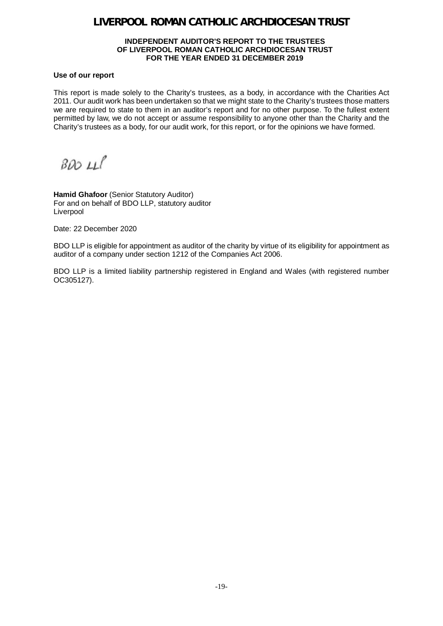#### **INDEPENDENT AUDITOR'S REPORT TO THE TRUSTEES OF LIVERPOOL ROMAN CATHOLIC ARCHDIOCESAN TRUST FOR THE YEAR ENDED 31 DECEMBER 2019**

#### **Use of our report**

This report is made solely to the Charity's trustees, as a body, in accordance with the Charities Act 2011. Our audit work has been undertaken so that we might state to the Charity's trustees those matters we are required to state to them in an auditor's report and for no other purpose. To the fullest extent permitted by law, we do not accept or assume responsibility to anyone other than the Charity and the Charity's trustees as a body, for our audit work, for this report, or for the opinions we have formed.

 $BADLL$ 

**Hamid Ghafoor** (Senior Statutory Auditor) For and on behalf of BDO LLP, statutory auditor Liverpool

Date: 22 December 2020

BDO LLP is eligible for appointment as auditor of the charity by virtue of its eligibility for appointment as auditor of a company under section 1212 of the Companies Act 2006.

BDO LLP is a limited liability partnership registered in England and Wales (with registered number OC305127).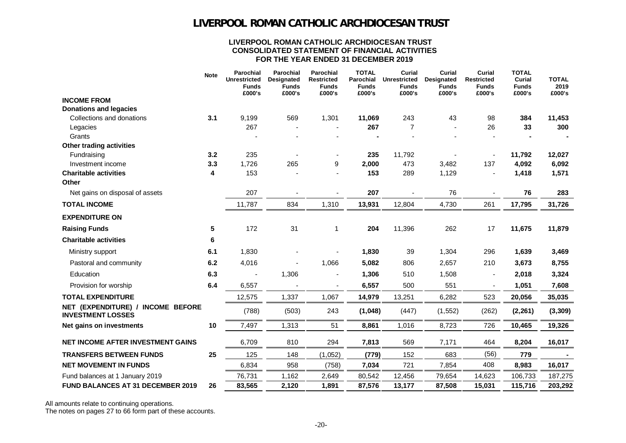#### **LIVERPOOL ROMAN CATHOLIC ARCHDIOCESAN TRUST CONSOLIDATED STATEMENT OF FINANCIAL ACTIVITIES FOR THE YEAR ENDED 31 DECEMBER 2019**

|                                                               | <b>Note</b> | <b>Parochial</b><br><b>Unrestricted</b><br><b>Funds</b><br>£000's | Parochial<br>Designated<br><b>Funds</b><br>£000's | Parochial<br><b>Restricted</b><br><b>Funds</b><br>£000's | <b>TOTAL</b><br>Parochial<br><b>Funds</b><br>£000's | Curial<br><b>Unrestricted</b><br><b>Funds</b><br>£000's | Curial<br>Designated<br><b>Funds</b><br>£000's | Curial<br><b>Restricted</b><br><b>Funds</b><br>£000's | <b>TOTAL</b><br>Curial<br><b>Funds</b><br>£000's | <b>TOTAL</b><br>2019<br>£000's |
|---------------------------------------------------------------|-------------|-------------------------------------------------------------------|---------------------------------------------------|----------------------------------------------------------|-----------------------------------------------------|---------------------------------------------------------|------------------------------------------------|-------------------------------------------------------|--------------------------------------------------|--------------------------------|
| <b>INCOME FROM</b>                                            |             |                                                                   |                                                   |                                                          |                                                     |                                                         |                                                |                                                       |                                                  |                                |
| <b>Donations and legacies</b>                                 |             |                                                                   |                                                   |                                                          |                                                     |                                                         |                                                |                                                       |                                                  |                                |
| Collections and donations                                     | 3.1         | 9,199                                                             | 569                                               | 1,301                                                    | 11,069                                              | 243                                                     | 43                                             | 98                                                    | 384                                              | 11,453                         |
| Legacies                                                      |             | 267                                                               |                                                   |                                                          | 267                                                 | $\overline{7}$                                          |                                                | 26                                                    | 33                                               | 300                            |
| Grants                                                        |             |                                                                   |                                                   |                                                          |                                                     |                                                         |                                                |                                                       |                                                  |                                |
| Other trading activities                                      |             |                                                                   |                                                   |                                                          |                                                     |                                                         |                                                |                                                       |                                                  |                                |
| Fundraising                                                   | 3.2         | 235                                                               |                                                   |                                                          | 235                                                 | 11,792                                                  |                                                |                                                       | 11,792                                           | 12,027                         |
| Investment income<br><b>Charitable activities</b>             | 3.3         | 1,726<br>153                                                      | 265                                               | 9                                                        | 2,000                                               | 473                                                     | 3,482                                          | 137                                                   | 4,092                                            | 6,092                          |
| Other                                                         | 4           |                                                                   |                                                   |                                                          | 153                                                 | 289                                                     | 1,129                                          |                                                       | 1,418                                            | 1,571                          |
| Net gains on disposal of assets                               |             | 207                                                               |                                                   |                                                          | 207                                                 |                                                         | 76                                             |                                                       | 76                                               | 283                            |
| <b>TOTAL INCOME</b>                                           |             | 11,787                                                            | 834                                               | 1,310                                                    | 13,931                                              | 12,804                                                  | 4,730                                          | 261                                                   | 17,795                                           | 31,726                         |
| <b>EXPENDITURE ON</b>                                         |             |                                                                   |                                                   |                                                          |                                                     |                                                         |                                                |                                                       |                                                  |                                |
| <b>Raising Funds</b>                                          | 5           | 172                                                               | 31                                                | 1                                                        | 204                                                 | 11,396                                                  | 262                                            | 17                                                    | 11,675                                           | 11,879                         |
| <b>Charitable activities</b>                                  | 6           |                                                                   |                                                   |                                                          |                                                     |                                                         |                                                |                                                       |                                                  |                                |
| Ministry support                                              | 6.1         | 1,830                                                             |                                                   |                                                          | 1,830                                               | 39                                                      | 1,304                                          | 296                                                   | 1,639                                            | 3,469                          |
| Pastoral and community                                        | 6.2         | 4,016                                                             |                                                   | 1,066                                                    | 5,082                                               | 806                                                     | 2,657                                          | 210                                                   | 3,673                                            | 8,755                          |
| Education                                                     | 6.3         |                                                                   | 1,306                                             |                                                          | 1,306                                               | 510                                                     | 1,508                                          | $\blacksquare$                                        | 2,018                                            | 3,324                          |
| Provision for worship                                         | 6.4         | 6,557                                                             |                                                   | $\overline{\phantom{a}}$                                 | 6,557                                               | 500                                                     | 551                                            | $\overline{\phantom{a}}$                              | 1,051                                            | 7,608                          |
| <b>TOTAL EXPENDITURE</b>                                      |             | 12,575                                                            | 1,337                                             | 1,067                                                    | 14,979                                              | 13,251                                                  | 6,282                                          | 523                                                   | 20,056                                           | 35,035                         |
| NET (EXPENDITURE) / INCOME BEFORE<br><b>INVESTMENT LOSSES</b> |             | (788)                                                             | (503)                                             | 243                                                      | (1,048)                                             | (447)                                                   | (1, 552)                                       | (262)                                                 | (2, 261)                                         | (3, 309)                       |
| Net gains on investments                                      | 10          | 7,497                                                             | 1,313                                             | 51                                                       | 8,861                                               | 1,016                                                   | 8,723                                          | 726                                                   | 10,465                                           | 19,326                         |
| NET INCOME AFTER INVESTMENT GAINS                             |             | 6,709                                                             | 810                                               | 294                                                      | 7,813                                               | 569                                                     | 7,171                                          | 464                                                   | 8,204                                            | 16,017                         |
| <b>TRANSFERS BETWEEN FUNDS</b>                                | 25          | 125                                                               | 148                                               | (1,052)                                                  | (779)                                               | 152                                                     | 683                                            | (56)                                                  | 779                                              |                                |
| <b>NET MOVEMENT IN FUNDS</b>                                  |             | 6,834                                                             | 958                                               | (758)                                                    | 7,034                                               | 721                                                     | 7,854                                          | 408                                                   | 8,983                                            | 16,017                         |
| Fund balances at 1 January 2019                               |             | 76,731                                                            | 1,162                                             | 2,649                                                    | 80,542                                              | 12,456                                                  | 79,654                                         | 14,623                                                | 106,733                                          | 187,275                        |
| <b>FUND BALANCES AT 31 DECEMBER 2019</b>                      | 26          | 83,565                                                            | 2,120                                             | 1,891                                                    | 87,576                                              | 13,177                                                  | 87,508                                         | 15,031                                                | 115,716                                          | 203,292                        |

All amounts relate to continuing operations.

The notes on pages 27 to 66 form part of these accounts.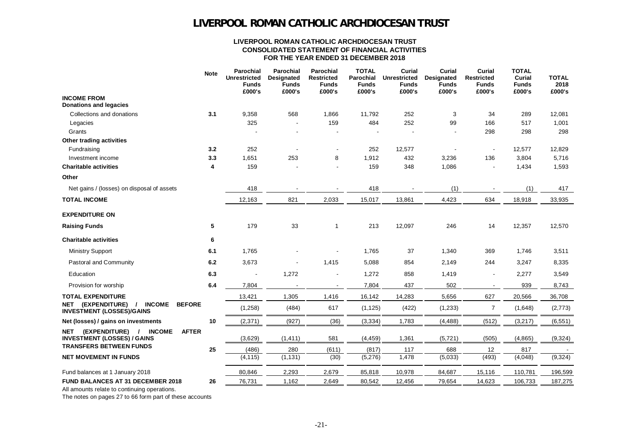#### **LIVERPOOL ROMAN CATHOLIC ARCHDIOCESAN TRUST CONSOLIDATED STATEMENT OF FINANCIAL ACTIVITIES FOR THE YEAR ENDED 31 DECEMBER 2018**

|                                                                                                        | <b>Note</b> | Parochial<br><b>Unrestricted</b><br><b>Funds</b><br>£000's | Parochial<br>Designated<br><b>Funds</b><br>£000's | Parochial<br><b>Restricted</b><br><b>Funds</b><br>£000's | <b>TOTAL</b><br>Parochial<br><b>Funds</b><br>£000's | Curial<br><b>Unrestricted</b><br><b>Funds</b><br>£000's | Curial<br>Designated<br><b>Funds</b><br>£000's | Curial<br><b>Restricted</b><br><b>Funds</b><br>£000's | <b>TOTAL</b><br>Curial<br><b>Funds</b><br>£000's | <b>TOTAL</b><br>2018<br>£000's |
|--------------------------------------------------------------------------------------------------------|-------------|------------------------------------------------------------|---------------------------------------------------|----------------------------------------------------------|-----------------------------------------------------|---------------------------------------------------------|------------------------------------------------|-------------------------------------------------------|--------------------------------------------------|--------------------------------|
| <b>INCOME FROM</b><br><b>Donations and legacies</b>                                                    |             |                                                            |                                                   |                                                          |                                                     |                                                         |                                                |                                                       |                                                  |                                |
| Collections and donations                                                                              | 3.1         | 9,358                                                      | 568                                               | 1,866                                                    | 11,792                                              | 252                                                     | 3                                              | 34                                                    | 289                                              | 12,081                         |
| Legacies                                                                                               |             | 325                                                        |                                                   | 159                                                      | 484                                                 | 252                                                     | 99                                             | 166                                                   | 517                                              | 1,001                          |
| Grants                                                                                                 |             |                                                            |                                                   |                                                          |                                                     |                                                         |                                                | 298                                                   | 298                                              | 298                            |
| Other trading activities                                                                               |             |                                                            |                                                   |                                                          |                                                     |                                                         |                                                |                                                       |                                                  |                                |
| Fundraising                                                                                            | 3.2         | 252                                                        |                                                   |                                                          | 252                                                 | 12,577                                                  |                                                |                                                       | 12,577                                           | 12,829                         |
| Investment income                                                                                      | 3.3         | 1,651                                                      | 253                                               | 8                                                        | 1,912                                               | 432                                                     | 3,236                                          | 136                                                   | 3,804                                            | 5,716                          |
| <b>Charitable activities</b>                                                                           | 4           | 159                                                        |                                                   |                                                          | 159                                                 | 348                                                     | 1,086                                          |                                                       | 1,434                                            | 1,593                          |
| Other                                                                                                  |             |                                                            |                                                   |                                                          |                                                     |                                                         |                                                |                                                       |                                                  |                                |
| Net gains / (losses) on disposal of assets                                                             |             | 418                                                        |                                                   |                                                          | 418                                                 |                                                         | (1)                                            |                                                       | (1)                                              | 417                            |
| <b>TOTAL INCOME</b>                                                                                    |             | 12,163                                                     | 821                                               | 2,033                                                    | 15,017                                              | 13,861                                                  | 4,423                                          | 634                                                   | 18,918                                           | 33,935                         |
| <b>EXPENDITURE ON</b>                                                                                  |             |                                                            |                                                   |                                                          |                                                     |                                                         |                                                |                                                       |                                                  |                                |
| <b>Raising Funds</b>                                                                                   | 5           | 179                                                        | 33                                                | 1                                                        | 213                                                 | 12,097                                                  | 246                                            | 14                                                    | 12,357                                           | 12,570                         |
| <b>Charitable activities</b>                                                                           | 6           |                                                            |                                                   |                                                          |                                                     |                                                         |                                                |                                                       |                                                  |                                |
| <b>Ministry Support</b>                                                                                | 6.1         | 1,765                                                      |                                                   |                                                          | 1,765                                               | 37                                                      | 1,340                                          | 369                                                   | 1,746                                            | 3,511                          |
| Pastoral and Community                                                                                 | 6.2         | 3,673                                                      |                                                   | 1,415                                                    | 5,088                                               | 854                                                     | 2,149                                          | 244                                                   | 3,247                                            | 8,335                          |
| Education                                                                                              | 6.3         |                                                            | 1,272                                             |                                                          | 1,272                                               | 858                                                     | 1,419                                          |                                                       | 2,277                                            | 3,549                          |
| Provision for worship                                                                                  | 6.4         | 7,804                                                      |                                                   | $\overline{\phantom{a}}$                                 | 7,804                                               | 437                                                     | 502                                            |                                                       | 939                                              | 8,743                          |
| <b>TOTAL EXPENDITURE</b>                                                                               |             | 13,421                                                     | 1,305                                             | 1,416                                                    | 16,142                                              | 14,283                                                  | 5,656                                          | 627                                                   | 20,566                                           | 36,708                         |
| (EXPENDITURE)<br><b>INCOME</b><br><b>BEFORE</b><br>NET<br>$\prime$<br><b>INVESTMENT (LOSSES)/GAINS</b> |             | (1,258)                                                    | (484)                                             | 617                                                      | (1, 125)                                            | (422)                                                   | (1, 233)                                       | $\overline{7}$                                        | (1,648)                                          | (2,773)                        |
| Net (losses) / gains on investments                                                                    | 10          | (2, 371)                                                   | (927)                                             | (36)                                                     | (3, 334)                                            | 1,783                                                   | (4, 488)                                       | (512)                                                 | (3,217)                                          | (6, 551)                       |
| (EXPENDITURE) /<br><b>INCOME</b><br><b>AFTER</b><br>NET<br><b>INVESTMENT (LOSSES) / GAINS</b>          |             | (3,629)                                                    | (1, 411)                                          | 581                                                      | (4, 459)                                            | 1,361                                                   | (5, 721)                                       | (505)                                                 | (4,865)                                          | (9,324)                        |
| <b>TRANSFERS BETWEEN FUNDS</b>                                                                         | 25          | (486)                                                      | 280                                               | (611)                                                    | (817)                                               | 117                                                     | 688                                            | 12                                                    | 817                                              |                                |
| <b>NET MOVEMENT IN FUNDS</b>                                                                           |             | (4, 115)                                                   | (1, 131)                                          | (30)                                                     | (5,276)                                             | 1,478                                                   | (5,033)                                        | (493)                                                 | (4,048)                                          | (9,324)                        |
| Fund balances at 1 January 2018                                                                        |             | 80,846                                                     | 2,293                                             | 2,679                                                    | 85,818                                              | 10,978                                                  | 84,687                                         | 15,116                                                | 110,781                                          | 196,599                        |
| <b>FUND BALANCES AT 31 DECEMBER 2018</b>                                                               | 26          | 76,731                                                     | 1,162                                             | 2,649                                                    | 80,542                                              | 12,456                                                  | 79,654                                         | 14,623                                                | 106,733                                          | 187,275                        |
|                                                                                                        |             |                                                            |                                                   |                                                          |                                                     |                                                         |                                                |                                                       |                                                  |                                |

All amounts relate to continuing operations.

The notes on pages 27 to 66 form part of these accounts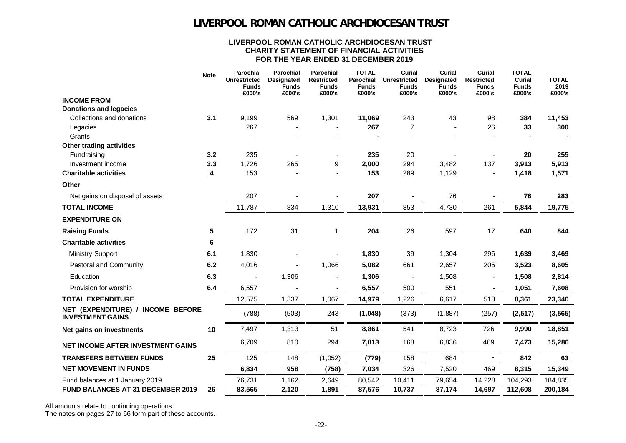#### **LIVERPOOL ROMAN CATHOLIC ARCHDIOCESAN TRUST CHARITY STATEMENT OF FINANCIAL ACTIVITIES FOR THE YEAR ENDED 31 DECEMBER 2019**

|                                                              | <b>Note</b> | <b>Parochial</b><br><b>Unrestricted</b><br><b>Funds</b><br>£000's | Parochial<br><b>Designated</b><br><b>Funds</b><br>£000's | <b>Parochial</b><br><b>Restricted</b><br><b>Funds</b><br>£000's | <b>TOTAL</b><br><b>Parochial</b><br><b>Funds</b><br>£000's | <b>Curial</b><br><b>Unrestricted</b><br><b>Funds</b><br>£000's | <b>Curial</b><br><b>Designated</b><br><b>Funds</b><br>£000's | <b>Curial</b><br><b>Restricted</b><br><b>Funds</b><br>£000's | <b>TOTAL</b><br>Curial<br><b>Funds</b><br>£000's | <b>TOTAL</b><br>2019<br>£000's |
|--------------------------------------------------------------|-------------|-------------------------------------------------------------------|----------------------------------------------------------|-----------------------------------------------------------------|------------------------------------------------------------|----------------------------------------------------------------|--------------------------------------------------------------|--------------------------------------------------------------|--------------------------------------------------|--------------------------------|
| <b>INCOME FROM</b>                                           |             |                                                                   |                                                          |                                                                 |                                                            |                                                                |                                                              |                                                              |                                                  |                                |
| <b>Donations and legacies</b>                                |             |                                                                   |                                                          |                                                                 |                                                            |                                                                |                                                              |                                                              |                                                  |                                |
| Collections and donations                                    | 3.1         | 9,199                                                             | 569                                                      | 1,301                                                           | 11,069                                                     | 243                                                            | 43                                                           | 98                                                           | 384                                              | 11,453                         |
| Legacies                                                     |             | 267                                                               |                                                          |                                                                 | 267                                                        | $\overline{7}$                                                 |                                                              | 26                                                           | 33                                               | 300                            |
| Grants                                                       |             |                                                                   |                                                          |                                                                 |                                                            |                                                                |                                                              |                                                              |                                                  |                                |
| Other trading activities<br>Fundraising                      | 3.2         | 235                                                               |                                                          |                                                                 | 235                                                        | 20                                                             |                                                              |                                                              | 20                                               | 255                            |
| Investment income                                            | 3.3         | 1,726                                                             | 265                                                      | 9                                                               | 2,000                                                      | 294                                                            | 3,482                                                        | 137                                                          | 3,913                                            | 5,913                          |
| <b>Charitable activities</b>                                 | 4           | 153                                                               |                                                          | $\blacksquare$                                                  | 153                                                        | 289                                                            | 1,129                                                        |                                                              | 1,418                                            | 1,571                          |
| Other                                                        |             |                                                                   |                                                          |                                                                 |                                                            |                                                                |                                                              |                                                              |                                                  |                                |
| Net gains on disposal of assets                              |             | 207                                                               |                                                          |                                                                 | 207                                                        |                                                                | 76                                                           |                                                              | 76                                               | 283                            |
| <b>TOTAL INCOME</b>                                          |             | 11,787                                                            | 834                                                      | 1,310                                                           | 13,931                                                     | 853                                                            | 4,730                                                        | 261                                                          | 5,844                                            | 19,775                         |
| <b>EXPENDITURE ON</b>                                        |             |                                                                   |                                                          |                                                                 |                                                            |                                                                |                                                              |                                                              |                                                  |                                |
| <b>Raising Funds</b>                                         | 5           | 172                                                               | 31                                                       | 1                                                               | 204                                                        | 26                                                             | 597                                                          | 17                                                           | 640                                              | 844                            |
| <b>Charitable activities</b>                                 | 6           |                                                                   |                                                          |                                                                 |                                                            |                                                                |                                                              |                                                              |                                                  |                                |
| <b>Ministry Support</b>                                      | 6.1         | 1,830                                                             |                                                          |                                                                 | 1,830                                                      | 39                                                             | 1,304                                                        | 296                                                          | 1,639                                            | 3,469                          |
| Pastoral and Community                                       | 6.2         | 4,016                                                             |                                                          | 1,066                                                           | 5,082                                                      | 661                                                            | 2,657                                                        | 205                                                          | 3,523                                            | 8,605                          |
| Education                                                    | 6.3         |                                                                   | 1,306                                                    |                                                                 | 1,306                                                      | $\overline{\phantom{a}}$                                       | 1,508                                                        |                                                              | 1,508                                            | 2,814                          |
| Provision for worship                                        | 6.4         | 6,557                                                             |                                                          |                                                                 | 6,557                                                      | 500                                                            | 551                                                          |                                                              | 1,051                                            | 7,608                          |
| <b>TOTAL EXPENDITURE</b>                                     |             | 12,575                                                            | 1,337                                                    | 1,067                                                           | 14,979                                                     | 1,226                                                          | 6,617                                                        | 518                                                          | 8,361                                            | 23,340                         |
| NET (EXPENDITURE) / INCOME BEFORE<br><b>INVESTMENT GAINS</b> |             | (788)                                                             | (503)                                                    | 243                                                             | (1,048)                                                    | (373)                                                          | (1,887)                                                      | (257)                                                        | (2, 517)                                         | (3, 565)                       |
| Net gains on investments                                     | 10          | 7,497                                                             | 1,313                                                    | 51                                                              | 8,861                                                      | 541                                                            | 8,723                                                        | 726                                                          | 9,990                                            | 18,851                         |
| <b>NET INCOME AFTER INVESTMENT GAINS</b>                     |             | 6,709                                                             | 810                                                      | 294                                                             | 7,813                                                      | 168                                                            | 6,836                                                        | 469                                                          | 7,473                                            | 15,286                         |
| <b>TRANSFERS BETWEEN FUNDS</b>                               | 25          | 125                                                               | 148                                                      | (1,052)                                                         | (779)                                                      | 158                                                            | 684                                                          |                                                              | 842                                              | 63                             |
| <b>NET MOVEMENT IN FUNDS</b>                                 |             | 6,834                                                             | 958                                                      | (758)                                                           | 7,034                                                      | 326                                                            | 7,520                                                        | 469                                                          | 8,315                                            | 15,349                         |
| Fund balances at 1 January 2019                              |             | 76,731                                                            | 1,162                                                    | 2,649                                                           | 80,542                                                     | 10,411                                                         | 79,654                                                       | 14,228                                                       | 104,293                                          | 184,835                        |
| <b>FUND BALANCES AT 31 DECEMBER 2019</b>                     | 26          | 83,565                                                            | 2,120                                                    | 1,891                                                           | 87,576                                                     | 10,737                                                         | 87,174                                                       | 14,697                                                       | 112,608                                          | 200,184                        |

All amounts relate to continuing operations. The notes on pages 27 to 66 form part of these accounts.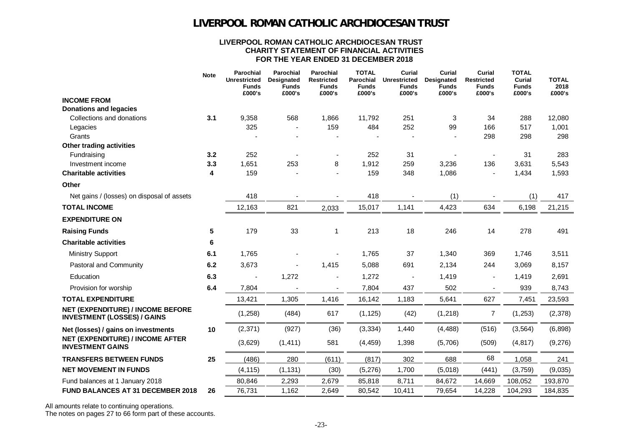#### **LIVERPOOL ROMAN CATHOLIC ARCHDIOCESAN TRUST CHARITY STATEMENT OF FINANCIAL ACTIVITIES FOR THE YEAR ENDED 31 DECEMBER 2018**

|                                                                         | <b>Note</b> | <b>Parochial</b><br><b>Unrestricted</b><br>Funds<br>£000's | <b>Parochial</b><br>Designated<br><b>Funds</b><br>£000's | <b>Parochial</b><br><b>Restricted</b><br><b>Funds</b><br>£000's | <b>TOTAL</b><br>Parochial<br><b>Funds</b><br>£000's | <b>Curial</b><br><b>Unrestricted</b><br><b>Funds</b><br>£000's | <b>Curial</b><br>Designated<br><b>Funds</b><br>£000's | Curial<br><b>Restricted</b><br>Funds<br>£000's | <b>TOTAL</b><br>Curial<br><b>Funds</b><br>£000's | <b>TOTAL</b><br>2018<br>£000's |
|-------------------------------------------------------------------------|-------------|------------------------------------------------------------|----------------------------------------------------------|-----------------------------------------------------------------|-----------------------------------------------------|----------------------------------------------------------------|-------------------------------------------------------|------------------------------------------------|--------------------------------------------------|--------------------------------|
| <b>INCOME FROM</b>                                                      |             |                                                            |                                                          |                                                                 |                                                     |                                                                |                                                       |                                                |                                                  |                                |
| <b>Donations and legacies</b>                                           |             |                                                            |                                                          |                                                                 |                                                     |                                                                |                                                       |                                                |                                                  |                                |
| Collections and donations                                               | 3.1         | 9,358                                                      | 568                                                      | 1,866                                                           | 11,792                                              | 251                                                            | 3                                                     | 34                                             | 288                                              | 12,080                         |
| Legacies                                                                |             | 325                                                        |                                                          | 159                                                             | 484                                                 | 252                                                            | 99                                                    | 166                                            | 517                                              | 1,001                          |
| Grants                                                                  |             |                                                            |                                                          |                                                                 |                                                     |                                                                |                                                       | 298                                            | 298                                              | 298                            |
| <b>Other trading activities</b>                                         | 3.2         | 252                                                        |                                                          |                                                                 |                                                     |                                                                |                                                       |                                                |                                                  | 283                            |
| Fundraising<br>Investment income                                        | 3.3         | 1,651                                                      | 253                                                      | 8                                                               | 252<br>1,912                                        | 31<br>259                                                      | 3,236                                                 | 136                                            | 31<br>3,631                                      | 5,543                          |
| <b>Charitable activities</b>                                            | 4           | 159                                                        |                                                          |                                                                 | 159                                                 | 348                                                            | 1,086                                                 |                                                | 1,434                                            | 1,593                          |
| Other                                                                   |             |                                                            |                                                          |                                                                 |                                                     |                                                                |                                                       |                                                |                                                  |                                |
| Net gains / (losses) on disposal of assets                              |             | 418                                                        |                                                          |                                                                 | 418                                                 |                                                                | (1)                                                   |                                                | (1)                                              | 417                            |
| <b>TOTAL INCOME</b>                                                     |             | 12,163                                                     | 821                                                      | 2,033                                                           | 15,017                                              | 1,141                                                          | 4,423                                                 | 634                                            | 6,198                                            | 21,215                         |
| <b>EXPENDITURE ON</b>                                                   |             |                                                            |                                                          |                                                                 |                                                     |                                                                |                                                       |                                                |                                                  |                                |
| <b>Raising Funds</b>                                                    | 5           | 179                                                        | 33                                                       | 1                                                               | 213                                                 | 18                                                             | 246                                                   | 14                                             | 278                                              | 491                            |
| <b>Charitable activities</b>                                            | 6           |                                                            |                                                          |                                                                 |                                                     |                                                                |                                                       |                                                |                                                  |                                |
| <b>Ministry Support</b>                                                 | 6.1         | 1,765                                                      |                                                          |                                                                 | 1,765                                               | 37                                                             | 1,340                                                 | 369                                            | 1,746                                            | 3,511                          |
| Pastoral and Community                                                  | 6.2         | 3,673                                                      |                                                          | 1,415                                                           | 5,088                                               | 691                                                            | 2,134                                                 | 244                                            | 3,069                                            | 8,157                          |
| Education                                                               | 6.3         |                                                            | 1,272                                                    |                                                                 | 1,272                                               |                                                                | 1,419                                                 |                                                | 1,419                                            | 2,691                          |
| Provision for worship                                                   | 6.4         | 7,804                                                      |                                                          | $\blacksquare$                                                  | 7,804                                               | 437                                                            | 502                                                   |                                                | 939                                              | 8,743                          |
| <b>TOTAL EXPENDITURE</b>                                                |             | 13,421                                                     | 1,305                                                    | 1,416                                                           | 16,142                                              | 1,183                                                          | 5,641                                                 | 627                                            | 7,451                                            | 23,593                         |
| NET (EXPENDITURE) / INCOME BEFORE<br><b>INVESTMENT (LOSSES) / GAINS</b> |             | (1,258)                                                    | (484)                                                    | 617                                                             | (1, 125)                                            | (42)                                                           | (1, 218)                                              | 7                                              | (1,253)                                          | (2,378)                        |
| Net (losses) / gains on investments                                     | 10          | (2, 371)                                                   | (927)                                                    | (36)                                                            | (3, 334)                                            | 1,440                                                          | (4, 488)                                              | (516)                                          | (3, 564)                                         | (6,898)                        |
| NET (EXPENDITURE) / INCOME AFTER<br><b>INVESTMENT GAINS</b>             |             | (3,629)                                                    | (1, 411)                                                 | 581                                                             | (4, 459)                                            | 1,398                                                          | (5,706)                                               | (509)                                          | (4, 817)                                         | (9,276)                        |
| <b>TRANSFERS BETWEEN FUNDS</b>                                          | 25          | (486)                                                      | 280                                                      | (611)                                                           | (817)                                               | 302                                                            | 688                                                   | 68                                             | 1,058                                            | 241                            |
| <b>NET MOVEMENT IN FUNDS</b>                                            |             | (4, 115)                                                   | (1, 131)                                                 | (30)                                                            | (5,276)                                             | 1,700                                                          | (5,018)                                               | (441)                                          | (3,759)                                          | (9,035)                        |
| Fund balances at 1 January 2018                                         |             | 80,846                                                     | 2,293                                                    | 2,679                                                           | 85,818                                              | 8,711                                                          | 84,672                                                | 14,669                                         | 108,052                                          | 193,870                        |
| <b>FUND BALANCES AT 31 DECEMBER 2018</b>                                | 26          | 76,731                                                     | 1,162                                                    | 2,649                                                           | 80,542                                              | 10,411                                                         | 79,654                                                | 14,228                                         | 104,293                                          | 184,835                        |

All amounts relate to continuing operations. The notes on pages 27 to 66 form part of these accounts.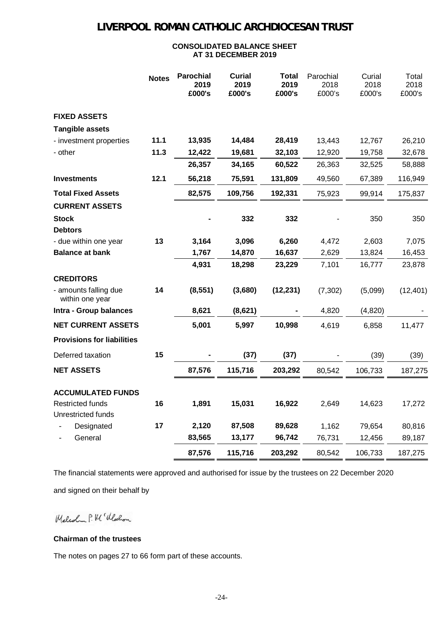### **CONSOLIDATED BALANCE SHEET AT 31 DECEMBER 2019**

|                                               | <b>Notes</b> | <b>Parochial</b><br>2019<br>£000's | <b>Curial</b><br>2019<br>£000's | <b>Total</b><br>2019<br>£000's | Parochial<br>2018<br>£000's | Curial<br>2018<br>£000's | Total<br>2018<br>£000's |
|-----------------------------------------------|--------------|------------------------------------|---------------------------------|--------------------------------|-----------------------------|--------------------------|-------------------------|
| <b>FIXED ASSETS</b>                           |              |                                    |                                 |                                |                             |                          |                         |
| <b>Tangible assets</b>                        |              |                                    |                                 |                                |                             |                          |                         |
| - investment properties                       | 11.1         | 13,935                             | 14,484                          | 28,419                         | 13,443                      | 12,767                   | 26,210                  |
| - other                                       | 11.3         | 12,422                             | 19,681                          | 32,103                         | 12,920                      | 19,758                   | 32,678                  |
|                                               |              | 26,357                             | 34,165                          | 60,522                         | 26,363                      | 32,525                   | 58,888                  |
| <b>Investments</b>                            | 12.1         | 56,218                             | 75,591                          | 131,809                        | 49,560                      | 67,389                   | 116,949                 |
| <b>Total Fixed Assets</b>                     |              | 82,575                             | 109,756                         | 192,331                        | 75,923                      | 99,914                   | 175,837                 |
| <b>CURRENT ASSETS</b>                         |              |                                    |                                 |                                |                             |                          |                         |
| <b>Stock</b>                                  |              |                                    | 332                             | 332                            |                             | 350                      | 350                     |
| <b>Debtors</b>                                |              |                                    |                                 |                                |                             |                          |                         |
| - due within one year                         | 13           | 3,164                              | 3,096                           | 6,260                          | 4,472                       | 2,603                    | 7,075                   |
| <b>Balance at bank</b>                        |              | 1,767                              | 14,870                          | 16,637                         | 2,629                       | 13,824                   | 16,453                  |
|                                               |              | 4,931                              | 18,298                          | 23,229                         | 7,101                       | 16,777                   | 23,878                  |
| <b>CREDITORS</b>                              |              |                                    |                                 |                                |                             |                          |                         |
| - amounts falling due<br>within one year      | 14           | (8, 551)                           | (3,680)                         | (12, 231)                      | (7, 302)                    | (5,099)                  | (12, 401)               |
| Intra - Group balances                        |              | 8,621                              | (8,621)                         |                                | 4,820                       | (4,820)                  |                         |
| <b>NET CURRENT ASSETS</b>                     |              | 5,001                              | 5,997                           | 10,998                         | 4,619                       | 6,858                    | 11,477                  |
| <b>Provisions for liabilities</b>             |              |                                    |                                 |                                |                             |                          |                         |
| Deferred taxation                             | 15           |                                    | (37)                            | (37)                           |                             | (39)                     | (39)                    |
| <b>NET ASSETS</b>                             |              | 87,576                             | 115,716                         | 203,292                        | 80,542                      | 106,733                  | 187,275                 |
| <b>ACCUMULATED FUNDS</b>                      |              |                                    |                                 |                                |                             |                          |                         |
| <b>Restricted funds</b><br>Unrestricted funds | 16           | 1,891                              | 15,031                          | 16,922                         | 2,649                       | 14,623                   | 17,272                  |
| Designated                                    | 17           | 2,120                              | 87,508                          | 89,628                         | 1,162                       | 79,654                   | 80,816                  |
| General                                       |              | 83,565                             | 13,177                          | 96,742                         | 76,731                      | 12,456                   | 89,187                  |
|                                               |              | 87,576                             | 115,716                         | 203,292                        | 80,542                      | 106,733                  | 187,275                 |

The financial statements were approved and authorised for issue by the trustees on 22 December 2020 and signed on their behalf by

Malcolm P. M ( Wellon

### **Chairman of the trustees**

The notes on pages 27 to 66 form part of these accounts.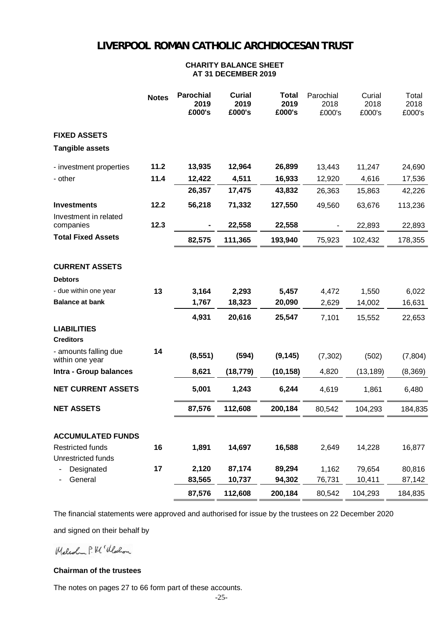#### **CHARITY BALANCE SHEET AT 31 DECEMBER 2019**

|                                               | <b>Notes</b> | <b>Parochial</b><br>2019<br>£000's | <b>Curial</b><br>2019<br>£000's | <b>Total</b><br>2019<br>£000's | Parochial<br>2018<br>£000's | Curial<br>2018<br>£000's | Total<br>2018<br>£000's |
|-----------------------------------------------|--------------|------------------------------------|---------------------------------|--------------------------------|-----------------------------|--------------------------|-------------------------|
| <b>FIXED ASSETS</b>                           |              |                                    |                                 |                                |                             |                          |                         |
| <b>Tangible assets</b>                        |              |                                    |                                 |                                |                             |                          |                         |
| - investment properties                       | 11.2         | 13,935                             | 12,964                          | 26,899                         | 13,443                      | 11,247                   | 24,690                  |
| - other                                       | 11.4         | 12,422                             | 4,511                           | 16,933                         | 12,920                      | 4,616                    | 17,536                  |
|                                               |              | 26,357                             | 17,475                          | 43,832                         | 26,363                      | 15,863                   | 42,226                  |
| <b>Investments</b>                            | 12.2         | 56,218                             | 71,332                          | 127,550                        | 49,560                      | 63,676                   | 113,236                 |
| Investment in related<br>companies            | 12.3         |                                    | 22,558                          | 22,558                         |                             | 22,893                   | 22,893                  |
| <b>Total Fixed Assets</b>                     |              | 82,575                             | 111,365                         | 193,940                        | 75,923                      | 102,432                  | 178,355                 |
| <b>CURRENT ASSETS</b><br><b>Debtors</b>       |              |                                    |                                 |                                |                             |                          |                         |
| - due within one year                         | 13           | 3,164                              | 2,293                           | 5,457                          | 4,472                       | 1,550                    | 6,022                   |
| <b>Balance at bank</b>                        |              | 1,767                              | 18,323                          | 20,090                         | 2,629                       | 14,002                   | 16,631                  |
|                                               |              | 4,931                              | 20,616                          | 25,547                         | 7,101                       | 15,552                   | 22,653                  |
| <b>LIABILITIES</b><br><b>Creditors</b>        |              |                                    |                                 |                                |                             |                          |                         |
| - amounts falling due<br>within one year      | 14           | (8, 551)                           | (594)                           | (9, 145)                       | (7, 302)                    | (502)                    | (7, 804)                |
| Intra - Group balances                        |              | 8,621                              | (18, 779)                       | (10, 158)                      | 4,820                       | (13, 189)                | (8,369)                 |
| <b>NET CURRENT ASSETS</b>                     |              | 5,001                              | 1,243                           | 6,244                          | 4,619                       | 1,861                    | 6,480                   |
| <b>NET ASSETS</b>                             |              | 87,576                             | 112,608                         | 200,184                        | 80,542                      | 104,293                  | 184,835                 |
| <b>ACCUMULATED FUNDS</b>                      |              |                                    |                                 |                                |                             |                          |                         |
| <b>Restricted funds</b><br>Unrestricted funds | 16           | 1,891                              | 14,697                          | 16,588                         | 2,649                       | 14,228                   | 16,877                  |
| Designated                                    | 17           | 2,120                              | 87,174                          | 89,294                         | 1,162                       | 79,654                   | 80,816                  |
| General                                       |              | 83,565                             | 10,737                          | 94,302                         | 76,731                      | 10,411                   | 87,142                  |
|                                               |              | 87,576                             | 112,608                         | 200,184                        | 80,542                      | 104,293                  | 184,835                 |

The financial statements were approved and authorised for issue by the trustees on 22 December 2020

and signed on their behalf by

Malcolm P. M ( Wellon

#### **Chairman of the trustees**

The notes on pages 27 to 66 form part of these accounts.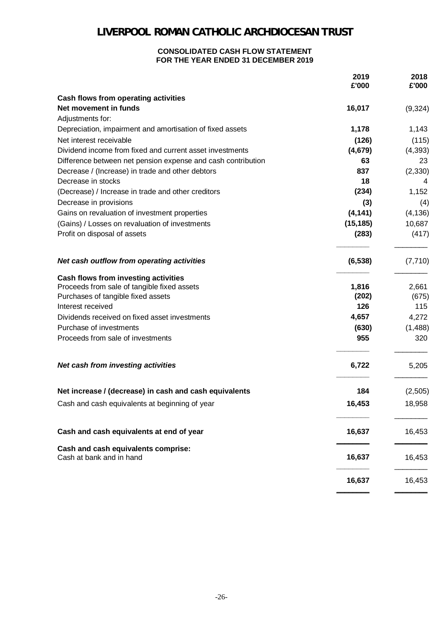#### **CONSOLIDATED CASH FLOW STATEMENT FOR THE YEAR ENDED 31 DECEMBER 2019**

|                                                                 | 2019<br>£'000 | 2018<br>£'000 |
|-----------------------------------------------------------------|---------------|---------------|
| <b>Cash flows from operating activities</b>                     |               |               |
| Net movement in funds                                           | 16,017        | (9, 324)      |
| Adjustments for:                                                |               |               |
| Depreciation, impairment and amortisation of fixed assets       | 1,178         | 1,143         |
| Net interest receivable                                         | (126)         | (115)         |
| Dividend income from fixed and current asset investments        | (4,679)       | (4, 393)      |
| Difference between net pension expense and cash contribution    | 63            | 23            |
| Decrease / (Increase) in trade and other debtors                | 837           | (2, 330)      |
| Decrease in stocks                                              | 18            | 4             |
| (Decrease) / Increase in trade and other creditors              | (234)         | 1,152         |
| Decrease in provisions                                          | (3)           | (4)           |
| Gains on revaluation of investment properties                   | (4, 141)      | (4, 136)      |
| (Gains) / Losses on revaluation of investments                  | (15, 185)     | 10,687        |
| Profit on disposal of assets                                    | (283)         | (417)         |
| Net cash outflow from operating activities                      | (6, 538)      | (7, 710)      |
| Cash flows from investing activities                            |               |               |
| Proceeds from sale of tangible fixed assets                     | 1,816         | 2,661         |
| Purchases of tangible fixed assets                              | (202)         | (675)         |
| Interest received                                               | 126           | 115           |
| Dividends received on fixed asset investments                   | 4,657         | 4,272         |
| Purchase of investments                                         | (630)         | (1,488)       |
| Proceeds from sale of investments                               | 955           | 320           |
| Net cash from investing activities                              | 6,722         | 5,205         |
| Net increase / (decrease) in cash and cash equivalents          | 184           | (2,505)       |
| Cash and cash equivalents at beginning of year                  | 16,453        | 18,958        |
| Cash and cash equivalents at end of year                        | 16,637        | 16,453        |
| Cash and cash equivalents comprise:<br>Cash at bank and in hand | 16,637        | 16,453        |
|                                                                 | 16,637        | 16,453        |
|                                                                 |               |               |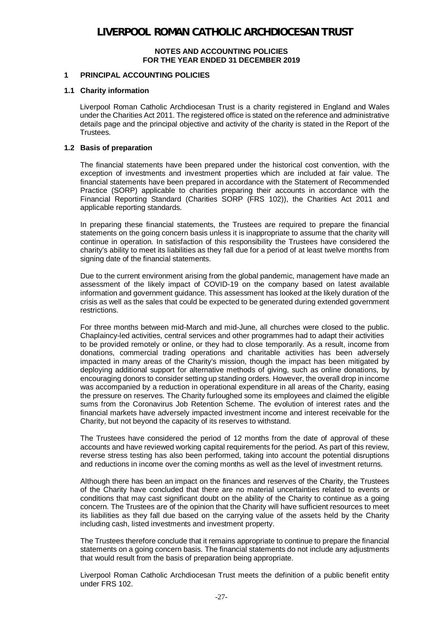### **1 PRINCIPAL ACCOUNTING POLICIES**

#### **1.1 Charity information**

Liverpool Roman Catholic Archdiocesan Trust is a charity registered in England and Wales under the Charities Act 2011. The registered office is stated on the reference and administrative details page and the principal objective and activity of the charity is stated in the Report of the Trustees.

#### **1.2 Basis of preparation**

The financial statements have been prepared under the historical cost convention, with the exception of investments and investment properties which are included at fair value. The financial statements have been prepared in accordance with the Statement of Recommended Practice (SORP) applicable to charities preparing their accounts in accordance with the Financial Reporting Standard (Charities SORP (FRS 102)), the Charities Act 2011 and applicable reporting standards.

In preparing these financial statements, the Trustees are required to prepare the financial statements on the going concern basis unless it is inappropriate to assume that the charity will continue in operation. In satisfaction of this responsibility the Trustees have considered the charity's ability to meet its liabilities as they fall due for a period of at least twelve months from signing date of the financial statements.

Due to the current environment arising from the global pandemic, management have made an assessment of the likely impact of COVID-19 on the company based on latest available information and government guidance. This assessment has looked at the likely duration of the crisis as well as the sales that could be expected to be generated during extended government restrictions.

For three months between mid-March and mid-June, all churches were closed to the public. Chaplaincy-led activities, central services and other programmes had to adapt their activities to be provided remotely or online, or they had to close temporarily. As a result, income from donations, commercial trading operations and charitable activities has been adversely impacted in many areas of the Charity's mission, though the impact has been mitigated by deploying additional support for alternative methods of giving, such as online donations, by encouraging donors to consider setting up standing orders. However, the overall drop in income was accompanied by a reduction in operational expenditure in all areas of the Charity, easing the pressure on reserves. The Charity furloughed some its employees and claimed the eligible sums from the Coronavirus Job Retention Scheme. The evolution of interest rates and the financial markets have adversely impacted investment income and interest receivable for the Charity, but not beyond the capacity of its reserves to withstand.

The Trustees have considered the period of 12 months from the date of approval of these accounts and have reviewed working capital requirements for the period. As part of this review, reverse stress testing has also been performed, taking into account the potential disruptions and reductions in income over the coming months as well as the level of investment returns.

Although there has been an impact on the finances and reserves of the Charity, the Trustees of the Charity have concluded that there are no material uncertainties related to events or conditions that may cast significant doubt on the ability of the Charity to continue as a going concern. The Trustees are of the opinion that the Charity will have sufficient resources to meet its liabilities as they fall due based on the carrying value of the assets held by the Charity including cash, listed investments and investment property.

The Trustees therefore conclude that it remains appropriate to continue to prepare the financial statements on a going concern basis. The financial statements do not include any adjustments that would result from the basis of preparation being appropriate.

Liverpool Roman Catholic Archdiocesan Trust meets the definition of a public benefit entity under FRS 102.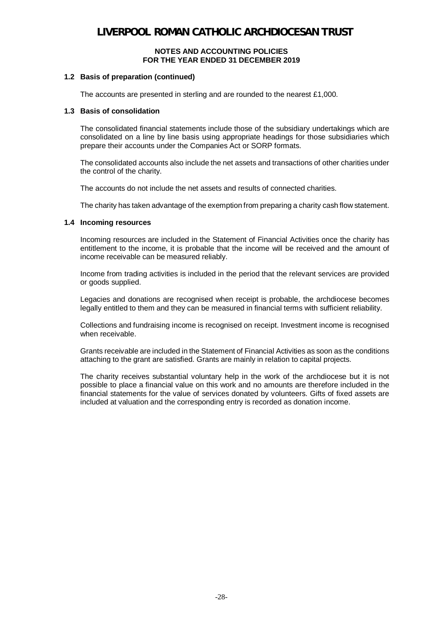#### **1.2 Basis of preparation (continued)**

The accounts are presented in sterling and are rounded to the nearest £1,000.

#### **1.3 Basis of consolidation**

The consolidated financial statements include those of the subsidiary undertakings which are consolidated on a line by line basis using appropriate headings for those subsidiaries which prepare their accounts under the Companies Act or SORP formats.

The consolidated accounts also include the net assets and transactions of other charities under the control of the charity.

The accounts do not include the net assets and results of connected charities.

The charity has taken advantage of the exemption from preparing a charity cash flow statement.

#### **1.4 Incoming resources**

Incoming resources are included in the Statement of Financial Activities once the charity has entitlement to the income, it is probable that the income will be received and the amount of income receivable can be measured reliably.

Income from trading activities is included in the period that the relevant services are provided or goods supplied.

Legacies and donations are recognised when receipt is probable, the archdiocese becomes legally entitled to them and they can be measured in financial terms with sufficient reliability.

Collections and fundraising income is recognised on receipt. Investment income is recognised when receivable.

Grants receivable are included in the Statement of Financial Activities as soon as the conditions attaching to the grant are satisfied. Grants are mainly in relation to capital projects.

The charity receives substantial voluntary help in the work of the archdiocese but it is not possible to place a financial value on this work and no amounts are therefore included in the financial statements for the value of services donated by volunteers. Gifts of fixed assets are included at valuation and the corresponding entry is recorded as donation income.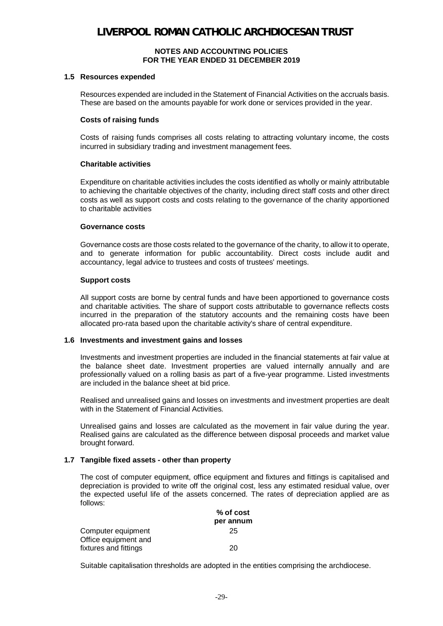#### **1.5 Resources expended**

Resources expended are included in the Statement of Financial Activities on the accruals basis. These are based on the amounts payable for work done or services provided in the year.

#### **Costs of raising funds**

Costs of raising funds comprises all costs relating to attracting voluntary income, the costs incurred in subsidiary trading and investment management fees.

#### **Charitable activities**

Expenditure on charitable activities includes the costs identified as wholly or mainly attributable to achieving the charitable objectives of the charity, including direct staff costs and other direct costs as well as support costs and costs relating to the governance of the charity apportioned to charitable activities

#### **Governance costs**

Governance costs are those costs related to the governance of the charity, to allow it to operate, and to generate information for public accountability. Direct costs include audit and accountancy, legal advice to trustees and costs of trustees' meetings.

#### **Support costs**

All support costs are borne by central funds and have been apportioned to governance costs and charitable activities. The share of support costs attributable to governance reflects costs incurred in the preparation of the statutory accounts and the remaining costs have been allocated pro-rata based upon the charitable activity's share of central expenditure.

#### **1.6 Investments and investment gains and losses**

Investments and investment properties are included in the financial statements at fair value at the balance sheet date. Investment properties are valued internally annually and are professionally valued on a rolling basis as part of a five-year programme. Listed investments are included in the balance sheet at bid price.

Realised and unrealised gains and losses on investments and investment properties are dealt with in the Statement of Financial Activities.

Unrealised gains and losses are calculated as the movement in fair value during the year. Realised gains are calculated as the difference between disposal proceeds and market value brought forward.

### **1.7 Tangible fixed assets - other than property**

The cost of computer equipment, office equipment and fixtures and fittings is capitalised and depreciation is provided to write off the original cost, less any estimated residual value, over the expected useful life of the assets concerned. The rates of depreciation applied are as follows:  **% of cost**

|                       | % OT COST |
|-----------------------|-----------|
|                       | per annum |
| Computer equipment    | 25        |
| Office equipment and  |           |
| fixtures and fittings | 20        |
|                       |           |

Suitable capitalisation thresholds are adopted in the entities comprising the archdiocese.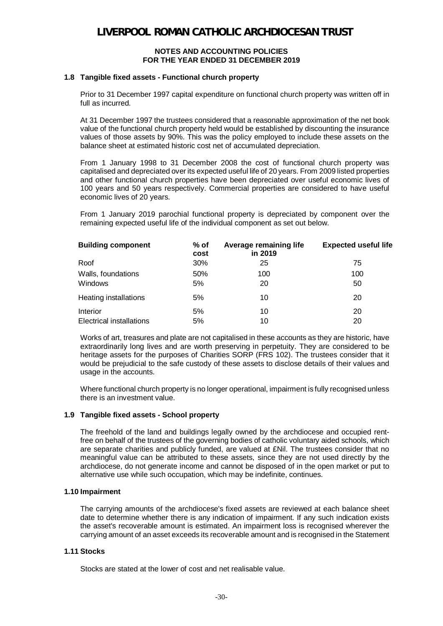#### **1.8 Tangible fixed assets - Functional church property**

Prior to 31 December 1997 capital expenditure on functional church property was written off in full as incurred.

At 31 December 1997 the trustees considered that a reasonable approximation of the net book value of the functional church property held would be established by discounting the insurance values of those assets by 90%. This was the policy employed to include these assets on the balance sheet at estimated historic cost net of accumulated depreciation.

From 1 January 1998 to 31 December 2008 the cost of functional church property was capitalised and depreciated over its expected useful life of 20 years. From 2009 listed properties and other functional church properties have been depreciated over useful economic lives of 100 years and 50 years respectively. Commercial properties are considered to have useful economic lives of 20 years.

From 1 January 2019 parochial functional property is depreciated by component over the remaining expected useful life of the individual component as set out below.

| <b>Building component</b>            | $%$ of<br>cost | Average remaining life<br>in 2019 | <b>Expected useful life</b> |
|--------------------------------------|----------------|-----------------------------------|-----------------------------|
| Roof                                 | 30%            | 25                                | 75                          |
| Walls, foundations<br>Windows        | 50%<br>5%      | 100<br>20                         | 100<br>50                   |
| Heating installations                | 5%             | 10                                | 20                          |
| Interior<br>Electrical installations | 5%<br>5%       | 10<br>10                          | 20<br>20                    |

Works of art, treasures and plate are not capitalised in these accounts as they are historic, have extraordinarily long lives and are worth preserving in perpetuity. They are considered to be heritage assets for the purposes of Charities SORP (FRS 102). The trustees consider that it would be prejudicial to the safe custody of these assets to disclose details of their values and usage in the accounts.

Where functional church property is no longer operational, impairment is fully recognised unless there is an investment value.

### **1.9 Tangible fixed assets - School property**

The freehold of the land and buildings legally owned by the archdiocese and occupied rentfree on behalf of the trustees of the governing bodies of catholic voluntary aided schools, which are separate charities and publicly funded, are valued at £Nil. The trustees consider that no meaningful value can be attributed to these assets, since they are not used directly by the archdiocese, do not generate income and cannot be disposed of in the open market or put to alternative use while such occupation, which may be indefinite, continues.

### **1.10 Impairment**

The carrying amounts of the archdiocese's fixed assets are reviewed at each balance sheet date to determine whether there is any indication of impairment. If any such indication exists the asset's recoverable amount is estimated. An impairment loss is recognised wherever the carrying amount of an asset exceeds its recoverable amount and is recognised in the Statement

#### **1.11 Stocks**

Stocks are stated at the lower of cost and net realisable value.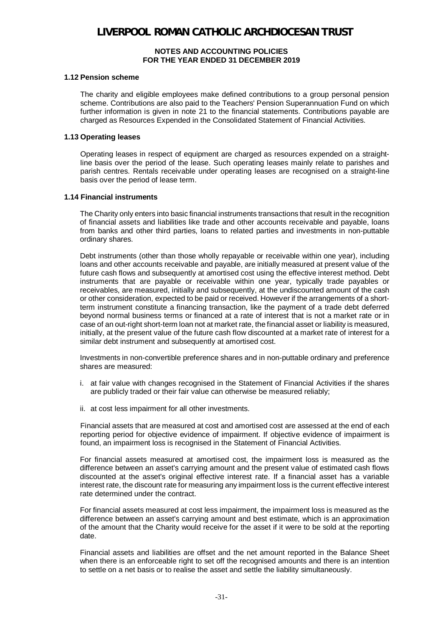#### **1.12 Pension scheme**

The charity and eligible employees make defined contributions to a group personal pension scheme. Contributions are also paid to the Teachers' Pension Superannuation Fund on which further information is given in note 21 to the financial statements. Contributions payable are charged as Resources Expended in the Consolidated Statement of Financial Activities.

#### **1.13 Operating leases**

Operating leases in respect of equipment are charged as resources expended on a straightline basis over the period of the lease. Such operating leases mainly relate to parishes and parish centres. Rentals receivable under operating leases are recognised on a straight-line basis over the period of lease term.

#### **1.14 Financial instruments**

The Charity only enters into basic financial instruments transactions that result in the recognition of financial assets and liabilities like trade and other accounts receivable and payable, loans from banks and other third parties, loans to related parties and investments in non-puttable ordinary shares.

Debt instruments (other than those wholly repayable or receivable within one year), including loans and other accounts receivable and payable, are initially measured at present value of the future cash flows and subsequently at amortised cost using the effective interest method. Debt instruments that are payable or receivable within one year, typically trade payables or receivables, are measured, initially and subsequently, at the undiscounted amount of the cash or other consideration, expected to be paid or received. However if the arrangements of a shortterm instrument constitute a financing transaction, like the payment of a trade debt deferred beyond normal business terms or financed at a rate of interest that is not a market rate or in case of an out-right short-term loan not at market rate, the financial asset or liability is measured, initially, at the present value of the future cash flow discounted at a market rate of interest for a similar debt instrument and subsequently at amortised cost.

Investments in non-convertible preference shares and in non-puttable ordinary and preference shares are measured:

- i. at fair value with changes recognised in the Statement of Financial Activities if the shares are publicly traded or their fair value can otherwise be measured reliably;
- ii. at cost less impairment for all other investments.

Financial assets that are measured at cost and amortised cost are assessed at the end of each reporting period for objective evidence of impairment. If objective evidence of impairment is found, an impairment loss is recognised in the Statement of Financial Activities.

For financial assets measured at amortised cost, the impairment loss is measured as the difference between an asset's carrying amount and the present value of estimated cash flows discounted at the asset's original effective interest rate. If a financial asset has a variable interest rate, the discount rate for measuring any impairment loss is the current effective interest rate determined under the contract.

For financial assets measured at cost less impairment, the impairment loss is measured as the difference between an asset's carrying amount and best estimate, which is an approximation of the amount that the Charity would receive for the asset if it were to be sold at the reporting date.

Financial assets and liabilities are offset and the net amount reported in the Balance Sheet when there is an enforceable right to set off the recognised amounts and there is an intention to settle on a net basis or to realise the asset and settle the liability simultaneously.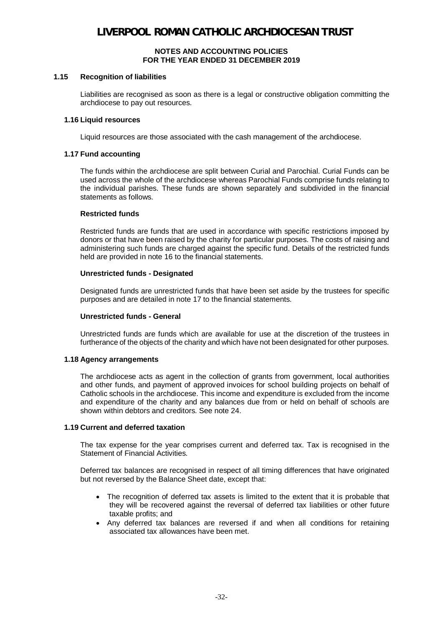#### **1.15 Recognition of liabilities**

Liabilities are recognised as soon as there is a legal or constructive obligation committing the archdiocese to pay out resources.

#### **1.16 Liquid resources**

Liquid resources are those associated with the cash management of the archdiocese.

#### **1.17 Fund accounting**

The funds within the archdiocese are split between Curial and Parochial. Curial Funds can be used across the whole of the archdiocese whereas Parochial Funds comprise funds relating to the individual parishes. These funds are shown separately and subdivided in the financial statements as follows.

#### **Restricted funds**

Restricted funds are funds that are used in accordance with specific restrictions imposed by donors or that have been raised by the charity for particular purposes. The costs of raising and administering such funds are charged against the specific fund. Details of the restricted funds held are provided in note 16 to the financial statements.

#### **Unrestricted funds - Designated**

Designated funds are unrestricted funds that have been set aside by the trustees for specific purposes and are detailed in note 17 to the financial statements.

#### **Unrestricted funds - General**

Unrestricted funds are funds which are available for use at the discretion of the trustees in furtherance of the objects of the charity and which have not been designated for other purposes.

#### **1.18 Agency arrangements**

The archdiocese acts as agent in the collection of grants from government, local authorities and other funds, and payment of approved invoices for school building projects on behalf of Catholic schools in the archdiocese. This income and expenditure is excluded from the income and expenditure of the charity and any balances due from or held on behalf of schools are shown within debtors and creditors. See note 24.

#### **1.19 Current and deferred taxation**

The tax expense for the year comprises current and deferred tax. Tax is recognised in the Statement of Financial Activities.

Deferred tax balances are recognised in respect of all timing differences that have originated but not reversed by the Balance Sheet date, except that:

- · The recognition of deferred tax assets is limited to the extent that it is probable that they will be recovered against the reversal of deferred tax liabilities or other future taxable profits; and
- · Any deferred tax balances are reversed if and when all conditions for retaining associated tax allowances have been met.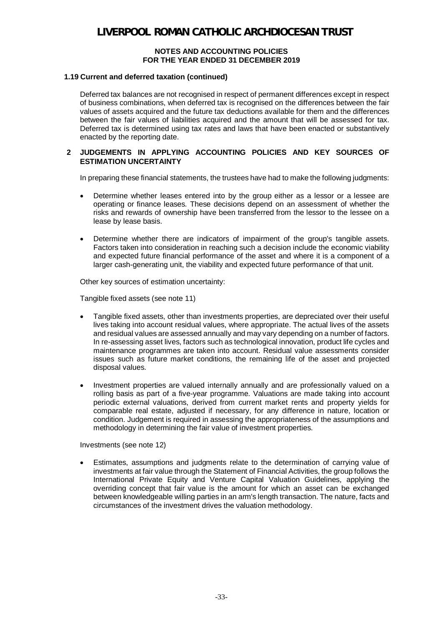#### **1.19 Current and deferred taxation (continued)**

Deferred tax balances are not recognised in respect of permanent differences except in respect of business combinations, when deferred tax is recognised on the differences between the fair values of assets acquired and the future tax deductions available for them and the differences between the fair values of liabilities acquired and the amount that will be assessed for tax. Deferred tax is determined using tax rates and laws that have been enacted or substantively enacted by the reporting date.

### **2 JUDGEMENTS IN APPLYING ACCOUNTING POLICIES AND KEY SOURCES OF ESTIMATION UNCERTAINTY**

In preparing these financial statements, the trustees have had to make the following judgments:

- · Determine whether leases entered into by the group either as a lessor or a lessee are operating or finance leases. These decisions depend on an assessment of whether the risks and rewards of ownership have been transferred from the lessor to the lessee on a lease by lease basis.
- · Determine whether there are indicators of impairment of the group's tangible assets. Factors taken into consideration in reaching such a decision include the economic viability and expected future financial performance of the asset and where it is a component of a larger cash-generating unit, the viability and expected future performance of that unit.

Other key sources of estimation uncertainty:

Tangible fixed assets (see note 11)

- · Tangible fixed assets, other than investments properties, are depreciated over their useful lives taking into account residual values, where appropriate. The actual lives of the assets and residual values are assessed annually and may vary depending on a number of factors. In re-assessing asset lives, factors such as technological innovation, product life cycles and maintenance programmes are taken into account. Residual value assessments consider issues such as future market conditions, the remaining life of the asset and projected disposal values.
- · Investment properties are valued internally annually and are professionally valued on a rolling basis as part of a five-year programme. Valuations are made taking into account periodic external valuations, derived from current market rents and property yields for comparable real estate, adjusted if necessary, for any difference in nature, location or condition. Judgement is required in assessing the appropriateness of the assumptions and methodology in determining the fair value of investment properties.

Investments (see note 12)

· Estimates, assumptions and judgments relate to the determination of carrying value of investments at fair value through the Statement of Financial Activities, the group follows the International Private Equity and Venture Capital Valuation Guidelines, applying the overriding concept that fair value is the amount for which an asset can be exchanged between knowledgeable willing parties in an arm's length transaction. The nature, facts and circumstances of the investment drives the valuation methodology.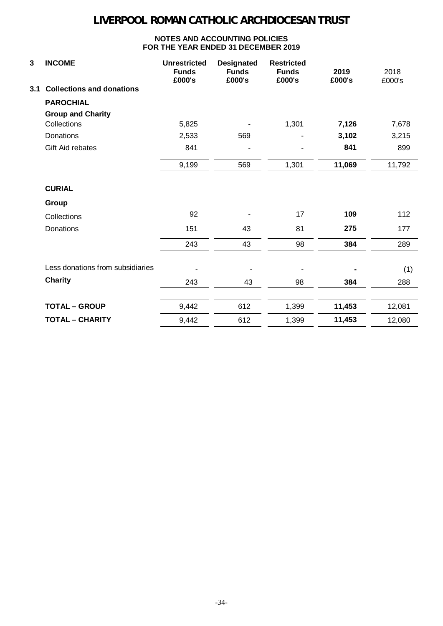| 3   | <b>INCOME</b>                    | <b>Unrestricted</b><br><b>Funds</b><br>£000's | <b>Designated</b><br><b>Funds</b><br>£000's | <b>Restricted</b><br><b>Funds</b><br>£000's | 2019<br>£000's | 2018<br>£000's |
|-----|----------------------------------|-----------------------------------------------|---------------------------------------------|---------------------------------------------|----------------|----------------|
| 3.1 | <b>Collections and donations</b> |                                               |                                             |                                             |                |                |
|     | <b>PAROCHIAL</b>                 |                                               |                                             |                                             |                |                |
|     | <b>Group and Charity</b>         |                                               |                                             |                                             |                |                |
|     | Collections                      | 5,825                                         |                                             | 1,301                                       | 7,126          | 7,678          |
|     | Donations                        | 2,533                                         | 569                                         |                                             | 3,102          | 3,215          |
|     | Gift Aid rebates                 | 841                                           |                                             |                                             | 841            | 899            |
|     |                                  | 9,199                                         | 569                                         | 1,301                                       | 11,069         | 11,792         |
|     | <b>CURIAL</b>                    |                                               |                                             |                                             |                |                |
|     | Group                            |                                               |                                             |                                             |                |                |
|     | Collections                      | 92                                            |                                             | 17                                          | 109            | 112            |
|     | Donations                        | 151                                           | 43                                          | 81                                          | 275            | 177            |
|     |                                  | 243                                           | 43                                          | 98                                          | 384            | 289            |
|     | Less donations from subsidiaries |                                               |                                             |                                             |                | (1)            |
|     | <b>Charity</b>                   | 243                                           | 43                                          | 98                                          | 384            | 288            |
|     |                                  |                                               |                                             |                                             |                |                |
|     | <b>TOTAL - GROUP</b>             | 9,442                                         | 612                                         | 1,399                                       | 11,453         | 12,081         |
|     | <b>TOTAL - CHARITY</b>           | 9,442                                         | 612                                         | 1,399                                       | 11,453         | 12,080         |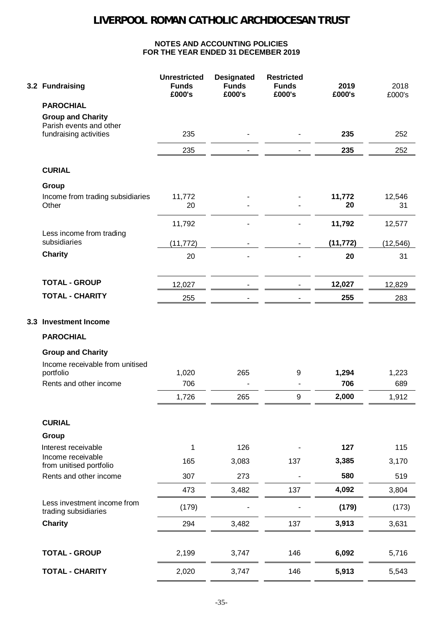| 3.2 Fundraising                                     | <b>Unrestricted</b><br><b>Funds</b><br>£000's | <b>Designated</b><br><b>Funds</b><br>£000's | <b>Restricted</b><br><b>Funds</b><br>£000's | 2019<br>£000's | 2018<br>£000's |
|-----------------------------------------------------|-----------------------------------------------|---------------------------------------------|---------------------------------------------|----------------|----------------|
| <b>PAROCHIAL</b>                                    |                                               |                                             |                                             |                |                |
| <b>Group and Charity</b>                            |                                               |                                             |                                             |                |                |
| Parish events and other<br>fundraising activities   | 235                                           |                                             |                                             | 235            | 252            |
|                                                     | 235                                           |                                             |                                             | 235            | 252            |
| <b>CURIAL</b>                                       |                                               |                                             |                                             |                |                |
| Group                                               |                                               |                                             |                                             |                |                |
| Income from trading subsidiaries<br>Other           | 11,772<br>20                                  |                                             |                                             | 11,772<br>20   | 12,546<br>31   |
|                                                     | 11,792                                        |                                             |                                             | 11,792         | 12,577         |
| Less income from trading<br>subsidiaries            | (11, 772)                                     |                                             |                                             | (11, 772)      | (12, 546)      |
| <b>Charity</b>                                      | 20                                            |                                             |                                             | 20             | 31             |
|                                                     |                                               |                                             |                                             |                |                |
| <b>TOTAL - GROUP</b>                                | 12,027                                        |                                             |                                             | 12,027         | 12,829         |
| <b>TOTAL - CHARITY</b>                              | 255                                           |                                             |                                             | 255            | 283            |
| <b>PAROCHIAL</b>                                    |                                               |                                             |                                             |                |                |
| <b>Group and Charity</b>                            |                                               |                                             |                                             |                |                |
| Income receivable from unitised                     |                                               |                                             |                                             |                |                |
| portfolio                                           | 1,020                                         | 265                                         | 9                                           | 1,294          | 1,223          |
| Rents and other income                              | 706                                           |                                             |                                             | 706            | 689            |
|                                                     | 1,726                                         | 265                                         | 9                                           | 2,000          | 1,912          |
| <b>CURIAL</b>                                       |                                               |                                             |                                             |                |                |
| Group                                               |                                               |                                             |                                             |                |                |
| Interest receivable                                 | 1                                             | 126                                         |                                             | 127            | 115            |
| Income receivable<br>from unitised portfolio        | 165                                           | 3,083                                       | 137                                         | 3,385          | 3,170          |
| Rents and other income                              | 307                                           | 273                                         |                                             | 580            | 519            |
|                                                     | 473                                           | 3,482                                       | 137                                         | 4,092          | 3,804          |
| Less investment income from<br>trading subsidiaries | (179)                                         |                                             |                                             | (179)          | (173)          |
| <b>Charity</b>                                      | 294                                           | 3,482                                       | 137                                         | 3,913          | 3,631          |
|                                                     |                                               |                                             |                                             |                |                |
| <b>TOTAL - GROUP</b>                                | 2,199                                         | 3,747                                       | 146                                         | 6,092          | 5,716          |
| <b>TOTAL - CHARITY</b>                              | 2,020                                         | 3,747                                       | 146                                         | 5,913          | 5,543          |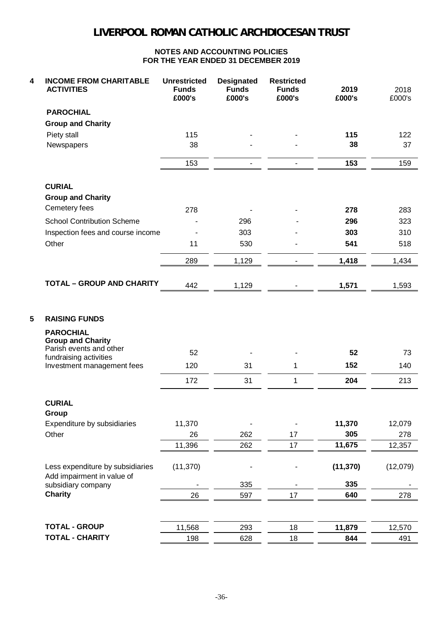| 4 | <b>INCOME FROM CHARITABLE</b><br><b>ACTIVITIES</b>             | <b>Unrestricted</b><br><b>Funds</b><br>£000's | <b>Designated</b><br><b>Funds</b><br>£000's | <b>Restricted</b><br><b>Funds</b><br>£000's | 2019<br>£000's | 2018<br>£000's |
|---|----------------------------------------------------------------|-----------------------------------------------|---------------------------------------------|---------------------------------------------|----------------|----------------|
|   | <b>PAROCHIAL</b>                                               |                                               |                                             |                                             |                |                |
|   | <b>Group and Charity</b>                                       |                                               |                                             |                                             |                |                |
|   | Piety stall                                                    | 115                                           |                                             |                                             | 115            | 122            |
|   | Newspapers                                                     | 38                                            |                                             |                                             | 38             | 37             |
|   |                                                                | 153                                           |                                             |                                             | 153            | 159            |
|   | <b>CURIAL</b>                                                  |                                               |                                             |                                             |                |                |
|   | <b>Group and Charity</b>                                       |                                               |                                             |                                             |                |                |
|   | Cemetery fees                                                  | 278                                           |                                             |                                             | 278            | 283            |
|   | <b>School Contribution Scheme</b>                              |                                               | 296                                         |                                             | 296            | 323            |
|   | Inspection fees and course income                              |                                               | 303                                         |                                             | 303            | 310            |
|   | Other                                                          | 11                                            | 530                                         |                                             | 541            | 518            |
|   |                                                                | 289                                           | 1,129                                       |                                             | 1,418          | 1,434          |
|   | <b>TOTAL - GROUP AND CHARITY</b>                               | 442                                           | 1,129                                       |                                             | 1,571          | 1,593          |
| 5 | <b>RAISING FUNDS</b>                                           |                                               |                                             |                                             |                |                |
|   | <b>PAROCHIAL</b><br><b>Group and Charity</b>                   |                                               |                                             |                                             |                |                |
|   | Parish events and other<br>fundraising activities              | 52                                            |                                             |                                             | 52             | 73             |
|   | Investment management fees                                     | 120                                           | 31                                          | 1                                           | 152            | 140            |
|   |                                                                | 172                                           | 31                                          | 1                                           | 204            | 213            |
|   | <b>CURIAL</b>                                                  |                                               |                                             |                                             |                |                |
|   | Group                                                          |                                               |                                             |                                             |                |                |
|   | Expenditure by subsidiaries                                    | 11,370                                        |                                             |                                             | 11,370         | 12,079         |
|   | Other                                                          | 26                                            | 262                                         | 17                                          | 305            | 278            |
|   |                                                                | 11,396                                        | 262                                         | 17                                          | 11,675         | 12,357         |
|   | Less expenditure by subsidiaries<br>Add impairment in value of | (11, 370)                                     |                                             |                                             | (11, 370)      | (12,079)       |
|   | subsidiary company                                             |                                               | 335                                         |                                             | 335            |                |
|   | <b>Charity</b>                                                 | 26                                            | 597                                         | 17                                          | 640            | 278            |
|   |                                                                |                                               |                                             |                                             |                |                |
|   | <b>TOTAL - GROUP</b>                                           | 11,568                                        | 293                                         | 18                                          | 11,879         | 12,570         |
|   | <b>TOTAL - CHARITY</b>                                         | 198                                           | 628                                         | 18                                          | 844            | 491            |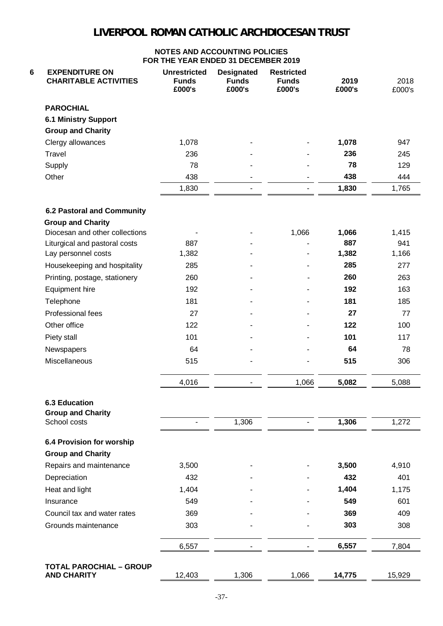| <b>EXPENDITURE ON</b><br><b>CHARITABLE ACTIVITIES</b> | <b>Unrestricted</b><br><b>Funds</b><br>£000's | <b>Designated</b><br><b>Funds</b><br>£000's | <b>Restricted</b><br><b>Funds</b><br>£000's | 2019<br>£000's | 2018<br>£000's |
|-------------------------------------------------------|-----------------------------------------------|---------------------------------------------|---------------------------------------------|----------------|----------------|
| <b>PAROCHIAL</b>                                      |                                               |                                             |                                             |                |                |
| <b>6.1 Ministry Support</b>                           |                                               |                                             |                                             |                |                |
| <b>Group and Charity</b>                              |                                               |                                             |                                             |                |                |
| Clergy allowances                                     | 1,078                                         |                                             |                                             | 1,078          | 947            |
| Travel                                                | 236                                           |                                             |                                             | 236            | 245            |
| Supply                                                | 78                                            |                                             |                                             | 78             | 129            |
| Other                                                 | 438                                           |                                             |                                             | 438            | 444            |
|                                                       | 1,830                                         | $\blacksquare$                              |                                             | 1,830          | 1,765          |
| <b>6.2 Pastoral and Community</b>                     |                                               |                                             |                                             |                |                |
| <b>Group and Charity</b>                              |                                               |                                             |                                             |                |                |
| Diocesan and other collections                        |                                               |                                             | 1,066                                       | 1,066          | 1,415          |
| Liturgical and pastoral costs                         | 887                                           |                                             |                                             | 887            | 941            |
| Lay personnel costs                                   | 1,382                                         |                                             |                                             | 1,382          | 1,166          |
| Housekeeping and hospitality                          | 285                                           |                                             |                                             | 285            | 277            |
| Printing, postage, stationery                         | 260                                           |                                             |                                             | 260            | 263            |
| Equipment hire                                        | 192                                           |                                             |                                             | 192            | 163            |
| Telephone                                             | 181                                           |                                             |                                             | 181            | 185            |
| Professional fees                                     | 27                                            |                                             |                                             | 27             | 77             |
| Other office                                          | 122                                           |                                             |                                             | 122            | 100            |
| Piety stall                                           | 101                                           |                                             |                                             | 101            | 117            |
| Newspapers                                            | 64                                            |                                             |                                             | 64             | 78             |
| Miscellaneous                                         | 515                                           |                                             |                                             | 515            | 306            |
|                                                       | 4,016                                         |                                             | 1,066                                       | 5,082          | 5,088          |
| <b>6.3 Education</b>                                  |                                               |                                             |                                             |                |                |
| <b>Group and Charity</b><br>School costs              |                                               | 1,306                                       |                                             | 1,306          | 1,272          |
| 6.4 Provision for worship                             |                                               |                                             |                                             |                |                |
| <b>Group and Charity</b>                              |                                               |                                             |                                             |                |                |
| Repairs and maintenance                               | 3,500                                         |                                             |                                             | 3,500          | 4,910          |
| Depreciation                                          | 432                                           |                                             |                                             | 432            | 401            |
| Heat and light                                        | 1,404                                         |                                             |                                             | 1,404          | 1,175          |
| Insurance                                             | 549                                           |                                             |                                             | 549            | 601            |
| Council tax and water rates                           | 369                                           |                                             |                                             | 369            | 409            |
| Grounds maintenance                                   | 303                                           |                                             |                                             | 303            | 308            |
|                                                       | 6,557                                         |                                             |                                             | 6,557          | 7,804          |
| <b>TOTAL PAROCHIAL - GROUP</b>                        |                                               |                                             |                                             |                |                |
| <b>AND CHARITY</b>                                    | 12,403                                        | 1,306                                       | 1,066                                       | 14,775         | 15,929         |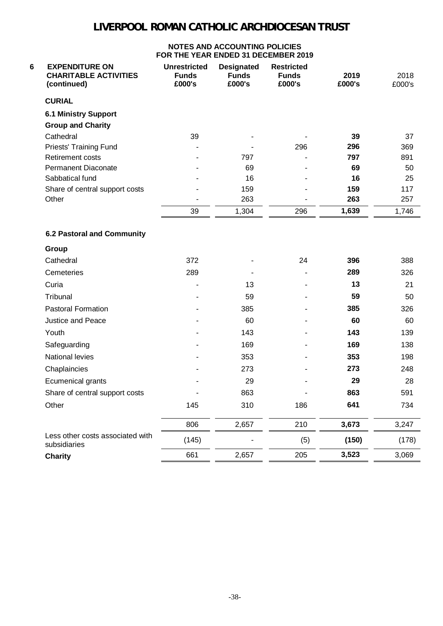| 6<br><b>EXPENDITURE ON</b><br><b>CHARITABLE ACTIVITIES</b><br>(continued) | <b>Unrestricted</b><br><b>Funds</b><br>£000's | <b>Designated</b><br><b>Funds</b><br>£000's | <b>Restricted</b><br><b>Funds</b><br>£000's | 2019<br>£000's | 2018<br>£000's |
|---------------------------------------------------------------------------|-----------------------------------------------|---------------------------------------------|---------------------------------------------|----------------|----------------|
| <b>CURIAL</b>                                                             |                                               |                                             |                                             |                |                |
| <b>6.1 Ministry Support</b><br><b>Group and Charity</b>                   |                                               |                                             |                                             |                |                |
| Cathedral                                                                 | 39                                            |                                             |                                             | 39             | 37             |
| Priests' Training Fund                                                    |                                               |                                             | 296                                         | 296            | 369            |
| Retirement costs                                                          |                                               | 797                                         |                                             | 797            | 891            |
| <b>Permanent Diaconate</b>                                                |                                               | 69                                          |                                             | 69             | 50             |
| Sabbatical fund                                                           |                                               | 16                                          |                                             | 16             | 25             |
| Share of central support costs                                            |                                               | 159                                         |                                             | 159            | 117            |
| Other                                                                     |                                               | 263                                         |                                             | 263            | 257            |
|                                                                           | 39                                            | 1,304                                       | 296                                         | 1,639          | 1,746          |
| <b>6.2 Pastoral and Community</b>                                         |                                               |                                             |                                             |                |                |
| Group                                                                     |                                               |                                             |                                             |                |                |
| Cathedral                                                                 | 372                                           |                                             | 24                                          | 396            | 388            |
| Cemeteries                                                                | 289                                           |                                             |                                             | 289            | 326            |
| Curia                                                                     |                                               | 13                                          |                                             | 13             | 21             |
| Tribunal                                                                  |                                               | 59                                          |                                             | 59             | 50             |
| <b>Pastoral Formation</b>                                                 |                                               | 385                                         |                                             | 385            | 326            |
| Justice and Peace                                                         |                                               | 60                                          |                                             | 60             | 60             |
| Youth                                                                     |                                               | 143                                         |                                             | 143            | 139            |
| Safeguarding                                                              |                                               | 169                                         |                                             | 169            | 138            |
| National levies                                                           |                                               | 353                                         |                                             | 353            | 198            |
| Chaplaincies                                                              |                                               | 273                                         |                                             | 273            | 248            |
| Ecumenical grants                                                         |                                               | 29                                          |                                             | 29             | 28             |
| Share of central support costs                                            |                                               | 863                                         |                                             | 863            | 591            |
| Other                                                                     | 145                                           | 310                                         | 186                                         | 641            | 734            |
|                                                                           | 806                                           | 2,657                                       | 210                                         | 3,673          | 3,247          |
| Less other costs associated with<br>subsidiaries                          | (145)                                         |                                             | (5)                                         | (150)          | (178)          |
| <b>Charity</b>                                                            | 661                                           | 2,657                                       | 205                                         | 3,523          | 3,069          |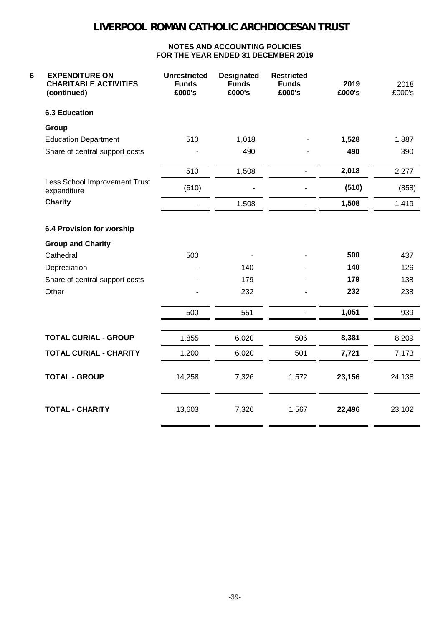| 6<br><b>EXPENDITURE ON</b><br><b>CHARITABLE ACTIVITIES</b><br>(continued) | <b>Unrestricted</b><br><b>Funds</b><br>£000's | <b>Designated</b><br><b>Funds</b><br>£000's | <b>Restricted</b><br><b>Funds</b><br>£000's | 2019<br>£000's | 2018<br>£000's |
|---------------------------------------------------------------------------|-----------------------------------------------|---------------------------------------------|---------------------------------------------|----------------|----------------|
| <b>6.3 Education</b>                                                      |                                               |                                             |                                             |                |                |
| Group                                                                     |                                               |                                             |                                             |                |                |
| <b>Education Department</b>                                               | 510                                           | 1,018                                       |                                             | 1,528          | 1,887          |
| Share of central support costs                                            |                                               | 490                                         |                                             | 490            | 390            |
|                                                                           | 510                                           | 1,508                                       |                                             | 2,018          | 2,277          |
| Less School Improvement Trust<br>expenditure                              | (510)                                         |                                             |                                             | (510)          | (858)          |
| <b>Charity</b>                                                            |                                               | 1,508                                       |                                             | 1,508          | 1,419          |
| 6.4 Provision for worship                                                 |                                               |                                             |                                             |                |                |
| <b>Group and Charity</b>                                                  |                                               |                                             |                                             |                |                |
| Cathedral                                                                 | 500                                           |                                             |                                             | 500            | 437            |
| Depreciation                                                              |                                               | 140                                         |                                             | 140            | 126            |
| Share of central support costs                                            |                                               | 179                                         |                                             | 179            | 138            |
| Other                                                                     |                                               | 232                                         |                                             | 232            | 238            |
|                                                                           | 500                                           | 551                                         |                                             | 1,051          | 939            |
| <b>TOTAL CURIAL - GROUP</b>                                               | 1,855                                         | 6,020                                       | 506                                         | 8,381          | 8,209          |
| <b>TOTAL CURIAL - CHARITY</b>                                             | 1,200                                         | 6,020                                       | 501                                         | 7,721          | 7,173          |
| <b>TOTAL - GROUP</b>                                                      | 14,258                                        | 7,326                                       | 1,572                                       | 23,156         | 24,138         |
| <b>TOTAL - CHARITY</b>                                                    | 13,603                                        | 7,326                                       | 1,567                                       | 22,496         | 23,102         |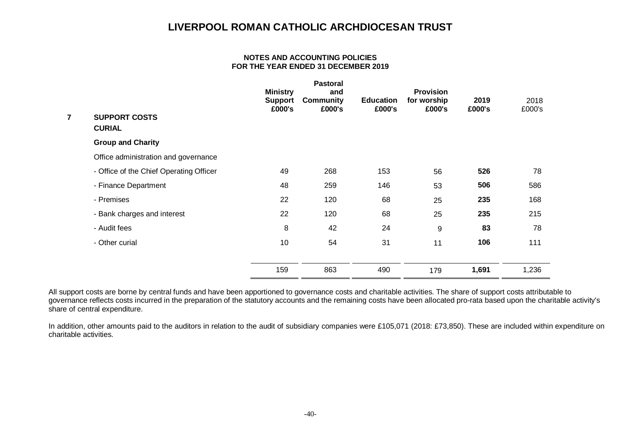#### **NOTES AND ACCOUNTING POLICIES FOR THE YEAR ENDED 31 DECEMBER 2019**

| <b>SUPPORT COSTS</b><br><b>CURIAL</b>   | <b>Ministry</b><br><b>Support</b><br>£000's | <b>Pastoral</b><br>and<br><b>Community</b><br>£000's | <b>Education</b><br>£000's | <b>Provision</b><br>for worship<br>£000's | 2019<br>£000's | 2018<br>£000's |
|-----------------------------------------|---------------------------------------------|------------------------------------------------------|----------------------------|-------------------------------------------|----------------|----------------|
| <b>Group and Charity</b>                |                                             |                                                      |                            |                                           |                |                |
| Office administration and governance    |                                             |                                                      |                            |                                           |                |                |
| - Office of the Chief Operating Officer | 49                                          | 268                                                  | 153                        | 56                                        | 526            | 78             |
| - Finance Department                    | 48                                          | 259                                                  | 146                        | 53                                        | 506            | 586            |
| - Premises                              | 22                                          | 120                                                  | 68                         | 25                                        | 235            | 168            |
| - Bank charges and interest             | 22                                          | 120                                                  | 68                         | 25                                        | 235            | 215            |
| - Audit fees                            | 8                                           | 42                                                   | 24                         | 9                                         | 83             | 78             |
| - Other curial                          | 10                                          | 54                                                   | 31                         | 11                                        | 106            | 111            |
|                                         | 159                                         | 863                                                  | 490                        |                                           |                | 1,236          |
|                                         |                                             |                                                      |                            |                                           | 179            | 1,691          |

All support costs are borne by central funds and have been apportioned to governance costs and charitable activities. The share of support costs attributable to governance reflects costs incurred in the preparation of the statutory accounts and the remaining costs have been allocated pro-rata based upon the charitable activity's share of central expenditure.

In addition, other amounts paid to the auditors in relation to the audit of subsidiary companies were £105,071 (2018: £73,850). These are included within expenditure on charitable activities.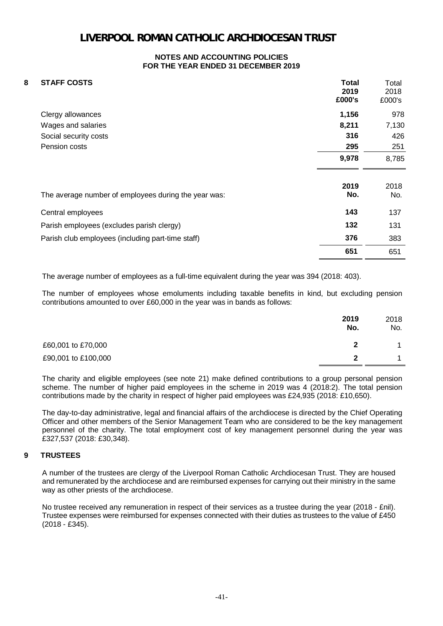#### **NOTES AND ACCOUNTING POLICIES FOR THE YEAR ENDED 31 DECEMBER 2019**

| 8 | <b>STAFF COSTS</b>                                   | <b>Total</b><br>2019<br>£000's | Total<br>2018<br>£000's |
|---|------------------------------------------------------|--------------------------------|-------------------------|
|   | Clergy allowances                                    | 1,156                          | 978                     |
|   | Wages and salaries                                   | 8,211                          | 7,130                   |
|   | Social security costs                                | 316                            | 426                     |
|   | Pension costs                                        | 295                            | 251                     |
|   |                                                      | 9,978                          | 8,785                   |
|   | The average number of employees during the year was: | 2019<br>No.                    | 2018<br>No.             |
|   | Central employees                                    | 143                            | 137                     |
|   | Parish employees (excludes parish clergy)            | 132                            | 131                     |
|   | Parish club employees (including part-time staff)    | 376                            | 383                     |
|   |                                                      | 651                            | 651                     |

The average number of employees as a full-time equivalent during the year was 394 (2018: 403).

The number of employees whose emoluments including taxable benefits in kind, but excluding pension contributions amounted to over £60,000 in the year was in bands as follows:

|                     | 2019<br>No. | 2018<br>No. |
|---------------------|-------------|-------------|
| £60,001 to £70,000  |             |             |
| £90,001 to £100,000 |             |             |

The charity and eligible employees (see note 21) make defined contributions to a group personal pension scheme. The number of higher paid employees in the scheme in 2019 was 4 (2018:2). The total pension contributions made by the charity in respect of higher paid employees was £24,935 (2018: £10,650).

The day-to-day administrative, legal and financial affairs of the archdiocese is directed by the Chief Operating Officer and other members of the Senior Management Team who are considered to be the key management personnel of the charity. The total employment cost of key management personnel during the year was £327,537 (2018: £30,348).

### **9 TRUSTEES**

A number of the trustees are clergy of the Liverpool Roman Catholic Archdiocesan Trust. They are housed and remunerated by the archdiocese and are reimbursed expenses for carrying out their ministry in the same way as other priests of the archdiocese.

No trustee received any remuneration in respect of their services as a trustee during the year (2018 - £nil). Trustee expenses were reimbursed for expenses connected with their duties as trustees to the value of £450 (2018 - £345).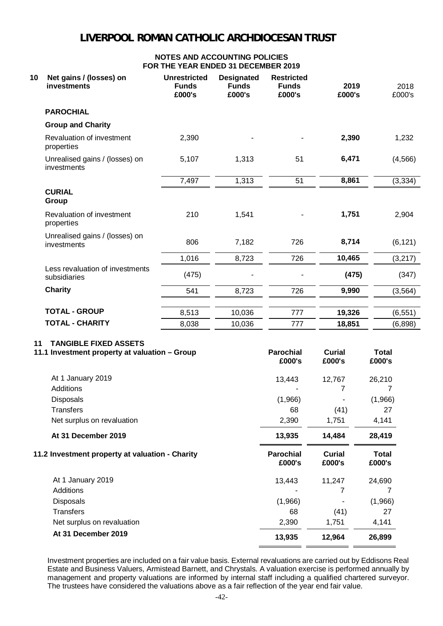### **NOTES AND ACCOUNTING POLICIES FOR THE YEAR ENDED 31 DECEMBER 2019**

| 10 | Net gains / (losses) on<br>investments          | <b>Unrestricted</b><br><b>Funds</b><br>£000's | <b>Designated</b><br><b>Funds</b><br>£000's | <b>Restricted</b><br><b>Funds</b><br>£000's | 2019<br>£000's | 2018<br>£000's |
|----|-------------------------------------------------|-----------------------------------------------|---------------------------------------------|---------------------------------------------|----------------|----------------|
|    | <b>PAROCHIAL</b>                                |                                               |                                             |                                             |                |                |
|    | <b>Group and Charity</b>                        |                                               |                                             |                                             |                |                |
|    | Revaluation of investment<br>properties         | 2,390                                         |                                             |                                             | 2,390          | 1,232          |
|    | Unrealised gains / (losses) on<br>investments   | 5,107                                         | 1,313                                       | 51                                          | 6,471          | (4, 566)       |
|    |                                                 | 7,497                                         | 1,313                                       | 51                                          | 8,861          | (3, 334)       |
|    | <b>CURIAL</b><br>Group                          |                                               |                                             |                                             |                |                |
|    | Revaluation of investment<br>properties         | 210                                           | 1,541                                       |                                             | 1,751          | 2,904          |
|    | Unrealised gains / (losses) on<br>investments   | 806                                           | 7,182                                       | 726                                         | 8,714          | (6, 121)       |
|    |                                                 | 1,016                                         | 8,723                                       | 726                                         | 10,465         | (3,217)        |
|    | Less revaluation of investments<br>subsidiaries | (475)                                         |                                             |                                             | (475)          | (347)          |
|    | <b>Charity</b>                                  | 541                                           | 8,723                                       | 726                                         | 9,990          | (3, 564)       |
|    |                                                 |                                               |                                             |                                             |                |                |
|    | <b>TOTAL - GROUP</b>                            | 8,513                                         | 10,036                                      | 777                                         | 19,326         | (6, 551)       |
|    | <b>TOTAL - CHARITY</b>                          | 8,038                                         | 10,036                                      | 777                                         | 18,851         | (6,898)        |

### **11 TANGIBLE FIXED ASSETS**

| 26,210                 |
|------------------------|
|                        |
|                        |
| (1,966)                |
| 27                     |
| 4,141                  |
| 28,419                 |
| <b>Total</b><br>£000's |
| 24,690                 |
|                        |
| 7                      |
| (1,966)                |
| 27                     |
| 4,141                  |
|                        |

Investment properties are included on a fair value basis. External revaluations are carried out by Eddisons Real Estate and Business Valuers, Armistead Barnett, and Chrystals. A valuation exercise is performed annually by management and property valuations are informed by internal staff including a qualified chartered surveyor. The trustees have considered the valuations above as a fair reflection of the year end fair value.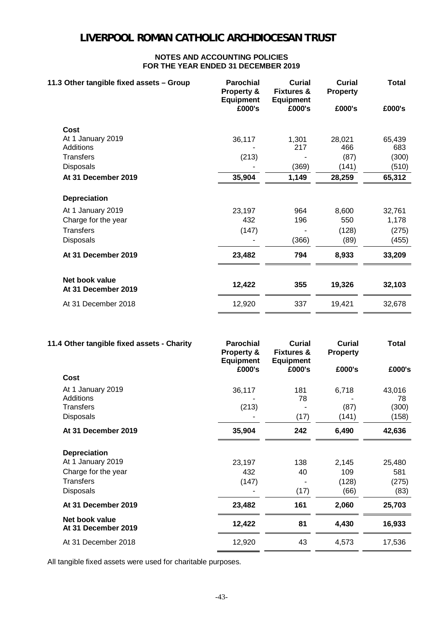#### **NOTES AND ACCOUNTING POLICIES FOR THE YEAR ENDED 31 DECEMBER 2019**

| 11.3 Other tangible fixed assets - Group | <b>Parochial</b><br>Property &<br><b>Equipment</b> | Curial<br><b>Fixtures &amp;</b><br><b>Equipment</b> | <b>Curial</b><br><b>Property</b> | <b>Total</b> |
|------------------------------------------|----------------------------------------------------|-----------------------------------------------------|----------------------------------|--------------|
|                                          | £000's                                             | £000's                                              | £000's                           | £000's       |
| Cost                                     |                                                    |                                                     |                                  |              |
| At 1 January 2019                        | 36,117                                             | 1,301                                               | 28,021                           | 65,439       |
| Additions                                |                                                    | 217                                                 | 466                              | 683          |
| <b>Transfers</b>                         | (213)                                              |                                                     | (87)                             | (300)        |
| <b>Disposals</b>                         |                                                    | (369)                                               | (141)                            | (510)        |
| At 31 December 2019                      | 35,904                                             | 1,149                                               | 28,259                           | 65,312       |
| <b>Depreciation</b>                      |                                                    |                                                     |                                  |              |
| At 1 January 2019                        | 23,197                                             | 964                                                 | 8,600                            | 32,761       |
| Charge for the year                      | 432                                                | 196                                                 | 550                              | 1,178        |
| <b>Transfers</b>                         | (147)                                              |                                                     | (128)                            | (275)        |
| <b>Disposals</b>                         |                                                    | (366)                                               | (89)                             | (455)        |
| At 31 December 2019                      | 23,482                                             | 794                                                 | 8,933                            | 33,209       |
|                                          |                                                    |                                                     |                                  |              |
| Net book value<br>At 31 December 2019    | 12,422                                             | 355                                                 | 19,326                           | 32,103       |
| At 31 December 2018                      | 12,920                                             | 337                                                 | 19,421                           | 32,678       |

| 11.4 Other tangible fixed assets - Charity | <b>Parochial</b><br><b>Property &amp;</b><br><b>Equipment</b> | Curial<br><b>Fixtures &amp;</b><br><b>Equipment</b> | <b>Curial</b><br><b>Property</b> | <b>Total</b> |
|--------------------------------------------|---------------------------------------------------------------|-----------------------------------------------------|----------------------------------|--------------|
|                                            | £000's                                                        | £000's                                              | £000's                           | £000's       |
| Cost                                       |                                                               |                                                     |                                  |              |
| At 1 January 2019                          | 36,117                                                        | 181                                                 | 6,718                            | 43,016       |
| Additions                                  |                                                               | 78                                                  |                                  | 78           |
| Transfers                                  | (213)                                                         |                                                     | (87)                             | (300)        |
| <b>Disposals</b>                           |                                                               | (17)                                                | (141)                            | (158)        |
| At 31 December 2019                        | 35,904                                                        | 242                                                 | 6,490                            | 42,636       |
| <b>Depreciation</b>                        |                                                               |                                                     |                                  |              |
| At 1 January 2019                          | 23,197                                                        | 138                                                 | 2,145                            | 25,480       |
| Charge for the year                        | 432                                                           | 40                                                  | 109                              | 581          |
| Transfers                                  | (147)                                                         |                                                     | (128)                            | (275)        |
| <b>Disposals</b>                           |                                                               | (17)                                                | (66)                             | (83)         |
| At 31 December 2019                        | 23,482                                                        | 161                                                 | 2,060                            | 25,703       |
| Net book value<br>At 31 December 2019      | 12,422                                                        | 81                                                  | 4,430                            | 16,933       |
| At 31 December 2018                        | 12,920                                                        | 43                                                  | 4,573                            | 17,536       |

All tangible fixed assets were used for charitable purposes.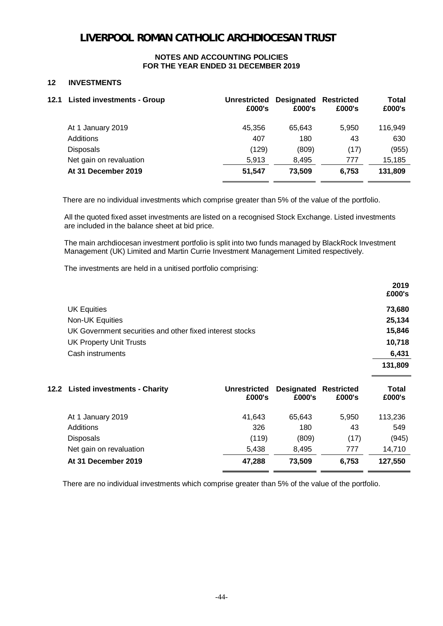#### **NOTES AND ACCOUNTING POLICIES FOR THE YEAR ENDED 31 DECEMBER 2019**

### **12 INVESTMENTS**

| 12.1 Listed investments - Group | <b>Unrestricted</b><br>£000's | <b>Designated Restricted</b><br>£000's | £000's | <b>Total</b><br>£000's |
|---------------------------------|-------------------------------|----------------------------------------|--------|------------------------|
| At 1 January 2019               | 45.356                        | 65.643                                 | 5.950  | 116.949                |
| Additions                       | 407                           | 180                                    | 43     | 630                    |
| <b>Disposals</b>                | (129)                         | (809)                                  | (17)   | (955)                  |
| Net gain on revaluation         | 5,913                         | 8,495                                  | 777    | 15,185                 |
| At 31 December 2019             | 51,547                        | 73,509                                 | 6.753  | 131,809                |

There are no individual investments which comprise greater than 5% of the value of the portfolio.

All the quoted fixed asset investments are listed on a recognised Stock Exchange. Listed investments are included in the balance sheet at bid price.

The main archdiocesan investment portfolio is split into two funds managed by BlackRock Investment Management (UK) Limited and Martin Currie Investment Management Limited respectively.

The investments are held in a unitised portfolio comprising:

|                                                          | 2019    |
|----------------------------------------------------------|---------|
|                                                          | £000's  |
| <b>UK Equities</b>                                       | 73,680  |
| Non-UK Equities                                          | 25,134  |
| UK Government securities and other fixed interest stocks | 15,846  |
| <b>UK Property Unit Trusts</b>                           | 10,718  |
| Cash instruments                                         | 6,431   |
|                                                          | 131,809 |

| 12.2 Listed investments - Charity | <b>Unrestricted</b><br>£000's | <b>Designated Restricted</b><br>£000's | £000's | <b>Total</b><br>£000's |
|-----------------------------------|-------------------------------|----------------------------------------|--------|------------------------|
| At 1 January 2019                 | 41,643                        | 65.643                                 | 5,950  | 113,236                |
| Additions                         | 326                           | 180                                    | 43     | 549                    |
| <b>Disposals</b>                  | (119)                         | (809)                                  | (17)   | (945)                  |
| Net gain on revaluation           | 5.438                         | 8.495                                  | 777    | 14,710                 |
| At 31 December 2019               | 47,288                        | 73,509                                 | 6.753  | 127,550                |

There are no individual investments which comprise greater than 5% of the value of the portfolio.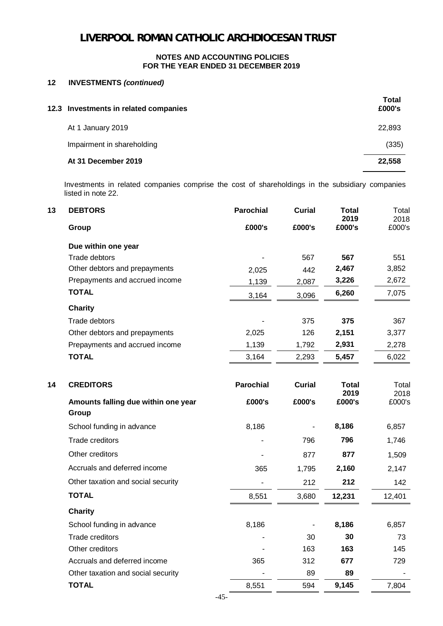### **12 INVESTMENTS** *(continued)*

| 12.3 Investments in related companies | Total<br>£000's |
|---------------------------------------|-----------------|
| At 1 January 2019                     | 22,893          |
| Impairment in shareholding            | (335)           |
| At 31 December 2019                   | 22,558          |

Investments in related companies comprise the cost of shareholdings in the subsidiary companies listed in note 22.

| <b>DEBTORS</b><br>13                         | <b>Parochial</b> | <b>Curial</b> | <b>Total</b>         | Total          |
|----------------------------------------------|------------------|---------------|----------------------|----------------|
| Group                                        | £000's           | £000's        | 2019<br>£000's       | 2018<br>£000's |
| Due within one year                          |                  |               |                      |                |
| Trade debtors                                |                  | 567           | 567                  | 551            |
| Other debtors and prepayments                | 2,025            | 442           | 2,467                | 3,852          |
| Prepayments and accrued income               | 1,139            | 2,087         | 3,226                | 2,672          |
| <b>TOTAL</b>                                 | 3,164            | 3,096         | 6,260                | 7,075          |
| <b>Charity</b>                               |                  |               |                      |                |
| Trade debtors                                |                  | 375           | 375                  | 367            |
| Other debtors and prepayments                | 2,025            | 126           | 2,151                | 3,377          |
| Prepayments and accrued income               | 1,139            | 1,792         | 2,931                | 2,278          |
| <b>TOTAL</b>                                 | 3,164            | 2,293         | 5,457                | 6,022          |
| 14<br><b>CREDITORS</b>                       | <b>Parochial</b> | <b>Curial</b> | <b>Total</b><br>2019 | Total<br>2018  |
| Amounts falling due within one year<br>Group | £000's           | £000's        | £000's               | £000's         |
| School funding in advance                    | 8,186            |               | 8,186                | 6,857          |
| <b>Trade creditors</b>                       |                  | 796           | 796                  | 1,746          |
| Other creditors                              |                  | 877           | 877                  | 1,509          |
| Accruals and deferred income                 | 365              | 1,795         | 2,160                | 2,147          |
| Other taxation and social security           |                  | 212           | 212                  | 142            |
| <b>TOTAL</b>                                 | 8,551            | 3,680         | 12,231               | 12,401         |
| <b>Charity</b>                               |                  |               |                      |                |
| School funding in advance                    | 8,186            |               | 8,186                | 6,857          |
| Trade creditors                              |                  | 30            | 30                   | 73             |
| Other creditors                              |                  | 163           | 163                  | 145            |
| Accruals and deferred income                 | 365              | 312           | 677                  | 729            |
| Other taxation and social security           |                  | 89            | 89                   |                |
| <b>TOTAL</b>                                 | 8,551            | 594           | 9,145                | 7,804          |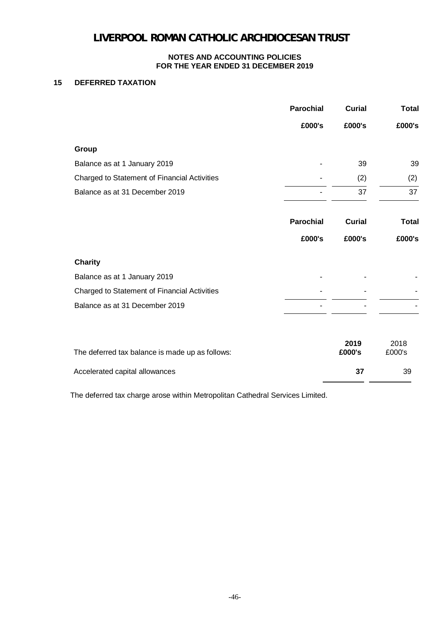### **NOTES AND ACCOUNTING POLICIES FOR THE YEAR ENDED 31 DECEMBER 2019**

### **15 DEFERRED TAXATION**

| <b>Parochial</b> | <b>Curial</b>  | <b>Total</b>   |
|------------------|----------------|----------------|
| £000's           | £000's         | £000's         |
|                  |                |                |
|                  | 39             | 39             |
|                  | (2)            | (2)            |
|                  | 37             | 37             |
| <b>Parochial</b> | <b>Curial</b>  | <b>Total</b>   |
| £000's           | £000's         | £000's         |
|                  |                |                |
|                  |                |                |
|                  |                |                |
|                  |                |                |
|                  | 2019<br>£000's | 2018<br>£000's |
|                  | 37             | 39             |
|                  |                |                |

The deferred tax charge arose within Metropolitan Cathedral Services Limited.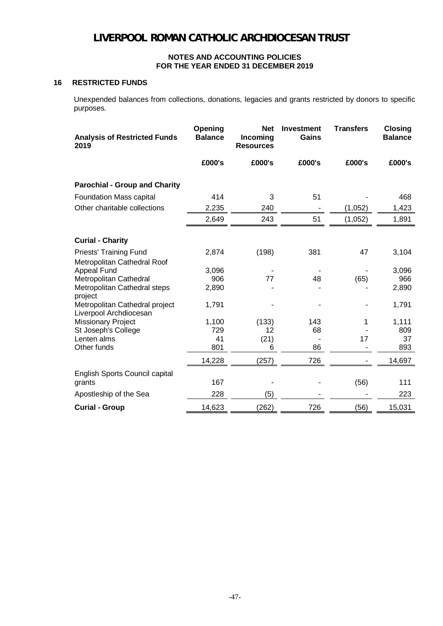### **16 RESTRICTED FUNDS**

Unexpended balances from collections, donations, legacies and grants restricted by donors to specific purposes.

| <b>Analysis of Restricted Funds</b><br>2019                  | Opening<br><b>Balance</b> | <b>Net</b><br>Incoming<br><b>Resources</b> | <b>Investment</b><br>Gains | <b>Transfers</b> | <b>Closing</b><br><b>Balance</b> |
|--------------------------------------------------------------|---------------------------|--------------------------------------------|----------------------------|------------------|----------------------------------|
|                                                              | £000's                    | £000's                                     | £000's                     | £000's           | £000's                           |
| <b>Parochial - Group and Charity</b>                         |                           |                                            |                            |                  |                                  |
| Foundation Mass capital                                      | 414                       | 3                                          | 51                         |                  | 468                              |
| Other charitable collections                                 | 2,235                     | 240                                        |                            | (1,052)          | 1,423                            |
|                                                              | 2,649                     | 243                                        | 51                         | (1,052)          | 1,891                            |
| <b>Curial - Charity</b>                                      |                           |                                            |                            |                  |                                  |
| <b>Priests' Training Fund</b><br>Metropolitan Cathedral Roof | 2,874                     | (198)                                      | 381                        | 47               | 3,104                            |
| <b>Appeal Fund</b>                                           | 3,096                     |                                            |                            |                  | 3,096                            |
| Metropolitan Cathedral                                       | 906                       | 77                                         | 48                         | (65)             | 966                              |
| Metropolitan Cathedral steps<br>project                      | 2,890                     |                                            |                            |                  | 2,890                            |
| Metropolitan Cathedral project<br>Liverpool Archdiocesan     | 1,791                     |                                            |                            |                  | 1,791                            |
| Missionary Project                                           | 1,100                     | (133)                                      | 143                        | 1                | 1,111                            |
| St Joseph's College                                          | 729                       | 12                                         | 68                         |                  | 809                              |
| Lenten alms                                                  | 41                        | (21)                                       |                            | 17               | 37                               |
| Other funds                                                  | 801                       | 6                                          | 86                         |                  | 893                              |
|                                                              | 14,228                    | (257)                                      | 726                        |                  | 14,697                           |
| English Sports Council capital                               |                           |                                            |                            |                  |                                  |
| grants                                                       | 167                       |                                            |                            | (56)             | 111                              |
| Apostleship of the Sea                                       | 228                       | (5)                                        |                            |                  | 223                              |
| <b>Curial - Group</b>                                        | 14,623                    | (262)                                      | 726                        | (56)             | 15,031                           |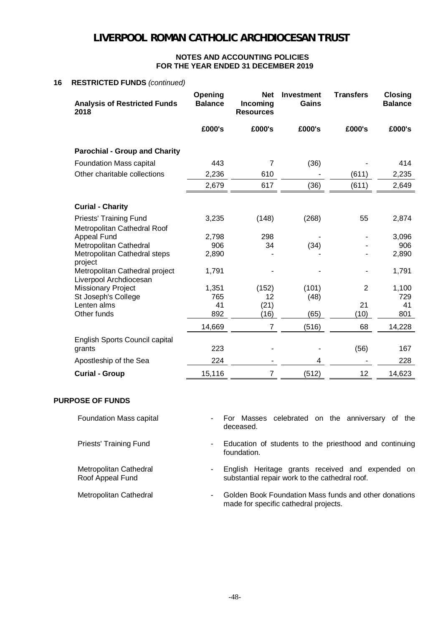#### **NOTES AND ACCOUNTING POLICIES FOR THE YEAR ENDED 31 DECEMBER 2019**

#### **16 RESTRICTED FUNDS** *(continued)*

| <b>Analysis of Restricted Funds</b><br>2018                  | Opening<br><b>Balance</b> | <b>Net</b><br>Incoming<br><b>Resources</b> | <b>Investment</b><br>Gains | <b>Transfers</b> | <b>Closing</b><br><b>Balance</b> |
|--------------------------------------------------------------|---------------------------|--------------------------------------------|----------------------------|------------------|----------------------------------|
|                                                              | £000's                    | £000's                                     | £000's                     | £000's           | £000's                           |
| <b>Parochial - Group and Charity</b>                         |                           |                                            |                            |                  |                                  |
| <b>Foundation Mass capital</b>                               | 443                       | $\overline{7}$                             | (36)                       |                  | 414                              |
| Other charitable collections                                 | 2,236                     | 610                                        |                            | (611)            | 2,235                            |
|                                                              | 2,679                     | 617                                        | (36)                       | (611)            | 2,649                            |
| <b>Curial - Charity</b>                                      |                           |                                            |                            |                  |                                  |
| <b>Priests' Training Fund</b><br>Metropolitan Cathedral Roof | 3,235                     | (148)                                      | (268)                      | 55               | 2,874                            |
| Appeal Fund                                                  | 2,798                     | 298                                        |                            |                  | 3,096                            |
| Metropolitan Cathedral                                       | 906                       | 34                                         | (34)                       |                  | 906                              |
| Metropolitan Cathedral steps<br>project                      | 2,890                     |                                            |                            |                  | 2,890                            |
| Metropolitan Cathedral project<br>Liverpool Archdiocesan     | 1,791                     |                                            |                            |                  | 1,791                            |
| <b>Missionary Project</b>                                    | 1,351                     | (152)                                      | (101)                      | $\overline{2}$   | 1,100                            |
| St Joseph's College                                          | 765                       | 12                                         | (48)                       |                  | 729                              |
| Lenten alms                                                  | 41                        | (21)                                       |                            | 21               | 41                               |
| Other funds                                                  | 892                       | (16)                                       | (65)                       | (10)             | 801                              |
|                                                              | 14,669                    | $\overline{7}$                             | (516)                      | 68               | 14,228                           |
| English Sports Council capital                               |                           |                                            |                            |                  |                                  |
| grants                                                       | 223                       |                                            |                            | (56)             | 167                              |
| Apostleship of the Sea                                       | 224                       |                                            | 4                          |                  | 228                              |
| <b>Curial - Group</b>                                        | 15,116                    | 7                                          | (512)                      | 12               | 14,623                           |

### **PURPOSE OF FUNDS**

Metropolitan Cathedral Roof Appeal Fund

Foundation Mass capital **Foundation Mass** capital **-** For Masses celebrated on the anniversary of the deceased.

Priests' Training Fund - Education of students to the priesthood and continuing foundation.

> - English Heritage grants received and expended on substantial repair work to the cathedral roof.

Metropolitan Cathedral - Golden Book Foundation Mass funds and other donations made for specific cathedral projects.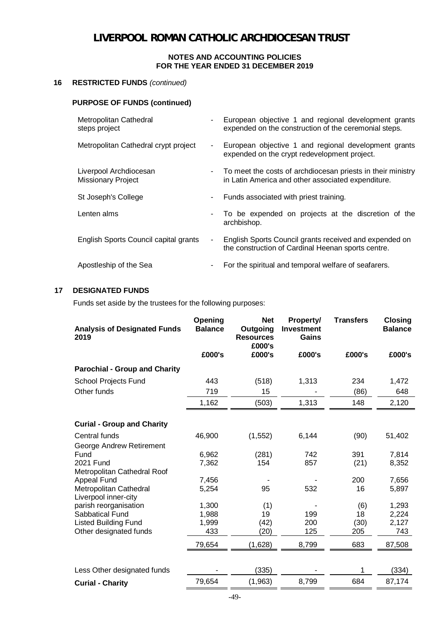### **16 RESTRICTED FUNDS** *(continued)*

### **PURPOSE OF FUNDS (continued)**

| Metropolitan Cathedral<br>steps project             |        | European objective 1 and regional development grants<br>expended on the construction of the ceremonial steps.     |
|-----------------------------------------------------|--------|-------------------------------------------------------------------------------------------------------------------|
| Metropolitan Cathedral crypt project                | $\sim$ | European objective 1 and regional development grants<br>expended on the crypt redevelopment project.              |
| Liverpool Archdiocesan<br><b>Missionary Project</b> | $\sim$ | To meet the costs of archdiocesan priests in their ministry<br>in Latin America and other associated expenditure. |
| St Joseph's College                                 | ۰      | Funds associated with priest training.                                                                            |
| Lenten alms                                         |        | To be expended on projects at the discretion of the<br>archbishop.                                                |
| English Sports Council capital grants               |        | English Sports Council grants received and expended on<br>the construction of Cardinal Heenan sports centre.      |
| Apostleship of the Sea                              | ۰.     | For the spiritual and temporal welfare of seafarers.                                                              |

### **17 DESIGNATED FUNDS**

Funds set aside by the trustees for the following purposes:

| <b>Analysis of Designated Funds</b><br>2019    | Opening<br><b>Balance</b> | <b>Net</b><br>Outgoing<br><b>Resources</b><br>£000's | <b>Property/</b><br><b>Investment</b><br>Gains | <b>Transfers</b> | <b>Closing</b><br><b>Balance</b> |
|------------------------------------------------|---------------------------|------------------------------------------------------|------------------------------------------------|------------------|----------------------------------|
|                                                | £000's                    | £000's                                               | £000's                                         | £000's           | £000's                           |
| <b>Parochial - Group and Charity</b>           |                           |                                                      |                                                |                  |                                  |
| School Projects Fund                           | 443                       | (518)                                                | 1,313                                          | 234              | 1,472                            |
| Other funds                                    | 719                       | 15                                                   |                                                | (86)             | 648                              |
|                                                | 1,162                     | (503)                                                | 1,313                                          | 148              | 2,120                            |
| <b>Curial - Group and Charity</b>              |                           |                                                      |                                                |                  |                                  |
| Central funds                                  | 46,900                    | (1, 552)                                             | 6,144                                          | (90)             | 51,402                           |
| George Andrew Retirement                       |                           |                                                      |                                                |                  |                                  |
| Fund                                           | 6,962                     | (281)                                                | 742                                            | 391              | 7,814                            |
| 2021 Fund                                      | 7,362                     | 154                                                  | 857                                            | (21)             | 8,352                            |
| Metropolitan Cathedral Roof                    |                           |                                                      |                                                |                  |                                  |
| <b>Appeal Fund</b>                             | 7,456                     |                                                      |                                                | 200              | 7,656                            |
| Metropolitan Cathedral<br>Liverpool inner-city | 5,254                     | 95                                                   | 532                                            | 16               | 5,897                            |
| parish reorganisation                          | 1,300                     | (1)                                                  |                                                | (6)              | 1,293                            |
| Sabbatical Fund                                | 1,988                     | 19                                                   | 199                                            | 18               | 2,224                            |
| <b>Listed Building Fund</b>                    | 1,999                     | (42)                                                 | 200                                            | (30)             | 2,127                            |
| Other designated funds                         | 433                       | (20)                                                 | 125                                            | 205              | 743                              |
|                                                | 79,654                    | (1,628)                                              | 8,799                                          | 683              | 87,508                           |
|                                                |                           |                                                      |                                                |                  |                                  |
| Less Other designated funds                    |                           | (335)                                                |                                                | 1                | (334)                            |
| <b>Curial - Charity</b>                        | 79,654                    | (1,963)                                              | 8,799                                          | 684              | 87,174                           |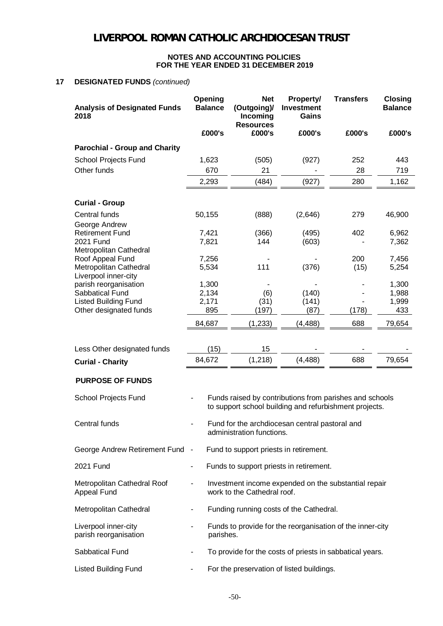#### **NOTES AND ACCOUNTING POLICIES FOR THE YEAR ENDED 31 DECEMBER 2019**

#### **17 DESIGNATED FUNDS** *(continued)*

| <b>Analysis of Designated Funds</b><br>2018    | Opening<br><b>Balance</b> | <b>Net</b><br>(Outgoing)/<br>Incoming<br><b>Resources</b> | <b>Property/</b><br>Investment<br>Gains                                                                           | <b>Transfers</b> | <b>Closing</b><br><b>Balance</b> |
|------------------------------------------------|---------------------------|-----------------------------------------------------------|-------------------------------------------------------------------------------------------------------------------|------------------|----------------------------------|
|                                                | £000's                    | £000's                                                    | £000's                                                                                                            | £000's           | £000's                           |
| <b>Parochial - Group and Charity</b>           |                           |                                                           |                                                                                                                   |                  |                                  |
| School Projects Fund                           | 1,623                     | (505)                                                     | (927)                                                                                                             | 252              | 443                              |
| Other funds                                    | 670                       | 21                                                        |                                                                                                                   | 28               | 719                              |
|                                                | 2,293                     | (484)                                                     | (927)                                                                                                             | 280              | 1,162                            |
| <b>Curial - Group</b>                          |                           |                                                           |                                                                                                                   |                  |                                  |
| Central funds                                  | 50,155                    | (888)                                                     | (2,646)                                                                                                           | 279              | 46,900                           |
| George Andrew                                  |                           |                                                           |                                                                                                                   |                  |                                  |
| <b>Retirement Fund</b>                         | 7,421                     | (366)                                                     | (495)                                                                                                             | 402              | 6,962                            |
| 2021 Fund                                      | 7,821                     | 144                                                       | (603)                                                                                                             |                  | 7,362                            |
| Metropolitan Cathedral                         |                           |                                                           |                                                                                                                   |                  |                                  |
| Roof Appeal Fund                               | 7,256                     |                                                           |                                                                                                                   | 200              | 7,456                            |
| Metropolitan Cathedral<br>Liverpool inner-city | 5,534                     | 111                                                       | (376)                                                                                                             | (15)             | 5,254                            |
| parish reorganisation                          | 1,300                     |                                                           |                                                                                                                   |                  | 1,300                            |
| Sabbatical Fund                                | 2,134                     | (6)                                                       | (140)                                                                                                             |                  | 1,988                            |
| <b>Listed Building Fund</b>                    | 2,171                     | (31)                                                      | (141)                                                                                                             |                  | 1,999                            |
| Other designated funds                         | 895                       | (197)                                                     | (87)                                                                                                              | (178)            | 433                              |
|                                                | 84,687                    | (1, 233)                                                  | (4, 488)                                                                                                          | 688              | 79,654                           |
| Less Other designated funds                    | (15)                      | 15                                                        |                                                                                                                   |                  |                                  |
| <b>Curial - Charity</b>                        | 84,672                    | (1, 218)                                                  | (4, 488)                                                                                                          | 688              | 79,654                           |
| <b>PURPOSE OF FUNDS</b>                        |                           |                                                           |                                                                                                                   |                  |                                  |
| School Projects Fund                           |                           |                                                           | Funds raised by contributions from parishes and schools<br>to support school building and refurbishment projects. |                  |                                  |
| Central funds                                  |                           | administration functions.                                 | Fund for the archdiocesan central pastoral and                                                                    |                  |                                  |
| George Andrew Retirement Fund -                |                           |                                                           | Fund to support priests in retirement.                                                                            |                  |                                  |
| 2021 Fund                                      | $\overline{\phantom{a}}$  |                                                           | Funds to support priests in retirement.                                                                           |                  |                                  |
| Metropolitan Cathedral Roof<br>Appeal Fund     |                           | work to the Cathedral roof.                               | Investment income expended on the substantial repair                                                              |                  |                                  |
| Metropolitan Cathedral                         | -                         |                                                           | Funding running costs of the Cathedral.                                                                           |                  |                                  |
| Liverpool inner-city<br>parish reorganisation  | parishes.                 |                                                           | Funds to provide for the reorganisation of the inner-city                                                         |                  |                                  |
| Sabbatical Fund                                |                           |                                                           | To provide for the costs of priests in sabbatical years.                                                          |                  |                                  |
| <b>Listed Building Fund</b>                    | $\overline{\phantom{a}}$  |                                                           | For the preservation of listed buildings.                                                                         |                  |                                  |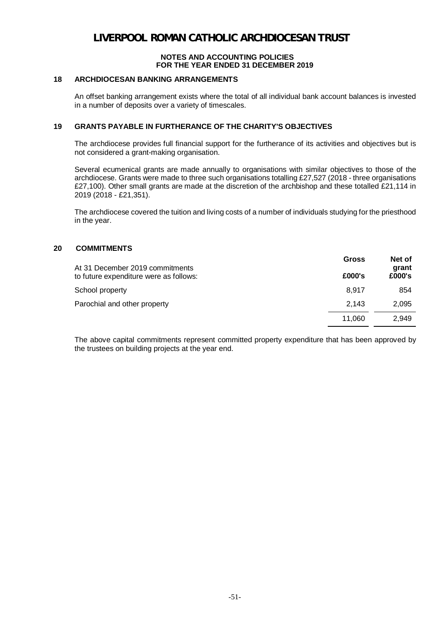### **18 ARCHDIOCESAN BANKING ARRANGEMENTS**

An offset banking arrangement exists where the total of all individual bank account balances is invested in a number of deposits over a variety of timescales.

### **19 GRANTS PAYABLE IN FURTHERANCE OF THE CHARITY'S OBJECTIVES**

The archdiocese provides full financial support for the furtherance of its activities and objectives but is not considered a grant-making organisation.

Several ecumenical grants are made annually to organisations with similar objectives to those of the archdiocese. Grants were made to three such organisations totalling £27,527 (2018 - three organisations £27,100). Other small grants are made at the discretion of the archbishop and these totalled £21,114 in 2019 (2018 - £21,351).

The archdiocese covered the tuition and living costs of a number of individuals studying for the priesthood in the year.

### **20 COMMITMENTS**

| At 31 December 2019 commitments        | Gross  | Net of<br>grant |
|----------------------------------------|--------|-----------------|
| to future expenditure were as follows: | £000's | £000's          |
| School property                        | 8.917  | 854             |
| Parochial and other property           | 2.143  | 2,095           |
|                                        | 11.060 | 2.949           |

The above capital commitments represent committed property expenditure that has been approved by the trustees on building projects at the year end.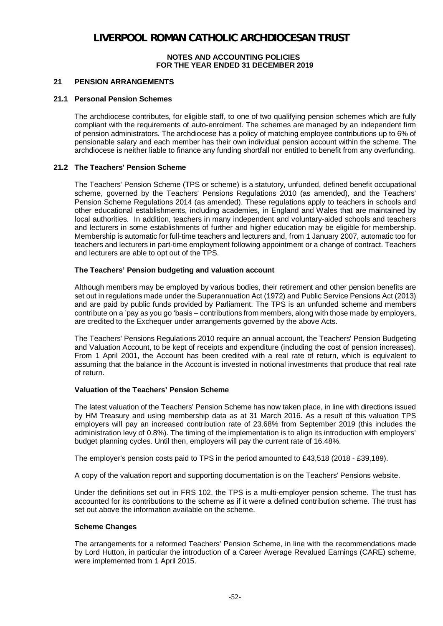#### **NOTES AND ACCOUNTING POLICIES FOR THE YEAR ENDED 31 DECEMBER 2019**

#### **21 PENSION ARRANGEMENTS**

#### **21.1 Personal Pension Schemes**

The archdiocese contributes, for eligible staff, to one of two qualifying pension schemes which are fully compliant with the requirements of auto-enrolment. The schemes are managed by an independent firm of pension administrators. The archdiocese has a policy of matching employee contributions up to 6% of pensionable salary and each member has their own individual pension account within the scheme. The archdiocese is neither liable to finance any funding shortfall nor entitled to benefit from any overfunding.

#### **21.2 The Teachers' Pension Scheme**

The Teachers' Pension Scheme (TPS or scheme) is a statutory, unfunded, defined benefit occupational scheme, governed by the Teachers' Pensions Regulations 2010 (as amended), and the Teachers' Pension Scheme Regulations 2014 (as amended). These regulations apply to teachers in schools and other educational establishments, including academies, in England and Wales that are maintained by local authorities. In addition, teachers in many independent and voluntary-aided schools and teachers and lecturers in some establishments of further and higher education may be eligible for membership. Membership is automatic for full-time teachers and lecturers and, from 1 January 2007, automatic too for teachers and lecturers in part-time employment following appointment or a change of contract. Teachers and lecturers are able to opt out of the TPS.

#### **The Teachers' Pension budgeting and valuation account**

Although members may be employed by various bodies, their retirement and other pension benefits are set out in regulations made under the Superannuation Act (1972) and Public Service Pensions Act (2013) and are paid by public funds provided by Parliament. The TPS is an unfunded scheme and members contribute on a 'pay as you go 'basis – contributions from members, along with those made by employers, are credited to the Exchequer under arrangements governed by the above Acts.

The Teachers' Pensions Regulations 2010 require an annual account, the Teachers' Pension Budgeting and Valuation Account, to be kept of receipts and expenditure (including the cost of pension increases). From 1 April 2001, the Account has been credited with a real rate of return, which is equivalent to assuming that the balance in the Account is invested in notional investments that produce that real rate of return.

#### **Valuation of the Teachers' Pension Scheme**

The latest valuation of the Teachers' Pension Scheme has now taken place, in line with directions issued by HM Treasury and using membership data as at 31 March 2016. As a result of this valuation TPS employers will pay an increased contribution rate of 23.68% from September 2019 (this includes the administration levy of 0.8%). The timing of the implementation is to align its introduction with employers' budget planning cycles. Until then, employers will pay the current rate of 16.48%.

The employer's pension costs paid to TPS in the period amounted to £43,518 (2018 - £39,189).

A copy of the valuation report and supporting documentation is on the Teachers' Pensions website.

Under the definitions set out in FRS 102, the TPS is a multi-employer pension scheme. The trust has accounted for its contributions to the scheme as if it were a defined contribution scheme. The trust has set out above the information available on the scheme.

### **Scheme Changes**

The arrangements for a reformed Teachers' Pension Scheme, in line with the recommendations made by Lord Hutton, in particular the introduction of a Career Average Revalued Earnings (CARE) scheme, were implemented from 1 April 2015.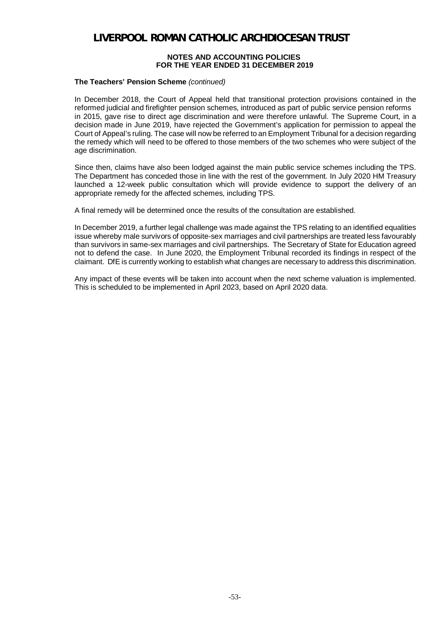#### **NOTES AND ACCOUNTING POLICIES FOR THE YEAR ENDED 31 DECEMBER 2019**

#### **The Teachers' Pension Scheme** *(continued)*

In December 2018, the Court of Appeal held that transitional protection provisions contained in the reformed judicial and firefighter pension schemes, introduced as part of public service pension reforms in 2015, gave rise to direct age discrimination and were therefore unlawful. The Supreme Court, in a decision made in June 2019, have rejected the Government's application for permission to appeal the Court of Appeal's ruling. The case will now be referred to an Employment Tribunal for a decision regarding the remedy which will need to be offered to those members of the two schemes who were subject of the age discrimination.

Since then, claims have also been lodged against the main public service schemes including the TPS. The Department has conceded those in line with the rest of the government. In July 2020 HM Treasury launched a 12-week public consultation which will provide evidence to support the delivery of an appropriate remedy for the affected schemes, including TPS.

A final remedy will be determined once the results of the consultation are established.

In December 2019, a further legal challenge was made against the TPS relating to an identified equalities issue whereby male survivors of opposite-sex marriages and civil partnerships are treated less favourably than survivors in same-sex marriages and civil partnerships. The Secretary of State for Education agreed not to defend the case. In June 2020, the Employment Tribunal recorded its findings in respect of the claimant. DfE is currently working to establish what changes are necessary to address this discrimination.

Any impact of these events will be taken into account when the next scheme valuation is implemented. This is scheduled to be implemented in April 2023, based on April 2020 data.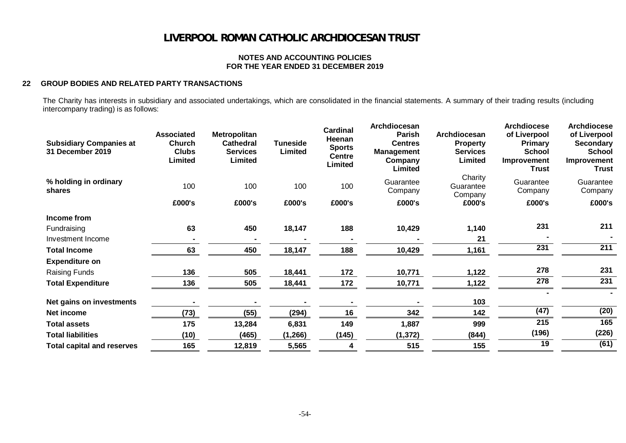#### **NOTES AND ACCOUNTING POLICIES FOR THE YEAR ENDED 31 DECEMBER 2019**

#### **22 GROUP BODIES AND RELATED PARTY TRANSACTIONS**

The Charity has interests in subsidiary and associated undertakings, which are consolidated in the financial statements. A summary of their trading results (including intercompany trading) is as follows:

| <b>Subsidiary Companies at</b><br><b>31 December 2019</b> | <b>Associated</b><br><b>Church</b><br><b>Clubs</b><br>Limited | <b>Metropolitan</b><br><b>Cathedral</b><br><b>Services</b><br>Limited | <b>Tuneside</b><br>Limited | <b>Cardinal</b><br>Heenan<br><b>Sports</b><br><b>Centre</b><br><b>Limited</b> | Archdiocesan<br>Parish<br><b>Centres</b><br><b>Management</b><br>Company<br>Limited | Archdiocesan<br><b>Property</b><br><b>Services</b><br>Limited | <b>Archdiocese</b><br>of Liverpool<br><b>Primary</b><br><b>School</b><br>Improvement<br><b>Trust</b> | <b>Archdiocese</b><br>of Liverpool<br><b>Secondary</b><br><b>School</b><br>Improvement<br>Trust |
|-----------------------------------------------------------|---------------------------------------------------------------|-----------------------------------------------------------------------|----------------------------|-------------------------------------------------------------------------------|-------------------------------------------------------------------------------------|---------------------------------------------------------------|------------------------------------------------------------------------------------------------------|-------------------------------------------------------------------------------------------------|
| % holding in ordinary<br>shares                           | 100                                                           | 100                                                                   | 100                        | 100                                                                           | Guarantee<br>Company                                                                | Charity<br>Guarantee<br>Company                               | Guarantee<br>Company                                                                                 | Guarantee<br>Company                                                                            |
|                                                           | £000's                                                        | £000's                                                                | £000's                     | £000's                                                                        | £000's                                                                              | £000's                                                        | £000's                                                                                               | £000's                                                                                          |
| Income from                                               |                                                               |                                                                       |                            |                                                                               |                                                                                     |                                                               |                                                                                                      |                                                                                                 |
| Fundraising                                               | 63                                                            | 450                                                                   | 18,147                     | 188                                                                           | 10,429                                                                              | 1,140                                                         | 231                                                                                                  | 211                                                                                             |
| Investment Income                                         |                                                               |                                                                       |                            |                                                                               |                                                                                     | 21                                                            |                                                                                                      |                                                                                                 |
| <b>Total Income</b>                                       | 63                                                            | 450                                                                   | 18,147                     | 188                                                                           | 10,429                                                                              | 1,161                                                         | 231                                                                                                  | $\overline{211}$                                                                                |
| <b>Expenditure on</b>                                     |                                                               |                                                                       |                            |                                                                               |                                                                                     |                                                               |                                                                                                      |                                                                                                 |
| Raising Funds                                             | 136                                                           | 505                                                                   | 18,441                     | 172                                                                           | 10,771                                                                              | 1,122                                                         | 278                                                                                                  | 231                                                                                             |
| <b>Total Expenditure</b>                                  | 136                                                           | 505                                                                   | 18,441                     | 172                                                                           | 10,771                                                                              | 1,122                                                         | $\overline{278}$                                                                                     | $\overline{231}$                                                                                |
|                                                           |                                                               |                                                                       |                            |                                                                               |                                                                                     |                                                               |                                                                                                      |                                                                                                 |
| Net gains on investments                                  |                                                               |                                                                       |                            |                                                                               |                                                                                     | 103                                                           |                                                                                                      |                                                                                                 |
| Net income                                                | (73)                                                          | (55)                                                                  | (294)                      | 16                                                                            | 342                                                                                 | 142                                                           | (47)                                                                                                 | (20)                                                                                            |
| <b>Total assets</b>                                       | 175                                                           | 13,284                                                                | 6,831                      | 149                                                                           | 1,887                                                                               | 999                                                           | $\overline{215}$                                                                                     | 165                                                                                             |
| <b>Total liabilities</b>                                  | (10)                                                          | (465)                                                                 | (1,266)                    | (145)                                                                         | (1, 372)                                                                            | (844)                                                         | (196)                                                                                                | (226)                                                                                           |
| <b>Total capital and reserves</b>                         | 165                                                           | 12,819                                                                | 5,565                      | 4                                                                             | 515                                                                                 | 155                                                           | 19                                                                                                   | (61)                                                                                            |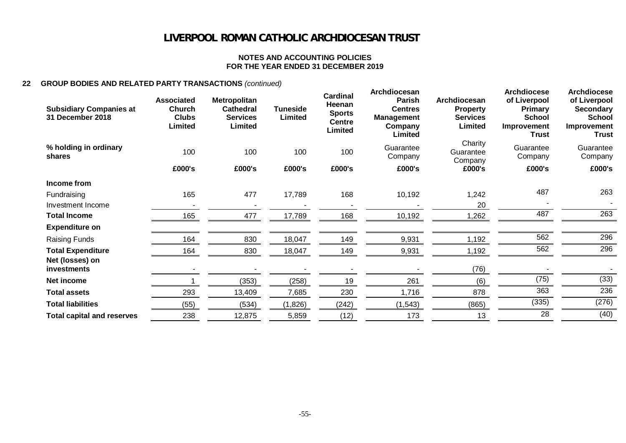#### **NOTES AND ACCOUNTING POLICIES FOR THE YEAR ENDED 31 DECEMBER 2019**

### **22 GROUP BODIES AND RELATED PARTY TRANSACTIONS** *(continued)*

| <b>Subsidiary Companies at</b><br>31 December 2018 | <b>Associated</b><br><b>Church</b><br><b>Clubs</b><br><b>Limited</b> | <b>Metropolitan</b><br><b>Cathedral</b><br><b>Services</b><br>Limited | <b>Tuneside</b><br>Limited | <b>Cardinal</b><br>Heenan<br><b>Sports</b><br><b>Centre</b><br>Limited | Archdiocesan<br>Parish<br><b>Centres</b><br><b>Management</b><br>Company<br>Limited | Archdiocesan<br><b>Property</b><br><b>Services</b><br>Limited | <b>Archdiocese</b><br>of Liverpool<br>Primary<br><b>School</b><br>Improvement<br><b>Trust</b> | <b>Archdiocese</b><br>of Liverpool<br><b>Secondary</b><br><b>School</b><br>Improvement<br><b>Trust</b> |
|----------------------------------------------------|----------------------------------------------------------------------|-----------------------------------------------------------------------|----------------------------|------------------------------------------------------------------------|-------------------------------------------------------------------------------------|---------------------------------------------------------------|-----------------------------------------------------------------------------------------------|--------------------------------------------------------------------------------------------------------|
| % holding in ordinary<br>shares                    | 100                                                                  | 100                                                                   | 100                        | 100                                                                    | Guarantee<br>Company                                                                | Charity<br>Guarantee<br>Company                               | Guarantee<br>Company                                                                          | Guarantee<br>Company                                                                                   |
|                                                    | £000's                                                               | £000's                                                                | £000's                     | £000's                                                                 | £000's                                                                              | £000's                                                        | £000's                                                                                        | £000's                                                                                                 |
| Income from                                        |                                                                      |                                                                       |                            |                                                                        |                                                                                     |                                                               |                                                                                               |                                                                                                        |
| Fundraising                                        | 165                                                                  | 477                                                                   | 17,789                     | 168                                                                    | 10,192                                                                              | 1,242                                                         | 487                                                                                           | 263                                                                                                    |
| Investment Income                                  |                                                                      |                                                                       |                            |                                                                        |                                                                                     | 20                                                            |                                                                                               |                                                                                                        |
| <b>Total Income</b>                                | 165                                                                  | 477                                                                   | 17,789                     | 168                                                                    | 10,192                                                                              | 1,262                                                         | 487                                                                                           | 263                                                                                                    |
| <b>Expenditure on</b>                              |                                                                      |                                                                       |                            |                                                                        |                                                                                     |                                                               |                                                                                               |                                                                                                        |
| <b>Raising Funds</b>                               | 164                                                                  | 830                                                                   | 18,047                     | 149                                                                    | 9,931                                                                               | 1,192                                                         | 562                                                                                           | 296                                                                                                    |
| <b>Total Expenditure</b>                           | 164                                                                  | 830                                                                   | 18,047                     | 149                                                                    | 9,931                                                                               | 1,192                                                         | 562                                                                                           | 296                                                                                                    |
| Net (losses) on<br>investments                     |                                                                      |                                                                       |                            |                                                                        |                                                                                     | (76)                                                          |                                                                                               |                                                                                                        |
| Net income                                         |                                                                      | (353)                                                                 | (258)                      | 19                                                                     | 261                                                                                 | (6)                                                           | (75)                                                                                          | (33)                                                                                                   |
| <b>Total assets</b>                                | 293                                                                  | 13,409                                                                | 7,685                      | 230                                                                    | 1,716                                                                               | 878                                                           | 363                                                                                           | 236                                                                                                    |
| <b>Total liabilities</b>                           | (55)                                                                 | (534)                                                                 | (1,826)                    | (242)                                                                  | (1, 543)                                                                            | (865)                                                         | (335)                                                                                         | (276)                                                                                                  |
| <b>Total capital and reserves</b>                  | 238                                                                  | 12,875                                                                | 5,859                      | (12)                                                                   | 173                                                                                 | 13                                                            | 28                                                                                            | (40)                                                                                                   |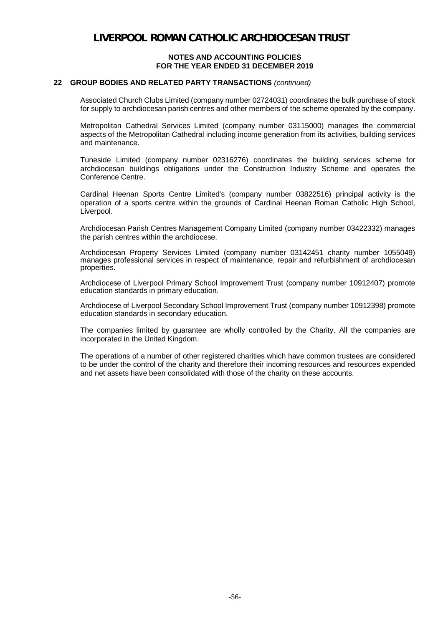#### **22 GROUP BODIES AND RELATED PARTY TRANSACTIONS** *(continued)*

Associated Church Clubs Limited (company number 02724031) coordinates the bulk purchase of stock for supply to archdiocesan parish centres and other members of the scheme operated by the company.

Metropolitan Cathedral Services Limited (company number 03115000) manages the commercial aspects of the Metropolitan Cathedral including income generation from its activities, building services and maintenance.

Tuneside Limited (company number 02316276) coordinates the building services scheme for archdiocesan buildings obligations under the Construction Industry Scheme and operates the Conference Centre.

Cardinal Heenan Sports Centre Limited's (company number 03822516) principal activity is the operation of a sports centre within the grounds of Cardinal Heenan Roman Catholic High School, Liverpool.

Archdiocesan Parish Centres Management Company Limited (company number 03422332) manages the parish centres within the archdiocese.

Archdiocesan Property Services Limited (company number 03142451 charity number 1055049) manages professional services in respect of maintenance, repair and refurbishment of archdiocesan properties.

Archdiocese of Liverpool Primary School Improvement Trust (company number 10912407) promote education standards in primary education.

Archdiocese of Liverpool Secondary School Improvement Trust (company number 10912398) promote education standards in secondary education.

The companies limited by guarantee are wholly controlled by the Charity. All the companies are incorporated in the United Kingdom.

The operations of a number of other registered charities which have common trustees are considered to be under the control of the charity and therefore their incoming resources and resources expended and net assets have been consolidated with those of the charity on these accounts.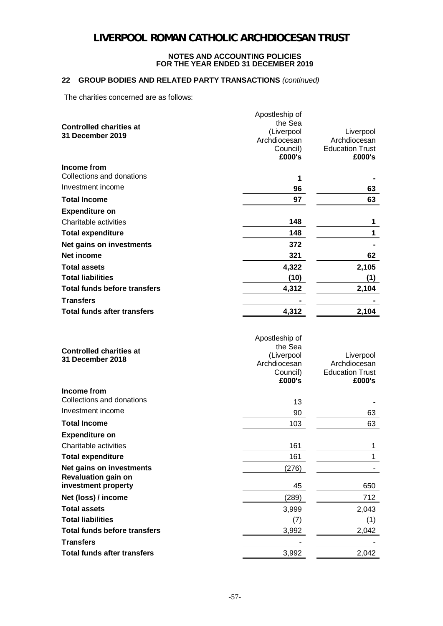### **22 GROUP BODIES AND RELATED PARTY TRANSACTIONS** *(continued)*

The charities concerned are as follows:

|                                     | Apostleship of             |                                  |
|-------------------------------------|----------------------------|----------------------------------|
| <b>Controlled charities at</b>      | the Sea                    |                                  |
| 31 December 2019                    | (Liverpool                 | Liverpool                        |
|                                     | Archdiocesan               | Archdiocesan                     |
|                                     | Council)<br>£000's         | <b>Education Trust</b><br>£000's |
| Income from                         |                            |                                  |
| Collections and donations           | 1                          |                                  |
| Investment income                   | 96                         | 63                               |
| <b>Total Income</b>                 | 97                         | 63                               |
| <b>Expenditure on</b>               |                            |                                  |
| Charitable activities               | 148                        | 1                                |
| <b>Total expenditure</b>            | 148                        | 1                                |
| Net gains on investments            | 372                        | $\blacksquare$                   |
| Net income                          | 321                        | 62                               |
| <b>Total assets</b>                 | 4,322                      | 2,105                            |
| <b>Total liabilities</b>            | (10)                       | (1)                              |
| <b>Total funds before transfers</b> | 4,312                      | 2,104                            |
| <b>Transfers</b>                    |                            |                                  |
| <b>Total funds after transfers</b>  | 4,312                      | 2,104                            |
|                                     |                            |                                  |
|                                     |                            |                                  |
|                                     | Apostleship of             |                                  |
| <b>Controlled charities at</b>      | the Sea                    |                                  |
| 31 December 2018                    | (Liverpool<br>Archdiocesan | Liverpool<br>Archdiocesan        |
|                                     | Council)                   | <b>Education Trust</b>           |
|                                     | £000's                     | £000's                           |
| Income from                         |                            |                                  |
| Collections and donations           | 13                         |                                  |
| Investment income                   | 90                         | 63                               |
| <b>Total Income</b>                 | 103                        | 63                               |
| <b>Expenditure on</b>               |                            |                                  |
| Charitable activities               | 161                        | 1                                |
| <b>Total expenditure</b>            | 161                        | 1                                |
| Net gains on investments            | (276)                      |                                  |
| <b>Revaluation gain on</b>          |                            |                                  |
| investment property                 | 45                         | 650                              |
| Net (loss) / income                 | (289)                      | 712                              |
| <b>Total assets</b>                 | 3,999                      | 2,043                            |
| <b>Total liabilities</b>            | (7)                        | (1)                              |
| <b>Total funds before transfers</b> | 3,992                      | 2,042                            |
| <b>Transfers</b>                    |                            |                                  |
| <b>Total funds after transfers</b>  | 3,992                      | 2,042                            |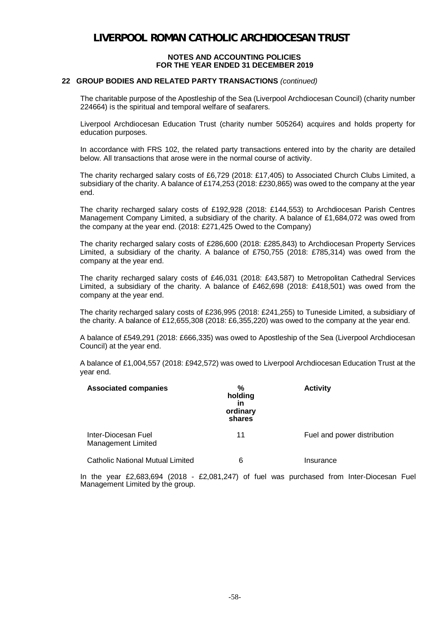#### **22 GROUP BODIES AND RELATED PARTY TRANSACTIONS** *(continued)*

The charitable purpose of the Apostleship of the Sea (Liverpool Archdiocesan Council) (charity number 224664) is the spiritual and temporal welfare of seafarers.

Liverpool Archdiocesan Education Trust (charity number 505264) acquires and holds property for education purposes.

 In accordance with FRS 102, the related party transactions entered into by the charity are detailed below. All transactions that arose were in the normal course of activity.

The charity recharged salary costs of £6,729 (2018: £17,405) to Associated Church Clubs Limited, a subsidiary of the charity. A balance of £174,253 (2018: £230,865) was owed to the company at the year end.

The charity recharged salary costs of £192,928 (2018: £144,553) to Archdiocesan Parish Centres Management Company Limited, a subsidiary of the charity. A balance of £1,684,072 was owed from the company at the year end. (2018: £271,425 Owed to the Company)

The charity recharged salary costs of £286,600 (2018: £285,843) to Archdiocesan Property Services Limited, a subsidiary of the charity. A balance of £750,755 (2018: £785,314) was owed from the company at the year end.

The charity recharged salary costs of £46,031 (2018: £43,587) to Metropolitan Cathedral Services Limited, a subsidiary of the charity. A balance of £462,698 (2018: £418,501) was owed from the company at the year end.

The charity recharged salary costs of £236,995 (2018: £241,255) to Tuneside Limited, a subsidiary of the charity. A balance of £12,655,308 (2018: £6,355,220) was owed to the company at the year end.

A balance of £549,291 (2018: £666,335) was owed to Apostleship of the Sea (Liverpool Archdiocesan Council) at the year end.

A balance of £1,004,557 (2018: £942,572) was owed to Liverpool Archdiocesan Education Trust at the year end.

| <b>Associated companies</b>                      | %<br>holding<br>in<br>ordinary<br>shares | <b>Activity</b>             |
|--------------------------------------------------|------------------------------------------|-----------------------------|
| Inter-Diocesan Fuel<br><b>Management Limited</b> | 11                                       | Fuel and power distribution |
| <b>Catholic National Mutual Limited</b>          | 6                                        | Insurance                   |

In the year £2,683,694 (2018 - £2,081,247) of fuel was purchased from Inter-Diocesan Fuel Management Limited by the group.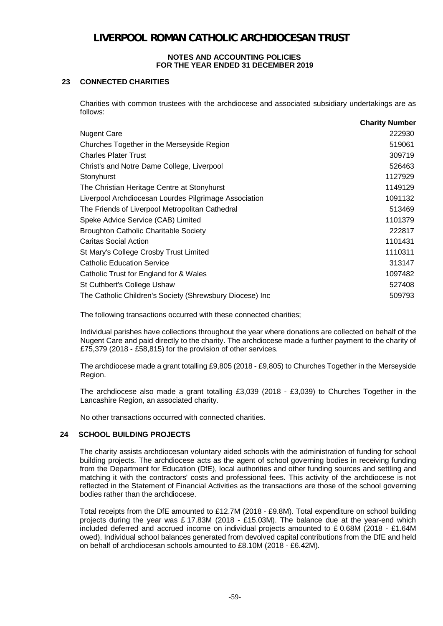### **23 CONNECTED CHARITIES**

Charities with common trustees with the archdiocese and associated subsidiary undertakings are as follows: **Charity Number**

|                                                          | <b>Charity Number</b> |
|----------------------------------------------------------|-----------------------|
| <b>Nugent Care</b>                                       | 222930                |
| Churches Together in the Merseyside Region               | 519061                |
| <b>Charles Plater Trust</b>                              | 309719                |
| Christ's and Notre Dame College, Liverpool               | 526463                |
| Stonyhurst                                               | 1127929               |
| The Christian Heritage Centre at Stonyhurst              | 1149129               |
| Liverpool Archdiocesan Lourdes Pilgrimage Association    | 1091132               |
| The Friends of Liverpool Metropolitan Cathedral          | 513469                |
| Speke Advice Service (CAB) Limited                       | 1101379               |
| <b>Broughton Catholic Charitable Society</b>             | 222817                |
| Caritas Social Action                                    | 1101431               |
| St Mary's College Crosby Trust Limited                   | 1110311               |
| <b>Catholic Education Service</b>                        | 313147                |
| Catholic Trust for England for & Wales                   | 1097482               |
| St Cuthbert's College Ushaw                              | 527408                |
| The Catholic Children's Society (Shrewsbury Diocese) Inc | 509793                |
|                                                          |                       |

The following transactions occurred with these connected charities;

Individual parishes have collections throughout the year where donations are collected on behalf of the Nugent Care and paid directly to the charity. The archdiocese made a further payment to the charity of £75,379 (2018 - £58,815) for the provision of other services.

The archdiocese made a grant totalling £9,805 (2018 - £9,805) to Churches Together in the Merseyside Region.

The archdiocese also made a grant totalling £3,039 (2018 - £3,039) to Churches Together in the Lancashire Region, an associated charity.

No other transactions occurred with connected charities.

### **24 SCHOOL BUILDING PROJECTS**

The charity assists archdiocesan voluntary aided schools with the administration of funding for school building projects. The archdiocese acts as the agent of school governing bodies in receiving funding from the Department for Education (DfE), local authorities and other funding sources and settling and matching it with the contractors' costs and professional fees. This activity of the archdiocese is not reflected in the Statement of Financial Activities as the transactions are those of the school governing bodies rather than the archdiocese.

Total receipts from the DfE amounted to £12.7M (2018 - £9.8M). Total expenditure on school building projects during the year was £ 17.83M (2018 - £15.03M). The balance due at the year-end which included deferred and accrued income on individual projects amounted to £ 0.68M (2018 - £1.64M owed). Individual school balances generated from devolved capital contributions from the DfE and held on behalf of archdiocesan schools amounted to £8.10M (2018 - £6.42M).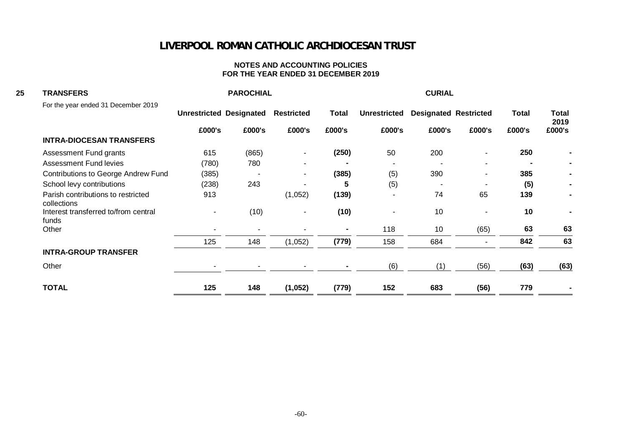| <b>TRANSFERS</b>                                  |                          | <b>PAROCHIAL</b>               |                          |                |                     | <b>CURIAL</b>                |        |              |                |
|---------------------------------------------------|--------------------------|--------------------------------|--------------------------|----------------|---------------------|------------------------------|--------|--------------|----------------|
| For the year ended 31 December 2019               |                          | <b>Unrestricted Designated</b> | <b>Restricted</b>        | <b>Total</b>   | <b>Unrestricted</b> | <b>Designated Restricted</b> |        | <b>Total</b> | Total<br>2019  |
|                                                   | £000's                   | £000's                         | £000's                   | £000's         | £000's              | £000's                       | £000's | £000's       | £000's         |
| <b>INTRA-DIOCESAN TRANSFERS</b>                   |                          |                                |                          |                |                     |                              |        |              |                |
| Assessment Fund grants                            | 615                      | (865)                          | $\overline{\phantom{a}}$ | (250)          | 50                  | 200                          |        | 250          |                |
| <b>Assessment Fund levies</b>                     | (780)                    | 780                            |                          |                |                     |                              |        |              | $\blacksquare$ |
| <b>Contributions to George Andrew Fund</b>        | (385)                    |                                | $\overline{\phantom{a}}$ | (385)          | (5)                 | 390                          |        | 385          |                |
| School levy contributions                         | (238)                    | 243                            |                          | 5              | (5)                 |                              |        | (5)          |                |
| Parish contributions to restricted<br>collections | 913                      |                                | (1,052)                  | (139)          |                     | 74                           | 65     | 139          |                |
| Interest transferred to/from central<br>funds     | $\overline{\phantom{a}}$ | (10)                           | $\overline{\phantom{a}}$ | (10)           | $\sim$              | 10                           |        | 10           |                |
| Other                                             |                          |                                |                          | $\blacksquare$ | 118                 | 10                           | (65)   | 63           | 63             |
|                                                   | 125                      | 148                            | (1,052)                  | (779)          | 158                 | 684                          |        | 842          | 63             |
| <b>INTRA-GROUP TRANSFER</b>                       |                          |                                |                          |                |                     |                              |        |              |                |
| Other                                             |                          |                                |                          |                | (6)                 | (1)                          | (56)   | (63)         | (63)           |
| <b>TOTAL</b>                                      | 125                      | 148                            | (1,052)                  | (779)          | 152                 | 683                          | (56)   | 779          |                |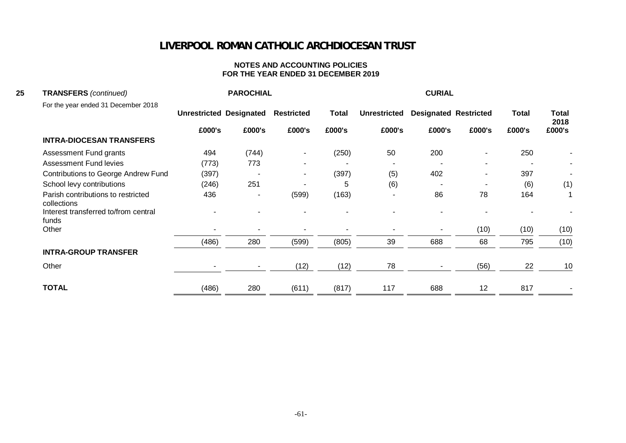| 25<br><b>TRANSFERS</b> (continued)                |        | <b>PAROCHIAL</b>               |                          |              |                     | <b>CURIAL</b>                |        |              |                      |
|---------------------------------------------------|--------|--------------------------------|--------------------------|--------------|---------------------|------------------------------|--------|--------------|----------------------|
| For the year ended 31 December 2018               |        | <b>Unrestricted Designated</b> | <b>Restricted</b>        | <b>Total</b> | <b>Unrestricted</b> | <b>Designated Restricted</b> |        | <b>Total</b> | <b>Total</b><br>2018 |
|                                                   | £000's | £000's                         | £000's                   | £000's       | £000's              | £000's                       | £000's | £000's       | £000's               |
| <b>INTRA-DIOCESAN TRANSFERS</b>                   |        |                                |                          |              |                     |                              |        |              |                      |
| Assessment Fund grants                            | 494    | (744)                          | $\overline{\phantom{a}}$ | (250)        | 50                  | 200                          |        | 250          |                      |
| <b>Assessment Fund levies</b>                     | (773)  | 773                            |                          |              |                     |                              |        |              |                      |
| <b>Contributions to George Andrew Fund</b>        | (397)  |                                | $\sim$                   | (397)        | (5)                 | 402                          |        | 397          |                      |
| School levy contributions                         | (246)  | 251                            |                          | 5            | (6)                 |                              |        | (6)          | (1)                  |
| Parish contributions to restricted<br>collections | 436    | ٠                              | (599)                    | (163)        | $\sim$              | 86                           | 78     | 164          |                      |
| Interest transferred to/from central<br>funds     |        |                                |                          |              |                     |                              |        |              |                      |
| Other                                             |        |                                |                          |              |                     |                              | (10)   | (10)         | (10)                 |
|                                                   | (486)  | 280                            | (599)                    | (805)        | 39                  | 688                          | 68     | 795          | (10)                 |
| <b>INTRA-GROUP TRANSFER</b>                       |        |                                |                          |              |                     |                              |        |              |                      |
| Other                                             |        |                                | (12)                     | (12)         | 78                  |                              | (56)   | 22           | 10                   |
| <b>TOTAL</b>                                      | (486)  | 280                            | (611)                    | (817)        | 117                 | 688                          | 12     | 817          |                      |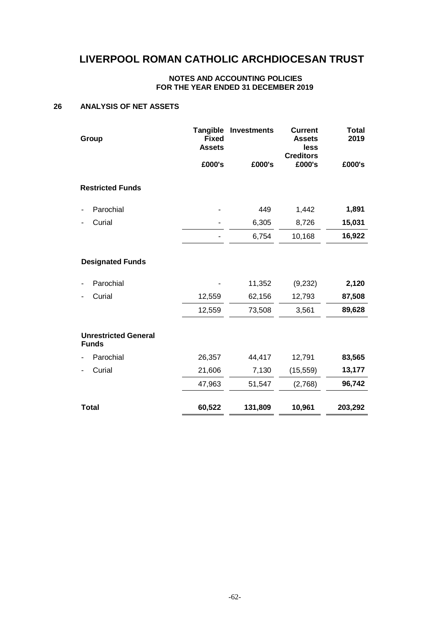#### **NOTES AND ACCOUNTING POLICIES FOR THE YEAR ENDED 31 DECEMBER 2019**

### **26 ANALYSIS OF NET ASSETS**

| Group                                       | <b>Tangible</b><br><b>Fixed</b><br><b>Assets</b> | <b>Investments</b> | <b>Current</b><br><b>Assets</b><br>less<br><b>Creditors</b> | <b>Total</b><br>2019 |
|---------------------------------------------|--------------------------------------------------|--------------------|-------------------------------------------------------------|----------------------|
|                                             | £000's                                           | £000's             | £000's                                                      | £000's               |
| <b>Restricted Funds</b>                     |                                                  |                    |                                                             |                      |
| Parochial                                   |                                                  | 449                | 1,442                                                       | 1,891                |
| Curial                                      |                                                  | 6,305              | 8,726                                                       | 15,031               |
|                                             |                                                  | 6,754              | 10,168                                                      | 16,922               |
| <b>Designated Funds</b>                     |                                                  |                    |                                                             |                      |
| Parochial                                   |                                                  | 11,352             | (9,232)                                                     | 2,120                |
| Curial                                      | 12,559                                           | 62,156             | 12,793                                                      | 87,508               |
|                                             | 12,559                                           | 73,508             | 3,561                                                       | 89,628               |
| <b>Unrestricted General</b><br><b>Funds</b> |                                                  |                    |                                                             |                      |
| Parochial                                   | 26,357                                           | 44,417             | 12,791                                                      | 83,565               |
| Curial                                      | 21,606                                           | 7,130              | (15, 559)                                                   | 13,177               |
|                                             | 47,963                                           | 51,547             | (2,768)                                                     | 96,742               |
| <b>Total</b>                                | 60,522                                           | 131,809            | 10,961                                                      | 203,292              |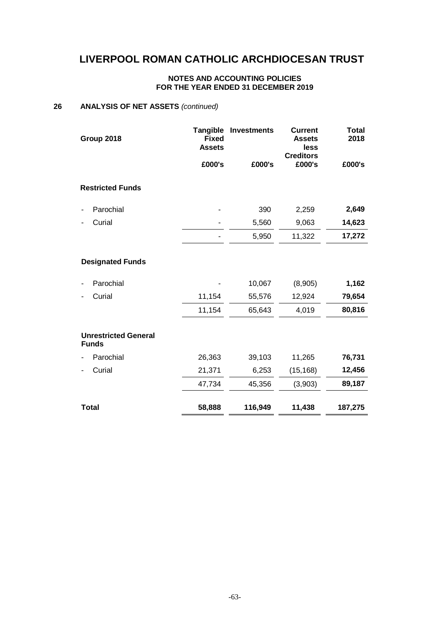### **NOTES AND ACCOUNTING POLICIES FOR THE YEAR ENDED 31 DECEMBER 2019**

#### **26 ANALYSIS OF NET ASSETS** *(continued)*

| Group 2018                                  | <b>Tangible</b><br><b>Fixed</b><br><b>Assets</b> | <b>Investments</b> | <b>Current</b><br><b>Assets</b><br>less<br><b>Creditors</b> | <b>Total</b><br>2018 |
|---------------------------------------------|--------------------------------------------------|--------------------|-------------------------------------------------------------|----------------------|
|                                             | £000's                                           | £000's             | £000's                                                      | £000's               |
| <b>Restricted Funds</b>                     |                                                  |                    |                                                             |                      |
| Parochial                                   |                                                  | 390                | 2,259                                                       | 2,649                |
| Curial                                      |                                                  | 5,560              | 9,063                                                       | 14,623               |
|                                             |                                                  | 5,950              | 11,322                                                      | 17,272               |
| <b>Designated Funds</b><br>Parochial        |                                                  | 10,067             | (8,905)                                                     | 1,162                |
| Curial                                      | 11,154                                           | 55,576             | 12,924                                                      | 79,654               |
|                                             | 11,154                                           | 65,643             | 4,019                                                       | 80,816               |
| <b>Unrestricted General</b><br><b>Funds</b> |                                                  |                    |                                                             |                      |
| Parochial                                   | 26,363                                           | 39,103             | 11,265                                                      | 76,731               |
| Curial                                      | 21,371                                           | 6,253              | (15, 168)                                                   | 12,456               |
|                                             | 47,734                                           | 45,356             | (3,903)                                                     | 89,187               |
| <b>Total</b>                                | 58,888                                           | 116,949            | 11,438                                                      | 187,275              |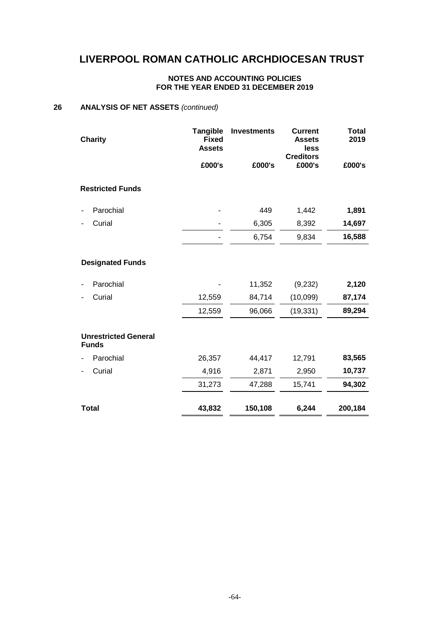### **NOTES AND ACCOUNTING POLICIES FOR THE YEAR ENDED 31 DECEMBER 2019**

#### **26 ANALYSIS OF NET ASSETS** *(continued)*

| <b>Charity</b>                              | <b>Tangible</b><br><b>Fixed</b><br><b>Assets</b> | <b>Investments</b> | <b>Current</b><br><b>Assets</b><br>less | <b>Total</b><br>2019 |
|---------------------------------------------|--------------------------------------------------|--------------------|-----------------------------------------|----------------------|
|                                             | £000's                                           | £000's             | <b>Creditors</b><br>£000's              | £000's               |
| <b>Restricted Funds</b>                     |                                                  |                    |                                         |                      |
| Parochial<br>$\blacksquare$                 |                                                  | 449                | 1,442                                   | 1,891                |
| Curial<br>$\blacksquare$                    |                                                  | 6,305              | 8,392                                   | 14,697               |
|                                             |                                                  | 6,754              | 9,834                                   | 16,588               |
| <b>Designated Funds</b>                     |                                                  |                    |                                         |                      |
| Parochial                                   |                                                  | 11,352             | (9,232)                                 | 2,120                |
| Curial<br>٠                                 | 12,559                                           | 84,714             | (10,099)                                | 87,174               |
|                                             | 12,559                                           | 96,066             | (19, 331)                               | 89,294               |
| <b>Unrestricted General</b><br><b>Funds</b> |                                                  |                    |                                         |                      |
| Parochial                                   | 26,357                                           | 44,417             | 12,791                                  | 83,565               |
| Curial<br>٠                                 | 4,916                                            | 2,871              | 2,950                                   | 10,737               |
|                                             | 31,273                                           | 47,288             | 15,741                                  | 94,302               |
| <b>Total</b>                                | 43,832                                           | 150,108            | 6,244                                   | 200,184              |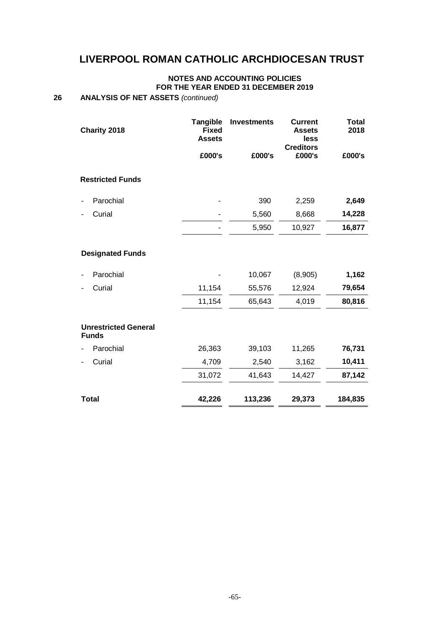#### **NOTES AND ACCOUNTING POLICIES FOR THE YEAR ENDED 31 DECEMBER 2019**

### **26 ANALYSIS OF NET ASSETS** *(continued)*

| Charity 2018                                | <b>Tangible</b><br><b>Fixed</b><br><b>Assets</b> | <b>Investments</b> | <b>Current</b><br><b>Assets</b><br>less | <b>Total</b><br>2018 |
|---------------------------------------------|--------------------------------------------------|--------------------|-----------------------------------------|----------------------|
|                                             | £000's                                           | £000's             | <b>Creditors</b><br>£000's              | £000's               |
| <b>Restricted Funds</b>                     |                                                  |                    |                                         |                      |
| Parochial<br>$\overline{\phantom{a}}$       |                                                  | 390                | 2,259                                   | 2,649                |
| Curial                                      |                                                  | 5,560              | 8,668                                   | 14,228               |
|                                             |                                                  | 5,950              | 10,927                                  | 16,877               |
| <b>Designated Funds</b>                     |                                                  |                    |                                         |                      |
| Parochial                                   |                                                  | 10,067             | (8,905)                                 | 1,162                |
| Curial                                      | 11,154                                           | 55,576             | 12,924                                  | 79,654               |
|                                             | 11,154                                           | 65,643             | 4,019                                   | 80,816               |
| <b>Unrestricted General</b><br><b>Funds</b> |                                                  |                    |                                         |                      |
| Parochial                                   | 26,363                                           | 39,103             | 11,265                                  | 76,731               |
| Curial<br>٠                                 | 4,709                                            | 2,540              | 3,162                                   | 10,411               |
|                                             | 31,072                                           | 41,643             | 14,427                                  | 87,142               |
| <b>Total</b>                                | 42,226                                           | 113,236            | 29,373                                  | 184,835              |